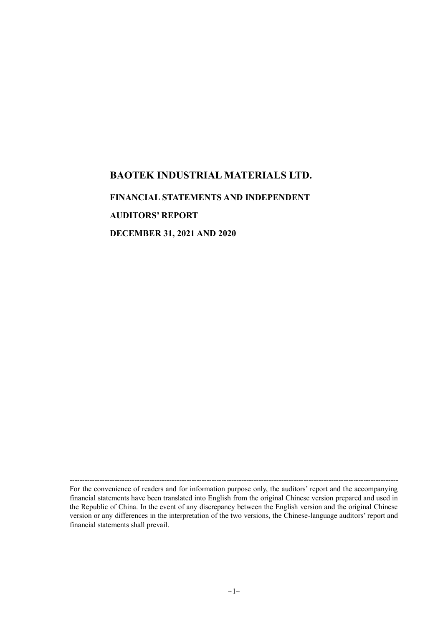## **BAOTEK INDUSTRIAL MATERIALS LTD.**

#### **FINANCIAL STATEMENTS AND INDEPENDENT**

**AUDITORS' REPORT**

**DECEMBER 31, 2021 AND 2020**

------------------------------------------------------------------------------------------------------------------------------------

For the convenience of readers and for information purpose only, the auditors' report and the accompanying financial statements have been translated into English from the original Chinese version prepared and used in the Republic of China. In the event of any discrepancy between the English version and the original Chinese version or any differences in the interpretation of the two versions, the Chinese-language auditors' report and financial statements shall prevail.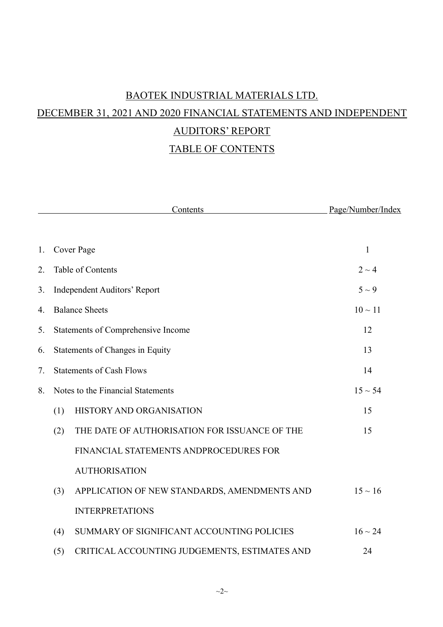# BAOTEK INDUSTRIAL MATERIALS LTD. DECEMBER 31, 2021 AND 2020 FINANCIAL STATEMENTS AND INDEPENDENT AUDITORS' REPORT TABLE OF CONTENTS

|    |     | Contents                                      | Page/Number/Index |
|----|-----|-----------------------------------------------|-------------------|
|    |     |                                               |                   |
| 1. |     | Cover Page                                    | $\mathbf{1}$      |
| 2. |     | Table of Contents                             | $2 \sim 4$        |
| 3. |     | <b>Independent Auditors' Report</b>           | $5 \sim 9$        |
| 4. |     | <b>Balance Sheets</b>                         | $10 \sim 11$      |
| 5. |     | Statements of Comprehensive Income            | 12                |
| 6. |     | <b>Statements of Changes in Equity</b>        | 13                |
| 7. |     | <b>Statements of Cash Flows</b>               | 14                |
| 8. |     | Notes to the Financial Statements             | $15 \sim 54$      |
|    | (1) | HISTORY AND ORGANISATION                      | 15                |
|    | (2) | THE DATE OF AUTHORISATION FOR ISSUANCE OF THE | 15                |
|    |     | FINANCIAL STATEMENTS ANDPROCEDURES FOR        |                   |
|    |     | <b>AUTHORISATION</b>                          |                   |
|    | (3) | APPLICATION OF NEW STANDARDS, AMENDMENTS AND  | $15 \sim 16$      |
|    |     | <b>INTERPRETATIONS</b>                        |                   |
|    | (4) | SUMMARY OF SIGNIFICANT ACCOUNTING POLICIES    | $16 \sim 24$      |
|    | (5) | CRITICAL ACCOUNTING JUDGEMENTS, ESTIMATES AND | 24                |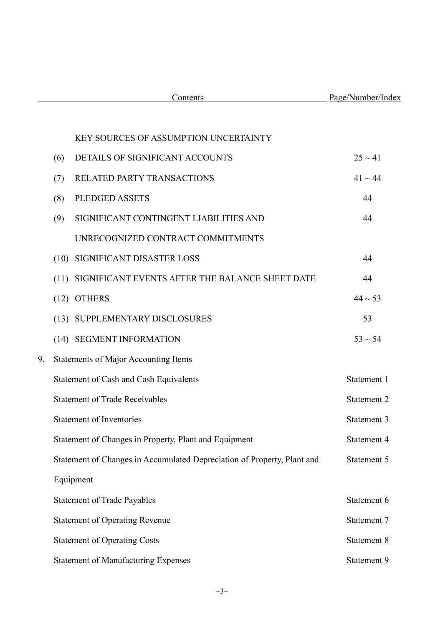|    |      | Contents                                                                | Page/Number/Index |
|----|------|-------------------------------------------------------------------------|-------------------|
|    |      |                                                                         |                   |
|    |      | <b>KEY SOURCES OF ASSUMPTION UNCERTAINTY</b>                            |                   |
|    | (6)  | DETAILS OF SIGNIFICANT ACCOUNTS                                         | $25 \sim 41$      |
|    | (7)  | RELATED PARTY TRANSACTIONS                                              | $41 \sim 44$      |
|    | (8)  | PLEDGED ASSETS                                                          | 44                |
|    | (9)  | SIGNIFICANT CONTINGENT LIABILITIES AND                                  | 44                |
|    |      | UNRECOGNIZED CONTRACT COMMITMENTS                                       |                   |
|    | (10) | SIGNIFICANT DISASTER LOSS                                               | 44                |
|    | (11) | SIGNIFICANT EVENTS AFTER THE BALANCE SHEET DATE                         | 44                |
|    |      | (12) OTHERS                                                             | $44 \sim 53$      |
|    |      | (13) SUPPLEMENTARY DISCLOSURES                                          | 53                |
|    |      | (14) SEGMENT INFORMATION                                                | $53 \sim 54$      |
| 9. |      | <b>Statements of Major Accounting Items</b>                             |                   |
|    |      | Statement of Cash and Cash Equivalents                                  | Statement 1       |
|    |      | <b>Statement of Trade Receivables</b>                                   | Statement 2       |
|    |      | Statement of Inventories                                                | Statement 3       |
|    |      | Statement of Changes in Property, Plant and Equipment                   | Statement 4       |
|    |      | Statement of Changes in Accumulated Depreciation of Property, Plant and | Statement 5       |
|    |      | Equipment                                                               |                   |
|    |      | <b>Statement of Trade Payables</b>                                      | Statement 6       |
|    |      | <b>Statement of Operating Revenue</b>                                   | Statement 7       |
|    |      | <b>Statement of Operating Costs</b>                                     | Statement 8       |
|    |      | <b>Statement of Manufacturing Expenses</b>                              | Statement 9       |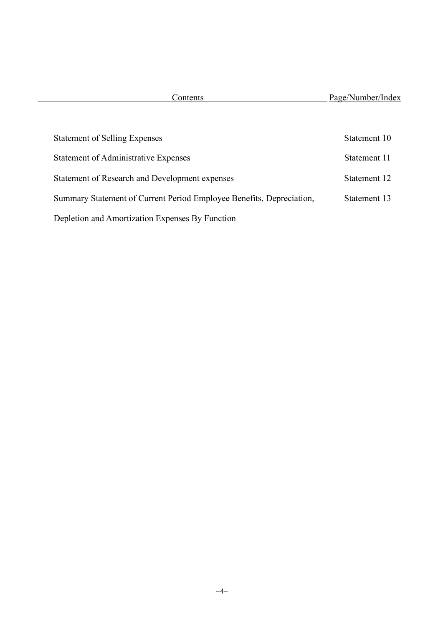| Contents | Page/Number/Index |
|----------|-------------------|
|          |                   |
|          |                   |
|          |                   |

| <b>Statement of Selling Expenses</b>                                 | Statement 10 |
|----------------------------------------------------------------------|--------------|
| <b>Statement of Administrative Expenses</b>                          | Statement 11 |
|                                                                      |              |
| Statement of Research and Development expenses                       | Statement 12 |
| Summary Statement of Current Period Employee Benefits, Depreciation, | Statement 13 |
| Depletion and Amortization Expenses By Function                      |              |
|                                                                      |              |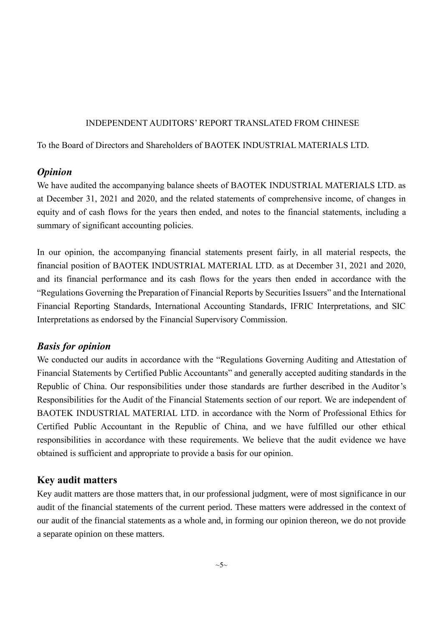#### INDEPENDENT AUDITORS' REPORT TRANSLATED FROM CHINESE

To the Board of Directors and Shareholders of BAOTEK INDUSTRIAL MATERIALS LTD.

# *Opinion*

We have audited the accompanying balance sheets of BAOTEK INDUSTRIAL MATERIALS LTD. as at December 31, 2021 and 2020, and the related statements of comprehensive income, of changes in equity and of cash flows for the years then ended, and notes to the financial statements, including a summary of significant accounting policies.

In our opinion, the accompanying financial statements present fairly, in all material respects, the financial position of BAOTEK INDUSTRIAL MATERIAL LTD. as at December 31, 2021 and 2020, and its financial performance and its cash flows for the years then ended in accordance with the "Regulations Governing the Preparation of Financial Reports by Securities Issuers" and the International Financial Reporting Standards, International Accounting Standards, IFRIC Interpretations, and SIC Interpretations as endorsed by the Financial Supervisory Commission.

# *Basis for opinion*

We conducted our audits in accordance with the "Regulations Governing Auditing and Attestation of Financial Statements by Certified Public Accountants" and generally accepted auditing standards in the Republic of China. Our responsibilities under those standards are further described in the Auditor's Responsibilities for the Audit of the Financial Statements section of our report. We are independent of BAOTEK INDUSTRIAL MATERIAL LTD. in accordance with the Norm of Professional Ethics for Certified Public Accountant in the Republic of China, and we have fulfilled our other ethical responsibilities in accordance with these requirements. We believe that the audit evidence we have obtained is sufficient and appropriate to provide a basis for our opinion.

# **Key audit matters**

Key audit matters are those matters that, in our professional judgment, were of most significance in our audit of the financial statements of the current period. These matters were addressed in the context of our audit of the financial statements as a whole and, in forming our opinion thereon, we do not provide a separate opinion on these matters.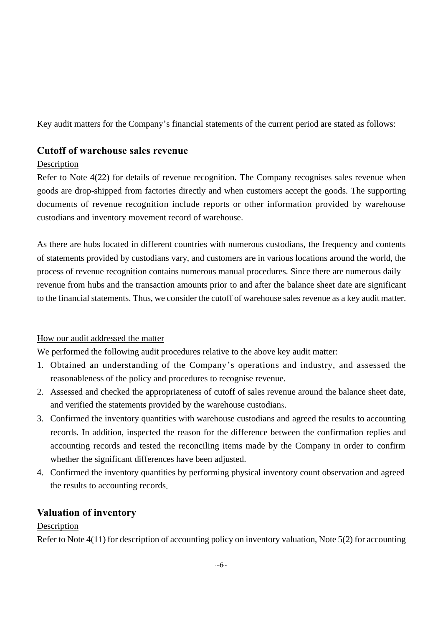Key audit matters for the Company's financial statements of the current period are stated as follows:

# **Cutoff of warehouse sales revenue**

# Description

Refer to Note 4(22) for details of revenue recognition. The Company recognises sales revenue when goods are drop-shipped from factories directly and when customers accept the goods. The supporting documents of revenue recognition include reports or other information provided by warehouse custodians and inventory movement record of warehouse.

As there are hubs located in different countries with numerous custodians, the frequency and contents of statements provided by custodians vary, and customers are in various locations around the world, the process of revenue recognition contains numerous manual procedures. Since there are numerous daily revenue from hubs and the transaction amounts prior to and after the balance sheet date are significant to the financial statements. Thus, we consider the cutoff of warehouse sales revenue as a key audit matter.

# How our audit addressed the matter

We performed the following audit procedures relative to the above key audit matter:

- 1. Obtained an understanding of the Company's operations and industry, and assessed the reasonableness of the policy and procedures to recognise revenue.
- 2. Assessed and checked the appropriateness of cutoff of sales revenue around the balance sheet date, and verified the statements provided by the warehouse custodians.
- 3. Confirmed the inventory quantities with warehouse custodians and agreed the results to accounting records. In addition, inspected the reason for the difference between the confirmation replies and accounting records and tested the reconciling items made by the Company in order to confirm whether the significant differences have been adjusted.
- 4. Confirmed the inventory quantities by performing physical inventory count observation and agreed the results to accounting records.

# **Valuation of inventory**

# Description

Refer to Note 4(11) for description of accounting policy on inventory valuation, Note 5(2) for accounting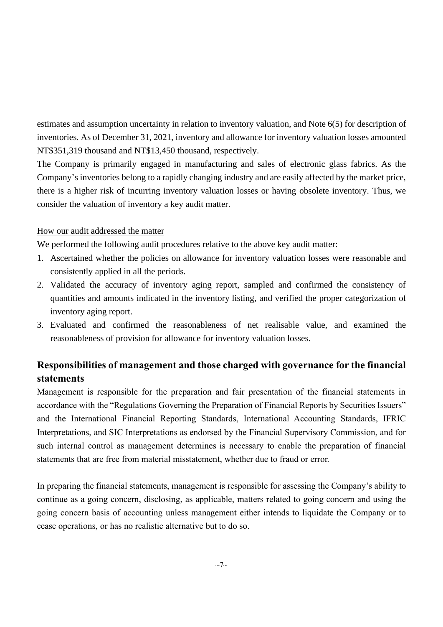estimates and assumption uncertainty in relation to inventory valuation, and Note 6(5) for description of inventories. As of December 31, 2021, inventory and allowance for inventory valuation losses amounted NT\$351,319 thousand and NT\$13,450 thousand, respectively.

The Company is primarily engaged in manufacturing and sales of electronic glass fabrics. As the Company's inventories belong to a rapidly changing industry and are easily affected by the market price, there is a higher risk of incurring inventory valuation losses or having obsolete inventory. Thus, we consider the valuation of inventory a key audit matter.

## How our audit addressed the matter

We performed the following audit procedures relative to the above key audit matter:

- 1. Ascertained whether the policies on allowance for inventory valuation losses were reasonable and consistently applied in all the periods.
- 2. Validated the accuracy of inventory aging report, sampled and confirmed the consistency of quantities and amounts indicated in the inventory listing, and verified the proper categorization of inventory aging report.
- 3. Evaluated and confirmed the reasonableness of net realisable value, and examined the reasonableness of provision for allowance for inventory valuation losses.

# **Responsibilities of management and those charged with governance for the financial statements**

Management is responsible for the preparation and fair presentation of the financial statements in accordance with the "Regulations Governing the Preparation of Financial Reports by Securities Issuers" and the International Financial Reporting Standards, International Accounting Standards, IFRIC Interpretations, and SIC Interpretations as endorsed by the Financial Supervisory Commission, and for such internal control as management determines is necessary to enable the preparation of financial statements that are free from material misstatement, whether due to fraud or error.

In preparing the financial statements, management is responsible for assessing the Company's ability to continue as a going concern, disclosing, as applicable, matters related to going concern and using the going concern basis of accounting unless management either intends to liquidate the Company or to cease operations, or has no realistic alternative but to do so.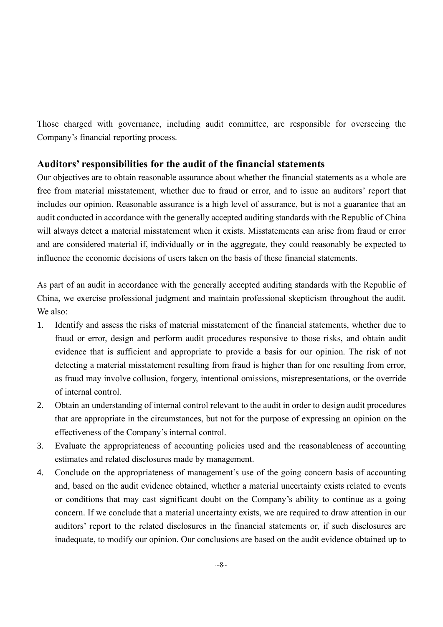Those charged with governance, including audit committee, are responsible for overseeing the Company's financial reporting process.

## **Auditors' responsibilities for the audit of the financial statements**

Our objectives are to obtain reasonable assurance about whether the financial statements as a whole are free from material misstatement, whether due to fraud or error, and to issue an auditors' report that includes our opinion. Reasonable assurance is a high level of assurance, but is not a guarantee that an audit conducted in accordance with the generally accepted auditing standards with the Republic of China will always detect a material misstatement when it exists. Misstatements can arise from fraud or error and are considered material if, individually or in the aggregate, they could reasonably be expected to influence the economic decisions of users taken on the basis of these financial statements.

As part of an audit in accordance with the generally accepted auditing standards with the Republic of China, we exercise professional judgment and maintain professional skepticism throughout the audit. We also:

- 1. Identify and assess the risks of material misstatement of the financial statements, whether due to fraud or error, design and perform audit procedures responsive to those risks, and obtain audit evidence that is sufficient and appropriate to provide a basis for our opinion. The risk of not detecting a material misstatement resulting from fraud is higher than for one resulting from error, as fraud may involve collusion, forgery, intentional omissions, misrepresentations, or the override of internal control.
- 2. Obtain an understanding of internal control relevant to the audit in order to design audit procedures that are appropriate in the circumstances, but not for the purpose of expressing an opinion on the effectiveness of the Company's internal control.
- 3. Evaluate the appropriateness of accounting policies used and the reasonableness of accounting estimates and related disclosures made by management.
- 4. Conclude on the appropriateness of management's use of the going concern basis of accounting and, based on the audit evidence obtained, whether a material uncertainty exists related to events or conditions that may cast significant doubt on the Company's ability to continue as a going concern. If we conclude that a material uncertainty exists, we are required to draw attention in our auditors' report to the related disclosures in the financial statements or, if such disclosures are inadequate, to modify our opinion. Our conclusions are based on the audit evidence obtained up to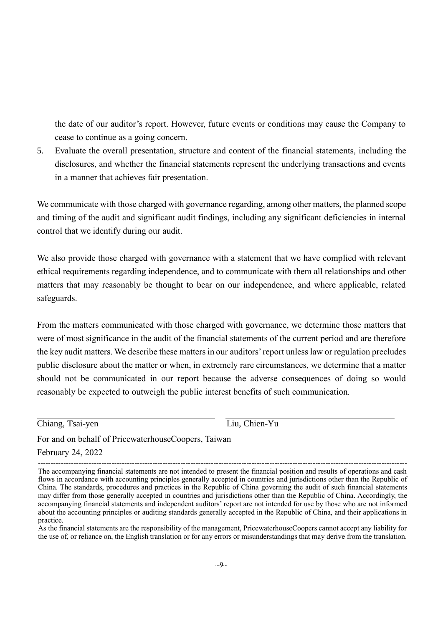the date of our auditor's report. However, future events or conditions may cause the Company to cease to continue as a going concern.

5. Evaluate the overall presentation, structure and content of the financial statements, including the disclosures, and whether the financial statements represent the underlying transactions and events in a manner that achieves fair presentation.

We communicate with those charged with governance regarding, among other matters, the planned scope and timing of the audit and significant audit findings, including any significant deficiencies in internal control that we identify during our audit.

We also provide those charged with governance with a statement that we have complied with relevant ethical requirements regarding independence, and to communicate with them all relationships and other matters that may reasonably be thought to bear on our independence, and where applicable, related safeguards.

From the matters communicated with those charged with governance, we determine those matters that were of most significance in the audit of the financial statements of the current period and are therefore the key audit matters. We describe these matters in our auditors'report unless law or regulation precludes public disclosure about the matter or when, in extremely rare circumstances, we determine that a matter should not be communicated in our report because the adverse consequences of doing so would reasonably be expected to outweigh the public interest benefits of such communication.

Chiang, Tsai-yen Liu, Chien-Yu

For and on behalf of PricewaterhouseCoopers, Taiwan February 24, 2022 -------------------------------------------------------------------------------------------------------------------------------------------------

The accompanying financial statements are not intended to present the financial position and results of operations and cash flows in accordance with accounting principles generally accepted in countries and jurisdictions other than the Republic of China. The standards, procedures and practices in the Republic of China governing the audit of such financial statements may differ from those generally accepted in countries and jurisdictions other than the Republic of China. Accordingly, the accompanying financial statements and independent auditors' report are not intended for use by those who are not informed about the accounting principles or auditing standards generally accepted in the Republic of China, and their applications in practice.

As the financial statements are the responsibility of the management, PricewaterhouseCoopers cannot accept any liability for the use of, or reliance on, the English translation or for any errors or misunderstandings that may derive from the translation.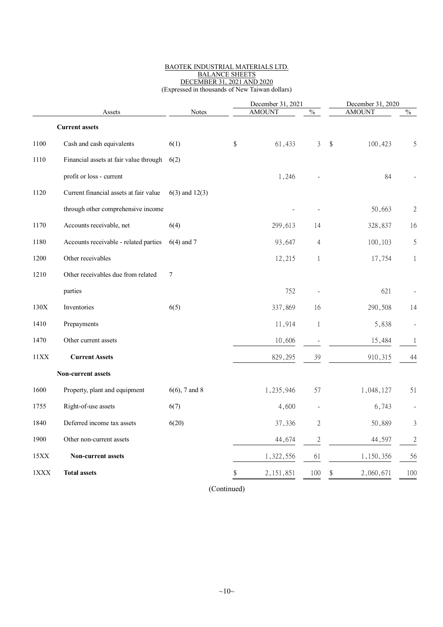#### BAOTEK INDUSTRIAL MATERIALS LTD. BALANCE SHEETS DECEMBER 31, 2021 AND 2020 (Expressed in thousands of New Taiwan dollars)

|      |                                        |                    | December 31, 2021 |                |         | December 31, 2020<br><b>AMOUNT</b> |               |
|------|----------------------------------------|--------------------|-------------------|----------------|---------|------------------------------------|---------------|
|      | Assets                                 | Notes              | <b>AMOUNT</b>     | $\frac{0}{6}$  |         |                                    | $\frac{0}{6}$ |
|      | <b>Current assets</b>                  |                    |                   |                |         |                                    |               |
| 1100 | Cash and cash equivalents              | 6(1)               | \$<br>61,433      | 3              | $\sqrt$ | 100,423                            | 5             |
| 1110 | Financial assets at fair value through | 6(2)               |                   |                |         |                                    |               |
|      | profit or loss - current               |                    | 1,246             |                |         | 84                                 |               |
| 1120 | Current financial assets at fair value | $6(3)$ and $12(3)$ |                   |                |         |                                    |               |
|      | through other comprehensive income     |                    |                   |                |         | 50,663                             | 2             |
| 1170 | Accounts receivable, net               | 6(4)               | 299,613           | 14             |         | 328,837                            | 16            |
| 1180 | Accounts receivable - related parties  | $6(4)$ and 7       | 93,647            | $\overline{4}$ |         | 100,103                            | $\mathfrak s$ |
| 1200 | Other receivables                      |                    | 12,215            | 1              |         | 17,754                             | $\mathbf{1}$  |
| 1210 | Other receivables due from related     | $\tau$             |                   |                |         |                                    |               |
|      | parties                                |                    | 752               |                |         | 621                                |               |
| 130X | Inventories                            | 6(5)               | 337,869           | 16             |         | 290,508                            | 14            |
| 1410 | Prepayments                            |                    | 11,914            | $\mathbf{1}$   |         | 5,838                              |               |
| 1470 | Other current assets                   |                    | 10,606            |                |         | 15,484                             | $\mathbf{1}$  |
| 11XX | <b>Current Assets</b>                  |                    | 829,295           | 39             |         | 910,315                            | $44$          |
|      | Non-current assets                     |                    |                   |                |         |                                    |               |
| 1600 | Property, plant and equipment          | $6(6)$ , 7 and 8   | 1,235,946         | 57             |         | 1,048,127                          | 51            |
| 1755 | Right-of-use assets                    | 6(7)               | 4,600             |                |         | 6,743                              |               |
| 1840 | Deferred income tax assets             | 6(20)              | 37,336            | 2              |         | 50,889                             | 3             |
| 1900 | Other non-current assets               |                    | 44,674            | $\sqrt{2}$     |         | 44,597                             | $\sqrt{2}$    |
| 15XX | Non-current assets                     |                    | 1,322,556         | 61             |         | 1,150,356                          | 56            |
| 1XXX | <b>Total assets</b>                    |                    | \$<br>2,151,851   | 100            | \$      | 2,060,671                          | 100           |

(Continued)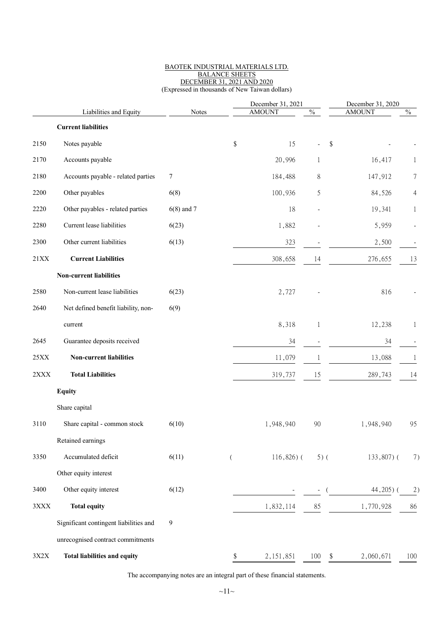#### BAOTEK INDUSTRIAL MATERIALS LTD. BALANCE SHEETS DECEMBER 31, 2021 AND 2020 (Expressed in thousands of New Taiwan dollars)

|        |                                        |              |                  | December 31, 2021 |                                        | December 31, 2020 |                |  |
|--------|----------------------------------------|--------------|------------------|-------------------|----------------------------------------|-------------------|----------------|--|
|        | Liabilities and Equity                 | Notes        |                  | <b>AMOUNT</b>     | $\frac{0}{0}$                          | <b>AMOUNT</b>     | $\frac{0}{0}$  |  |
|        | <b>Current liabilities</b>             |              |                  |                   |                                        |                   |                |  |
| 2150   | Notes payable                          |              | \$               | 15                | \$                                     |                   |                |  |
| 2170   | Accounts payable                       |              |                  | 20,996            | $\mathbf{1}$                           | 16,417            | 1              |  |
| 2180   | Accounts payable - related parties     | $\tau$       |                  | 184,488           | 8                                      | 147,912           | 7              |  |
| 2200   | Other payables                         | 6(8)         |                  | 100,936           | 5                                      | 84,526            | $\overline{4}$ |  |
| 2220   | Other payables - related parties       | $6(8)$ and 7 |                  | 18                |                                        | 19,341            | 1              |  |
| 2280   | Current lease liabilities              | 6(23)        |                  | 1,882             |                                        | 5,959             |                |  |
| 2300   | Other current liabilities              | 6(13)        |                  | 323               |                                        | 2,500             |                |  |
| 21XX   | <b>Current Liabilities</b>             |              |                  | 308,658           | 14                                     | 276,655           | 13             |  |
|        | <b>Non-current liabilities</b>         |              |                  |                   |                                        |                   |                |  |
| 2580   | Non-current lease liabilities          | 6(23)        |                  | 2,727             |                                        | 816               |                |  |
| 2640   | Net defined benefit liability, non-    | 6(9)         |                  |                   |                                        |                   |                |  |
|        | current                                |              |                  | 8,318             | $\mathbf{1}$                           | 12,238            | 1              |  |
| 2645   | Guarantee deposits received            |              |                  | 34                |                                        | 34                |                |  |
| 25XX   | <b>Non-current liabilities</b>         |              |                  | 11,079            | 1                                      | 13,088            | 1              |  |
| 2XXX   | <b>Total Liabilities</b>               |              |                  | 319,737           | 15                                     | 289,743           | 14             |  |
|        | <b>Equity</b>                          |              |                  |                   |                                        |                   |                |  |
|        | Share capital                          |              |                  |                   |                                        |                   |                |  |
| 3110   | Share capital - common stock           | 6(10)        |                  | 1,948,940         | 90                                     | 1,948,940         | 95             |  |
|        | Retained earnings                      |              |                  |                   |                                        |                   |                |  |
| 3350   | Accumulated deficit                    | 6(11)        | $\overline{(\ }$ | $116,826$ ) (     | $5)$ (                                 | $133,807$ ) (     | 7)             |  |
|        | Other equity interest                  |              |                  |                   |                                        |                   |                |  |
| 3400   | Other equity interest                  | 6(12)        |                  |                   | $\sqrt{2}$<br>$\overline{\phantom{a}}$ | 44,205) (         | 2)             |  |
| 3XXX   | <b>Total equity</b>                    |              |                  | 1,832,114         | 85                                     | 1,770,928         | 86             |  |
|        | Significant contingent liabilities and | 9            |                  |                   |                                        |                   |                |  |
|        | unrecognised contract commitments      |              |                  |                   |                                        |                   |                |  |
| $3X2X$ | <b>Total liabilities and equity</b>    |              | \$               | 2, 151, 851       | 100<br>\$                              | 2,060,671         | 100            |  |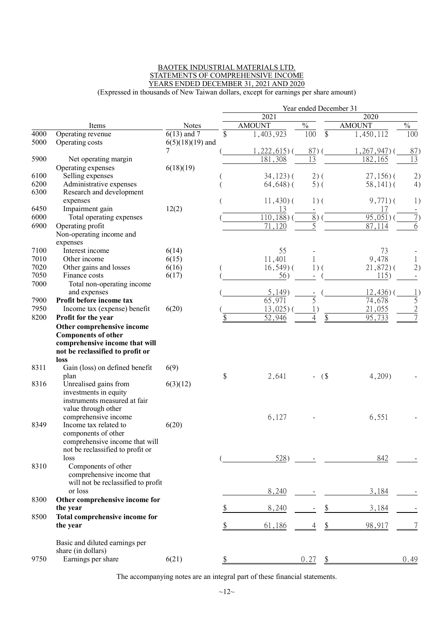#### BAOTEK INDUSTRIAL MATERIALS LTD. STATEMENTS OF COMPREHENSIVE INCOME YEARS ENDED DECEMBER 31, 2021 AND 2020

(Expressed in thousands of New Taiwan dollars, except for earnings per share amount)

|              |                                                                                                                                            |                                                | Year ended December 31 |                    |                                   |                 |                   |                      |
|--------------|--------------------------------------------------------------------------------------------------------------------------------------------|------------------------------------------------|------------------------|--------------------|-----------------------------------|-----------------|-------------------|----------------------|
|              |                                                                                                                                            |                                                |                        | 2021               |                                   |                 | 2020              |                      |
|              | Items                                                                                                                                      | <b>Notes</b>                                   |                        | <b>AMOUNT</b>      | $\frac{0}{0}$                     |                 | <b>AMOUNT</b>     | $\frac{0}{0}$        |
| 4000<br>5000 | Operating revenue<br>Operating costs                                                                                                       | $\overline{6(13)}$ and 7<br>$6(5)(18)(19)$ and | $\overline{\$}$        | 1,403,923          | 100                               | $\overline{\$}$ | 1,450,112         | 100                  |
|              |                                                                                                                                            | 7                                              |                        | $1,222,615$ (      | 87)                               |                 | $1,267,947$ )     | 87)                  |
| 5900         | Net operating margin                                                                                                                       |                                                |                        | 181,308            | 13                                |                 | 182,165           | $\overline{13}$      |
|              | Operating expenses                                                                                                                         | 6(18)(19)                                      |                        |                    |                                   |                 |                   |                      |
| 6100         | Selling expenses                                                                                                                           |                                                |                        | $34,123$ ) (       | $2)$ (                            |                 | $27,156$ ) (      | 2)                   |
| 6200<br>6300 | Administrative expenses<br>Research and development                                                                                        |                                                |                        | $64,648$ ) (       | $5)$ (                            |                 | $58,141$ ) (      | 4)                   |
|              | expenses                                                                                                                                   |                                                |                        | $11,430$ ) (       | $1)$ (                            |                 | $9,771)$ (        | 1)                   |
| 6450<br>6000 | Impairment gain                                                                                                                            | 12(2)                                          |                        | 13                 | $\overline{\phantom{a}}$          |                 | 17                | $\blacksquare$       |
| 6900         | Total operating expenses<br>Operating profit                                                                                               |                                                |                        | 110,188)<br>71,120 | $\overline{8})$<br>$\overline{5}$ |                 | 95,051)<br>87,114 | $\overline{7})$<br>6 |
|              | Non-operating income and<br>expenses                                                                                                       |                                                |                        |                    |                                   |                 |                   |                      |
| 7100         | Interest income                                                                                                                            | 6(14)                                          |                        | 55                 |                                   |                 | 73                |                      |
| 7010         | Other income                                                                                                                               | 6(15)                                          |                        | 11,401             | 1                                 |                 | 9,478             |                      |
| 7020         | Other gains and losses                                                                                                                     | 6(16)                                          |                        | $16,549$ ) (       | $1)$ (                            |                 | $21,872$ ) (      | 2)                   |
| 7050         | Finance costs                                                                                                                              | 6(17)                                          |                        | 56)                |                                   |                 | 115)              | $\blacksquare$       |
| 7000         | Total non-operating income<br>and expenses                                                                                                 |                                                |                        | 5,149)             |                                   |                 | 12,436)           |                      |
| 7900         | Profit before income tax                                                                                                                   |                                                |                        | 65,971             | 5                                 |                 | 74,678            | 5                    |
| 7950         | Income tax (expense) benefit                                                                                                               | 6(20)                                          |                        | 13,025)            | 1)                                |                 | 21,055            | $\overline{2}$       |
| 8200         | Profit for the year<br>Other comprehensive income                                                                                          |                                                |                        | 52,946             | $\overline{4}$                    | \$              | 95,733            | $\overline{7}$       |
|              | <b>Components of other</b><br>comprehensive income that will<br>not be reclassified to profit or<br>loss                                   |                                                |                        |                    |                                   |                 |                   |                      |
| 8311         | Gain (loss) on defined benefit<br>plan                                                                                                     | 6(9)                                           | \$                     | 2,641              | $-$ (\$)                          |                 | $4,209$ )         |                      |
| 8316         | Unrealised gains from<br>investments in equity<br>instruments measured at fair<br>value through other                                      | 6(3)(12)                                       |                        |                    |                                   |                 |                   |                      |
| 8349         | comprehensive income<br>Income tax related to<br>components of other<br>comprehensive income that will<br>not be reclassified to profit or | 6(20)                                          |                        | 6,127              |                                   |                 | 6,551             |                      |
|              | loss                                                                                                                                       |                                                |                        | 528)               |                                   |                 | 842               |                      |
| 8310         | Components of other<br>comprehensive income that<br>will not be reclassified to profit<br>or loss                                          |                                                |                        |                    |                                   |                 |                   |                      |
| 8300         | Other comprehensive income for                                                                                                             |                                                |                        | 8,240              |                                   |                 | 3,184             |                      |
|              | the year                                                                                                                                   |                                                |                        | 8,240              |                                   |                 | 3,184             |                      |
| 8500         | Total comprehensive income for                                                                                                             |                                                |                        |                    |                                   |                 |                   |                      |
|              | the year                                                                                                                                   |                                                | \$                     | 61,186             | 4                                 | \$              | 98,917            |                      |
|              | Basic and diluted earnings per<br>share (in dollars)                                                                                       |                                                |                        |                    |                                   |                 |                   |                      |
| 9750         | Earnings per share                                                                                                                         | 6(21)                                          | \$                     |                    | $0.27$ \$                         |                 |                   | 0.49                 |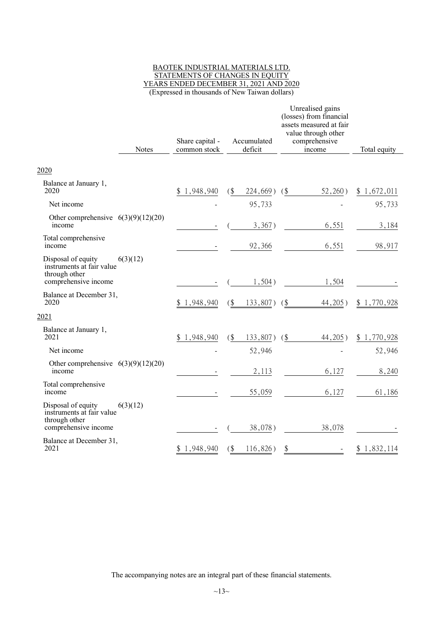#### BAOTEK INDUSTRIAL MATERIALS LTD. STATEMENTS OF CHANGES IN EQUITY YEARS ENDED DECEMBER 31, 2021 AND 2020 (Expressed in thousands of New Taiwan dollars)

|                                                                                          | <b>Notes</b> | Share capital -<br>common stock |         | Accumulated<br>deficit | Unrealised gains<br>(losses) from financial<br>assets measured at fair<br>value through other<br>comprehensive<br>income | Total equity |
|------------------------------------------------------------------------------------------|--------------|---------------------------------|---------|------------------------|--------------------------------------------------------------------------------------------------------------------------|--------------|
|                                                                                          |              |                                 |         |                        |                                                                                                                          |              |
| 2020                                                                                     |              |                                 |         |                        |                                                                                                                          |              |
| Balance at January 1,<br>2020                                                            |              | 1,948,940                       | (       | 224,669) (\$           | 52,260)                                                                                                                  | \$1,672,011  |
| Net income                                                                               |              |                                 |         | 95,733                 |                                                                                                                          | 95,733       |
| Other comprehensive $6(3)(9)(12)(20)$<br>income                                          |              |                                 |         | 3,367)                 | 6,551                                                                                                                    | 3,184        |
| Total comprehensive<br>income                                                            |              |                                 |         | 92,366                 | 6,551                                                                                                                    | 98,917       |
| Disposal of equity<br>instruments at fair value<br>through other<br>comprehensive income | 6(3)(12)     |                                 |         | 1,504)                 | 1,504                                                                                                                    |              |
| Balance at December 31,<br>2020                                                          |              | \$1,948,940                     | (       | $133,807$ ) (\$        | 44,205)                                                                                                                  | \$1,770,928  |
| 2021                                                                                     |              |                                 |         |                        |                                                                                                                          |              |
| Balance at January 1,<br>2021                                                            |              | \$1,948,940                     | (       | $133,807$ ) (\$        | 44,205)                                                                                                                  | \$1,770,928  |
| Net income                                                                               |              |                                 |         | 52,946                 |                                                                                                                          | 52,946       |
| Other comprehensive $6(3)(9)(12)(20)$<br>income                                          |              |                                 |         | 2,113                  | 6,127                                                                                                                    | 8,240        |
| Total comprehensive<br>income                                                            |              |                                 |         | 55,059                 | 6,127                                                                                                                    | 61,186       |
| Disposal of equity<br>instruments at fair value<br>through other<br>comprehensive income | 6(3)(12)     |                                 |         | 38,078)                | 38,078                                                                                                                   |              |
| Balance at December 31,<br>2021                                                          |              | \$1,948,940                     | $(\$\)$ | 116,826)               | \$<br>$\blacksquare$                                                                                                     | \$1,832,114  |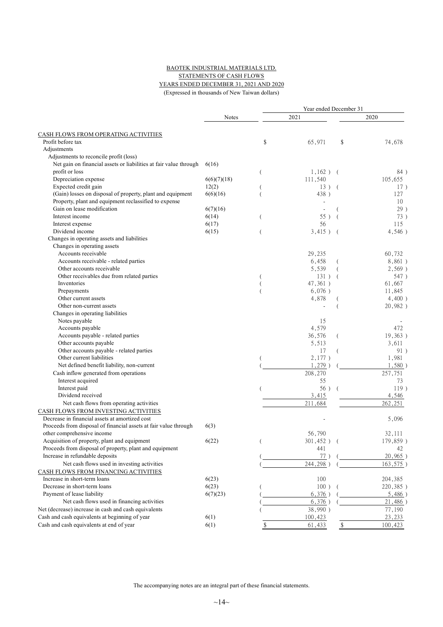#### BAOTEK INDUSTRIAL MATERIALS LTD. STATEMENTS OF CASH FLOWS YEARS ENDED DECEMBER 31, 2021 AND 2020 (Expressed in thousands of New Taiwan dollars)

|                                                                   |              |                | Year ended December 31 |                |           |  |  |  |
|-------------------------------------------------------------------|--------------|----------------|------------------------|----------------|-----------|--|--|--|
|                                                                   | <b>Notes</b> |                | 2021                   | 2020           |           |  |  |  |
|                                                                   |              |                |                        |                |           |  |  |  |
| CASH FLOWS FROM OPERATING ACTIVITIES                              |              |                |                        |                |           |  |  |  |
| Profit before tax                                                 |              | \$             | 65,971                 | \$             | 74,678    |  |  |  |
| Adjustments                                                       |              |                |                        |                |           |  |  |  |
| Adjustments to reconcile profit (loss)                            |              |                |                        |                |           |  |  |  |
| Net gain on financial assets or liabilities at fair value through | 6(16)        |                |                        |                |           |  |  |  |
| profit or loss                                                    |              | (              | $1,162$ ) (            |                | 84)       |  |  |  |
| Depreciation expense                                              | 6(6)(7)(18)  |                | 111,540                |                | 105,655   |  |  |  |
| Expected credit gain                                              | 12(2)        |                | $13)$ (                |                | 17)       |  |  |  |
| (Gain) losses on disposal of property, plant and equipment        | 6(6)(16)     |                | 438)                   |                | 127       |  |  |  |
| Property, plant and equipment reclassified to expense             |              |                |                        |                | 10        |  |  |  |
| Gain on lease modification                                        | 6(7)(16)     |                |                        | - (            | 29)       |  |  |  |
| Interest income                                                   | 6(14)        | (              | 55)                    | $\sqrt{ }$     | 73)       |  |  |  |
| Interest expense                                                  | 6(17)        |                | 56                     |                | 115       |  |  |  |
| Dividend income                                                   | 6(15)        | $\overline{(}$ | $3,415$ ) (            |                | 4,546)    |  |  |  |
| Changes in operating assets and liabilities                       |              |                |                        |                |           |  |  |  |
| Changes in operating assets                                       |              |                |                        |                |           |  |  |  |
| Accounts receivable                                               |              |                | 29,235                 |                | 60,732    |  |  |  |
| Accounts receivable - related parties                             |              |                | 6,458                  | - (            | 8,861)    |  |  |  |
| Other accounts receivable                                         |              |                | 5,539                  |                | $2,569$ ) |  |  |  |
| Other receivables due from related parties                        |              |                | 131)                   | $\sqrt{2}$     | 547)      |  |  |  |
| Inventories                                                       |              |                | 47,361)                |                | 61,667    |  |  |  |
| Prepayments                                                       |              |                | 6,076)                 |                | 11,845    |  |  |  |
| Other current assets                                              |              |                | 4,878                  |                | $4,400$ ) |  |  |  |
| Other non-current assets                                          |              |                |                        | $\overline{ }$ | 20,982)   |  |  |  |
| Changes in operating liabilities                                  |              |                |                        |                |           |  |  |  |
| Notes payable                                                     |              |                | 15                     |                |           |  |  |  |
| Accounts payable                                                  |              |                | 4,579                  |                | 472       |  |  |  |
| Accounts payable - related parties                                |              |                | 36,576                 | €              | 19,363)   |  |  |  |
| Other accounts payable                                            |              |                | 5,513                  |                | 3,611     |  |  |  |
| Other accounts payable - related parties                          |              |                | 17                     | $\overline{ }$ | 91)       |  |  |  |
| Other current liabilities                                         |              |                | 2,177)                 |                | 1,981     |  |  |  |
| Net defined benefit liability, non-current                        |              |                | $1,279$ )              |                | 1,580)    |  |  |  |
| Cash inflow generated from operations                             |              |                | 208,270                |                | 257,751   |  |  |  |
| Interest acquired                                                 |              |                | 55                     |                | 73        |  |  |  |
| Interest paid                                                     |              |                | 56)                    | $\overline{ }$ | 119)      |  |  |  |
| Dividend received                                                 |              |                | 3,415                  |                | 4,546     |  |  |  |
| Net cash flows from operating activities                          |              |                | 211,684                |                | 262,251   |  |  |  |
| CASH FLOWS FROM INVESTING ACTIVITIES                              |              |                |                        |                |           |  |  |  |
| Decrease in financial assets at amortized cost                    |              |                |                        |                | 5,096     |  |  |  |
| Proceeds from disposal of financial assets at fair value through  | 6(3)         |                |                        |                |           |  |  |  |
| other comprehensive income                                        |              |                | 56,790                 |                | 32,111    |  |  |  |
| Acquisition of property, plant and equipment                      | 6(22)        |                | 301,452)               | $\overline{ }$ | 179,859)  |  |  |  |
| Proceeds from disposal of property, plant and equipment           |              |                | 441                    |                | 42        |  |  |  |
| Increase in refundable deposits                                   |              |                | 77)                    |                | 20,965)   |  |  |  |
| Net cash flows used in investing activities                       |              |                | 244,298)               |                | 163, 575) |  |  |  |
| CASH FLOWS FROM FINANCING ACTIVITIES                              |              |                |                        |                |           |  |  |  |
| Increase in short-term loans                                      | 6(23)        |                | 100                    |                | 204,385   |  |  |  |
| Decrease in short-term loans                                      | 6(23)        |                | $100$ )                | $\overline{ }$ | 220,385)  |  |  |  |
| Payment of lease liability                                        | 6(7)(23)     |                | 6,376)                 |                | 5,486)    |  |  |  |
| Net cash flows used in financing activities                       |              |                | 6,376)                 |                | 21,486)   |  |  |  |
| Net (decrease) increase in cash and cash equivalents              |              |                |                        |                |           |  |  |  |
|                                                                   |              |                | 38,990)                |                | 77,190    |  |  |  |
| Cash and cash equivalents at beginning of year                    | 6(1)         |                | 100,423                |                | 23, 233   |  |  |  |
| Cash and cash equivalents at end of year                          | 6(1)         | \$             | 61,433                 | \$             | 100,423   |  |  |  |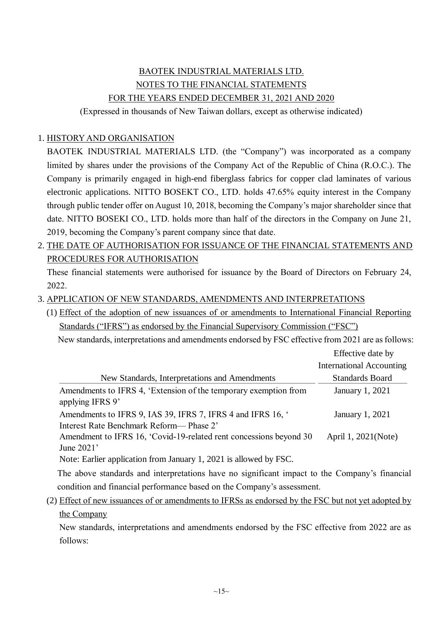# BAOTEK INDUSTRIAL MATERIALS LTD. NOTES TO THE FINANCIAL STATEMENTS FOR THE YEARS ENDED DECEMBER 31, 2021 AND 2020

(Expressed in thousands of New Taiwan dollars, except as otherwise indicated)

# 1. HISTORY AND ORGANISATION

BAOTEK INDUSTRIAL MATERIALS LTD. (the "Company") was incorporated as a company limited by shares under the provisions of the Company Act of the Republic of China (R.O.C.). The Company is primarily engaged in high-end fiberglass fabrics for copper clad laminates of various electronic applications. NITTO BOSEKT CO., LTD. holds 47.65% equity interest in the Company through public tender offer on August 10, 2018, becoming the Company's major shareholder since that date. NITTO BOSEKI CO., LTD. holds more than half of the directors in the Company on June 21, 2019, becoming the Company's parent company since that date.

# 2. THE DATE OF AUTHORISATION FOR ISSUANCE OF THE FINANCIAL STATEMENTS AND PROCEDURES FOR AUTHORISATION

These financial statements were authorised for issuance by the Board of Directors on February 24, 2022.

- 3. APPLICATION OF NEW STANDARDS, AMENDMENTS AND INTERPRETATIONS
	- (1) Effect of the adoption of new issuances of or amendments to International Financial Reporting Standards ("IFRS") as endorsed by the Financial Supervisory Commission ("FSC")

New standards, interpretations and amendments endorsed by FSC effective from 2021 are as follows:

|                                                                                               | Effective date by               |
|-----------------------------------------------------------------------------------------------|---------------------------------|
|                                                                                               | <b>International Accounting</b> |
| New Standards, Interpretations and Amendments                                                 | <b>Standards Board</b>          |
| Amendments to IFRS 4, 'Extension of the temporary exemption from                              | January 1, 2021                 |
| applying IFRS 9'                                                                              |                                 |
| Amendments to IFRS 9, IAS 39, IFRS 7, IFRS 4 and IFRS 16, '                                   | January 1, 2021                 |
| Interest Rate Benchmark Reform— Phase 2'                                                      |                                 |
| Amendment to IFRS 16, 'Covid-19-related rent concessions beyond 30                            | April 1, 2021(Note)             |
| June 2021'                                                                                    |                                 |
| Note: Earlier application from January 1, 2021 is allowed by FSC.                             |                                 |
| The above standards and interpretations have no significant impact to the Company's financial |                                 |
| condition and financial performance based on the Company's assessment.                        |                                 |

(2) Effect of new issuances of or amendments to IFRSs as endorsed by the FSC but not yet adopted by the Company

New standards, interpretations and amendments endorsed by the FSC effective from 2022 are as follows: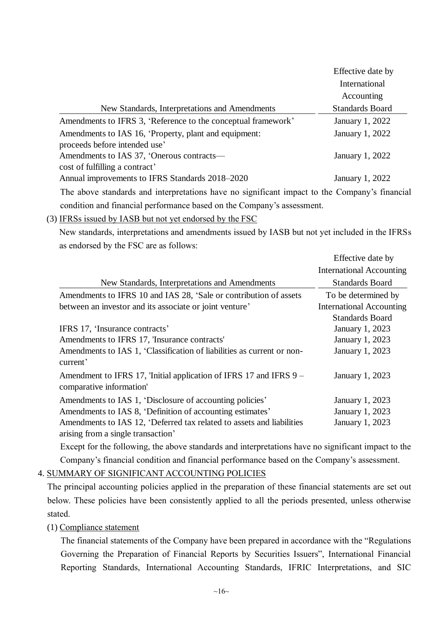|                                                                                               | Effective date by      |
|-----------------------------------------------------------------------------------------------|------------------------|
|                                                                                               | International          |
|                                                                                               | Accounting             |
| New Standards, Interpretations and Amendments                                                 | <b>Standards Board</b> |
| Amendments to IFRS 3, 'Reference to the conceptual framework'                                 | January 1, 2022        |
| Amendments to IAS 16, 'Property, plant and equipment:<br>proceeds before intended use'        | January 1, 2022        |
| Amendments to IAS 37, 'Onerous contracts-<br>cost of fulfilling a contract'                   | January 1, 2022        |
| Annual improvements to IFRS Standards 2018-2020                                               | January 1, 2022        |
| The above standards and interpretations have no significant impact to the Company's financial |                        |

condition and financial performance based on the Company's assessment.

(3) IFRSs issued by IASB but not yet endorsed by the FSC

New standards, interpretations and amendments issued by IASB but not yet included in the IFRSs as endorsed by the FSC are as follows:

 $Eff$ ective date by

|                                                                                                             | Ellective date by               |
|-------------------------------------------------------------------------------------------------------------|---------------------------------|
|                                                                                                             | <b>International Accounting</b> |
| New Standards, Interpretations and Amendments                                                               | <b>Standards Board</b>          |
| Amendments to IFRS 10 and IAS 28, 'Sale or contribution of assets                                           | To be determined by             |
| between an investor and its associate or joint venture'                                                     | <b>International Accounting</b> |
|                                                                                                             | <b>Standards Board</b>          |
| IFRS 17, 'Insurance contracts'                                                                              | January 1, 2023                 |
| Amendments to IFRS 17, 'Insurance contracts'                                                                | January 1, 2023                 |
| Amendments to IAS 1, 'Classification of liabilities as current or non-<br>current'                          | January 1, 2023                 |
| Amendment to IFRS 17, 'Initial application of IFRS 17 and IFRS 9 –<br>comparative information'              | January 1, 2023                 |
| Amendments to IAS 1, 'Disclosure of accounting policies'                                                    | January 1, 2023                 |
| Amendments to IAS 8, 'Definition of accounting estimates'                                                   | January 1, 2023                 |
| Amendments to IAS 12, 'Deferred tax related to assets and liabilities<br>arising from a single transaction' | January 1, 2023                 |

Except for the following, the above standards and interpretations have no significant impact to the Company's financial condition and financial performance based on the Company's assessment.

# 4. SUMMARY OF SIGNIFICANT ACCOUNTING POLICIES

The principal accounting policies applied in the preparation of these financial statements are set out below. These policies have been consistently applied to all the periods presented, unless otherwise stated.

(1) Compliance statement

The financial statements of the Company have been prepared in accordance with the "Regulations Governing the Preparation of Financial Reports by Securities Issuers", International Financial Reporting Standards, International Accounting Standards, IFRIC Interpretations, and SIC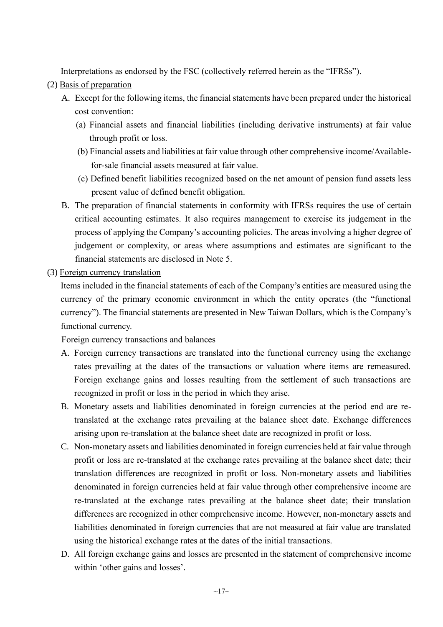Interpretations as endorsed by the FSC (collectively referred herein as the "IFRSs").

- (2) Basis of preparation
	- A. Except for the following items, the financial statements have been prepared under the historical cost convention:
		- (a) Financial assets and financial liabilities (including derivative instruments) at fair value through profit or loss.
		- (b) Financial assets and liabilities at fair value through other comprehensive income/Availablefor-sale financial assets measured at fair value.
		- (c) Defined benefit liabilities recognized based on the net amount of pension fund assets less present value of defined benefit obligation.
	- B. The preparation of financial statements in conformity with IFRSs requires the use of certain critical accounting estimates. It also requires management to exercise its judgement in the process of applying the Company's accounting policies. The areas involving a higher degree of judgement or complexity, or areas where assumptions and estimates are significant to the financial statements are disclosed in Note 5.
- (3) Foreign currency translation

Items included in the financial statements of each of the Company's entities are measured using the currency of the primary economic environment in which the entity operates (the "functional currency"). The financial statements are presented in New Taiwan Dollars, which is the Company's functional currency.

Foreign currency transactions and balances

- A. Foreign currency transactions are translated into the functional currency using the exchange rates prevailing at the dates of the transactions or valuation where items are remeasured. Foreign exchange gains and losses resulting from the settlement of such transactions are recognized in profit or loss in the period in which they arise.
- B. Monetary assets and liabilities denominated in foreign currencies at the period end are retranslated at the exchange rates prevailing at the balance sheet date. Exchange differences arising upon re-translation at the balance sheet date are recognized in profit or loss.
- C. Non-monetary assets and liabilities denominated in foreign currencies held at fair value through profit or loss are re-translated at the exchange rates prevailing at the balance sheet date; their translation differences are recognized in profit or loss. Non-monetary assets and liabilities denominated in foreign currencies held at fair value through other comprehensive income are re-translated at the exchange rates prevailing at the balance sheet date; their translation differences are recognized in other comprehensive income. However, non-monetary assets and liabilities denominated in foreign currencies that are not measured at fair value are translated using the historical exchange rates at the dates of the initial transactions.
- D. All foreign exchange gains and losses are presented in the statement of comprehensive income within 'other gains and losses'.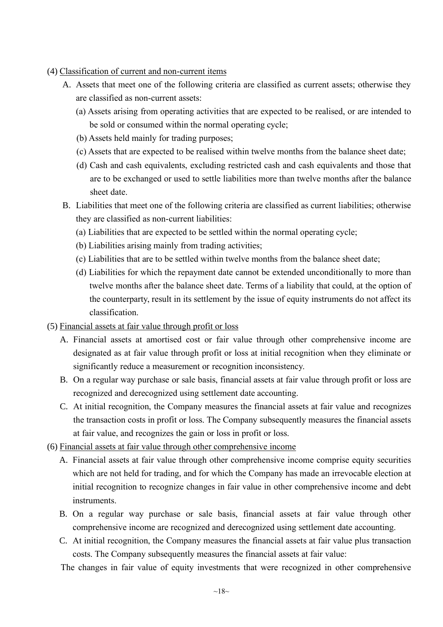- (4) Classification of current and non-current items
	- A. Assets that meet one of the following criteria are classified as current assets; otherwise they are classified as non-current assets:
		- (a) Assets arising from operating activities that are expected to be realised, or are intended to be sold or consumed within the normal operating cycle;
		- (b) Assets held mainly for trading purposes;
		- (c) Assets that are expected to be realised within twelve months from the balance sheet date;
		- (d) Cash and cash equivalents, excluding restricted cash and cash equivalents and those that are to be exchanged or used to settle liabilities more than twelve months after the balance sheet date.
	- B. Liabilities that meet one of the following criteria are classified as current liabilities; otherwise they are classified as non-current liabilities:
		- (a) Liabilities that are expected to be settled within the normal operating cycle;
		- (b) Liabilities arising mainly from trading activities;
		- (c) Liabilities that are to be settled within twelve months from the balance sheet date;
		- (d) Liabilities for which the repayment date cannot be extended unconditionally to more than twelve months after the balance sheet date. Terms of a liability that could, at the option of the counterparty, result in its settlement by the issue of equity instruments do not affect its classification.
- (5) Financial assets at fair value through profit or loss
	- A. Financial assets at amortised cost or fair value through other comprehensive income are designated as at fair value through profit or loss at initial recognition when they eliminate or significantly reduce a measurement or recognition inconsistency.
	- B. On a regular way purchase or sale basis, financial assets at fair value through profit or loss are recognized and derecognized using settlement date accounting.
	- C. At initial recognition, the Company measures the financial assets at fair value and recognizes the transaction costs in profit or loss. The Company subsequently measures the financial assets at fair value, and recognizes the gain or loss in profit or loss.
- (6) Financial assets at fair value through other comprehensive income
	- A. Financial assets at fair value through other comprehensive income comprise equity securities which are not held for trading, and for which the Company has made an irrevocable election at initial recognition to recognize changes in fair value in other comprehensive income and debt instruments.
	- B. On a regular way purchase or sale basis, financial assets at fair value through other comprehensive income are recognized and derecognized using settlement date accounting.
	- C. At initial recognition, the Company measures the financial assets at fair value plus transaction costs. The Company subsequently measures the financial assets at fair value:

The changes in fair value of equity investments that were recognized in other comprehensive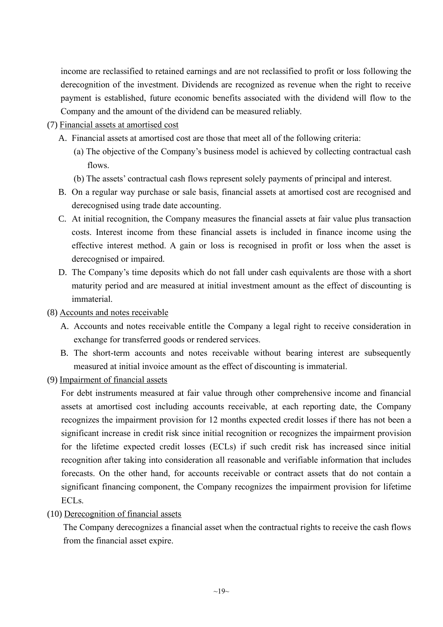income are reclassified to retained earnings and are not reclassified to profit or loss following the derecognition of the investment. Dividends are recognized as revenue when the right to receive payment is established, future economic benefits associated with the dividend will flow to the Company and the amount of the dividend can be measured reliably.

- (7) Financial assets at amortised cost
	- A. Financial assets at amortised cost are those that meet all of the following criteria:
		- (a) The objective of the Company's business model is achieved by collecting contractual cash flows.
		- (b) The assets' contractual cash flows represent solely payments of principal and interest.
	- B. On a regular way purchase or sale basis, financial assets at amortised cost are recognised and derecognised using trade date accounting.
	- C. At initial recognition, the Company measures the financial assets at fair value plus transaction costs. Interest income from these financial assets is included in finance income using the effective interest method. A gain or loss is recognised in profit or loss when the asset is derecognised or impaired.
	- D. The Company's time deposits which do not fall under cash equivalents are those with a short maturity period and are measured at initial investment amount as the effect of discounting is immaterial.
- (8) Accounts and notes receivable
	- A. Accounts and notes receivable entitle the Company a legal right to receive consideration in exchange for transferred goods or rendered services.
	- B. The short-term accounts and notes receivable without bearing interest are subsequently measured at initial invoice amount as the effect of discounting is immaterial.
- (9) Impairment of financial assets

For debt instruments measured at fair value through other comprehensive income and financial assets at amortised cost including accounts receivable, at each reporting date, the Company recognizes the impairment provision for 12 months expected credit losses if there has not been a significant increase in credit risk since initial recognition or recognizes the impairment provision for the lifetime expected credit losses (ECLs) if such credit risk has increased since initial recognition after taking into consideration all reasonable and verifiable information that includes forecasts. On the other hand, for accounts receivable or contract assets that do not contain a significant financing component, the Company recognizes the impairment provision for lifetime ECLs.

(10) Derecognition of financial assets

The Company derecognizes a financial asset when the contractual rights to receive the cash flows from the financial asset expire.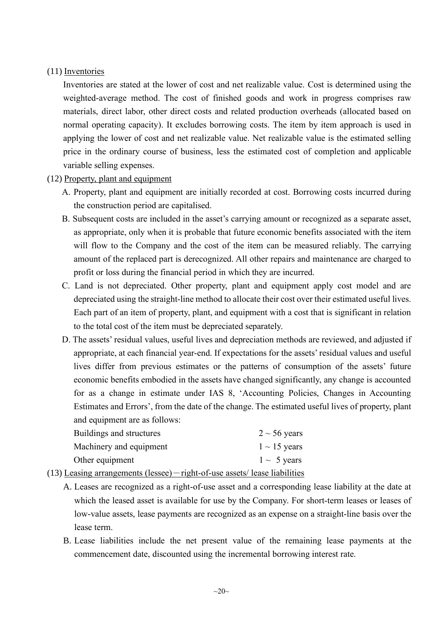#### (11) Inventories

Inventories are stated at the lower of cost and net realizable value. Cost is determined using the weighted-average method. The cost of finished goods and work in progress comprises raw materials, direct labor, other direct costs and related production overheads (allocated based on normal operating capacity). It excludes borrowing costs. The item by item approach is used in applying the lower of cost and net realizable value. Net realizable value is the estimated selling price in the ordinary course of business, less the estimated cost of completion and applicable variable selling expenses.

### (12) Property, plant and equipment

- A. Property, plant and equipment are initially recorded at cost. Borrowing costs incurred during the construction period are capitalised.
- B. Subsequent costs are included in the asset's carrying amount or recognized as a separate asset, as appropriate, only when it is probable that future economic benefits associated with the item will flow to the Company and the cost of the item can be measured reliably. The carrying amount of the replaced part is derecognized. All other repairs and maintenance are charged to profit or loss during the financial period in which they are incurred.
- C. Land is not depreciated. Other property, plant and equipment apply cost model and are depreciated using the straight-line method to allocate their cost over their estimated useful lives. Each part of an item of property, plant, and equipment with a cost that is significant in relation to the total cost of the item must be depreciated separately.
- D. The assets' residual values, useful lives and depreciation methods are reviewed, and adjusted if appropriate, at each financial year-end. If expectations for the assets' residual values and useful lives differ from previous estimates or the patterns of consumption of the assets' future economic benefits embodied in the assets have changed significantly, any change is accounted for as a change in estimate under IAS 8, 'Accounting Policies, Changes in Accounting Estimates and Errors', from the date of the change. The estimated useful lives of property, plant and equipment are as follows:

| Buildings and structures |  |  | $2 \sim 56$ years |
|--------------------------|--|--|-------------------|
| Machinery and equipment  |  |  | $1 \sim 15$ years |
| Other equipment          |  |  | $1 \sim 5$ years  |
|                          |  |  | $1.11$ $1.11$     |

- $(13)$  Leasing arrangements (lessee) right-of-use assets/ lease liabilities
	- A. Leases are recognized as a right-of-use asset and a corresponding lease liability at the date at which the leased asset is available for use by the Company. For short-term leases or leases of low-value assets, lease payments are recognized as an expense on a straight-line basis over the lease term.
	- B. Lease liabilities include the net present value of the remaining lease payments at the commencement date, discounted using the incremental borrowing interest rate.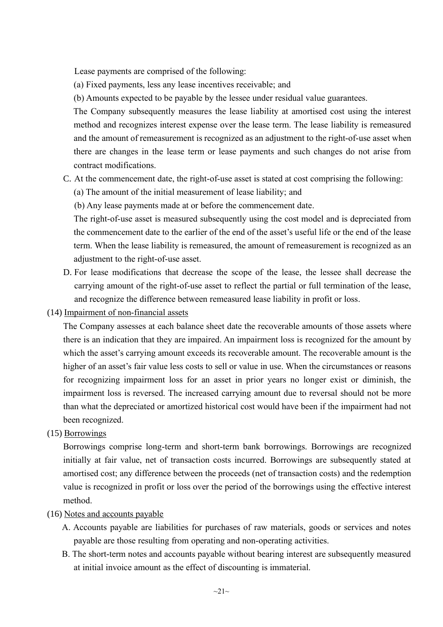Lease payments are comprised of the following:

- (a) Fixed payments, less any lease incentives receivable; and
- (b) Amounts expected to be payable by the lessee under residual value guarantees.

The Company subsequently measures the lease liability at amortised cost using the interest method and recognizes interest expense over the lease term. The lease liability is remeasured and the amount of remeasurement is recognized as an adjustment to the right-of-use asset when there are changes in the lease term or lease payments and such changes do not arise from contract modifications.

- C. At the commencement date, the right-of-use asset is stated at cost comprising the following:
	- (a) The amount of the initial measurement of lease liability; and
	- (b) Any lease payments made at or before the commencement date.

The right-of-use asset is measured subsequently using the cost model and is depreciated from the commencement date to the earlier of the end of the asset's useful life or the end of the lease term. When the lease liability is remeasured, the amount of remeasurement is recognized as an adjustment to the right-of-use asset.

- D. For lease modifications that decrease the scope of the lease, the lessee shall decrease the carrying amount of the right-of-use asset to reflect the partial or full termination of the lease, and recognize the difference between remeasured lease liability in profit or loss.
- (14) Impairment of non-financial assets

The Company assesses at each balance sheet date the recoverable amounts of those assets where there is an indication that they are impaired. An impairment loss is recognized for the amount by which the asset's carrying amount exceeds its recoverable amount. The recoverable amount is the higher of an asset's fair value less costs to sell or value in use. When the circumstances or reasons for recognizing impairment loss for an asset in prior years no longer exist or diminish, the impairment loss is reversed. The increased carrying amount due to reversal should not be more than what the depreciated or amortized historical cost would have been if the impairment had not been recognized.

#### (15) Borrowings

Borrowings comprise long-term and short-term bank borrowings. Borrowings are recognized initially at fair value, net of transaction costs incurred. Borrowings are subsequently stated at amortised cost; any difference between the proceeds (net of transaction costs) and the redemption value is recognized in profit or loss over the period of the borrowings using the effective interest method.

#### (16) Notes and accounts payable

- A. Accounts payable are liabilities for purchases of raw materials, goods or services and notes payable are those resulting from operating and non-operating activities.
- B. The short-term notes and accounts payable without bearing interest are subsequently measured at initial invoice amount as the effect of discounting is immaterial.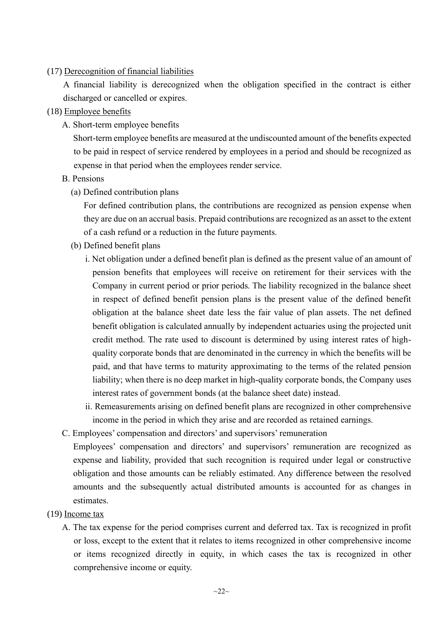#### (17) Derecognition of financial liabilities

A financial liability is derecognized when the obligation specified in the contract is either discharged or cancelled or expires.

- (18) Employee benefits
	- A. Short-term employee benefits

Short-term employee benefits are measured at the undiscounted amount of the benefits expected to be paid in respect of service rendered by employees in a period and should be recognized as expense in that period when the employees render service.

#### B. Pensions

(a) Defined contribution plans

For defined contribution plans, the contributions are recognized as pension expense when they are due on an accrual basis. Prepaid contributions are recognized as an asset to the extent of a cash refund or a reduction in the future payments.

- (b) Defined benefit plans
	- i. Net obligation under a defined benefit plan is defined as the present value of an amount of pension benefits that employees will receive on retirement for their services with the Company in current period or prior periods. The liability recognized in the balance sheet in respect of defined benefit pension plans is the present value of the defined benefit obligation at the balance sheet date less the fair value of plan assets. The net defined benefit obligation is calculated annually by independent actuaries using the projected unit credit method. The rate used to discount is determined by using interest rates of highquality corporate bonds that are denominated in the currency in which the benefits will be paid, and that have terms to maturity approximating to the terms of the related pension liability; when there is no deep market in high-quality corporate bonds, the Company uses interest rates of government bonds (at the balance sheet date) instead.
	- ii. Remeasurements arising on defined benefit plans are recognized in other comprehensive income in the period in which they arise and are recorded as retained earnings.
- C. Employees' compensation and directors' and supervisors' remuneration

Employees' compensation and directors' and supervisors' remuneration are recognized as expense and liability, provided that such recognition is required under legal or constructive obligation and those amounts can be reliably estimated. Any difference between the resolved amounts and the subsequently actual distributed amounts is accounted for as changes in estimates.

#### (19) Income tax

A. The tax expense for the period comprises current and deferred tax. Tax is recognized in profit or loss, except to the extent that it relates to items recognized in other comprehensive income or items recognized directly in equity, in which cases the tax is recognized in other comprehensive income or equity.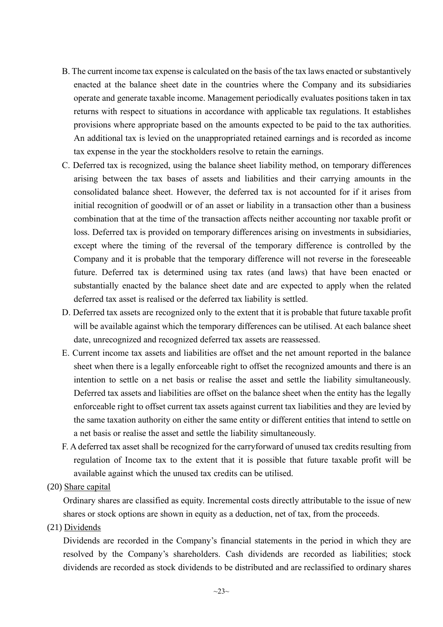- B. The current income tax expense is calculated on the basis of the tax laws enacted or substantively enacted at the balance sheet date in the countries where the Company and its subsidiaries operate and generate taxable income. Management periodically evaluates positions taken in tax returns with respect to situations in accordance with applicable tax regulations. It establishes provisions where appropriate based on the amounts expected to be paid to the tax authorities. An additional tax is levied on the unappropriated retained earnings and is recorded as income tax expense in the year the stockholders resolve to retain the earnings.
- C. Deferred tax is recognized, using the balance sheet liability method, on temporary differences arising between the tax bases of assets and liabilities and their carrying amounts in the consolidated balance sheet. However, the deferred tax is not accounted for if it arises from initial recognition of goodwill or of an asset or liability in a transaction other than a business combination that at the time of the transaction affects neither accounting nor taxable profit or loss. Deferred tax is provided on temporary differences arising on investments in subsidiaries, except where the timing of the reversal of the temporary difference is controlled by the Company and it is probable that the temporary difference will not reverse in the foreseeable future. Deferred tax is determined using tax rates (and laws) that have been enacted or substantially enacted by the balance sheet date and are expected to apply when the related deferred tax asset is realised or the deferred tax liability is settled.
- D. Deferred tax assets are recognized only to the extent that it is probable that future taxable profit will be available against which the temporary differences can be utilised. At each balance sheet date, unrecognized and recognized deferred tax assets are reassessed.
- E. Current income tax assets and liabilities are offset and the net amount reported in the balance sheet when there is a legally enforceable right to offset the recognized amounts and there is an intention to settle on a net basis or realise the asset and settle the liability simultaneously. Deferred tax assets and liabilities are offset on the balance sheet when the entity has the legally enforceable right to offset current tax assets against current tax liabilities and they are levied by the same taxation authority on either the same entity or different entities that intend to settle on a net basis or realise the asset and settle the liability simultaneously.
- F. A deferred tax asset shall be recognized for the carryforward of unused tax credits resulting from regulation of Income tax to the extent that it is possible that future taxable profit will be available against which the unused tax credits can be utilised.
- (20) Share capital

Ordinary shares are classified as equity. Incremental costs directly attributable to the issue of new shares or stock options are shown in equity as a deduction, net of tax, from the proceeds.

(21) Dividends

Dividends are recorded in the Company's financial statements in the period in which they are resolved by the Company's shareholders. Cash dividends are recorded as liabilities; stock dividends are recorded as stock dividends to be distributed and are reclassified to ordinary shares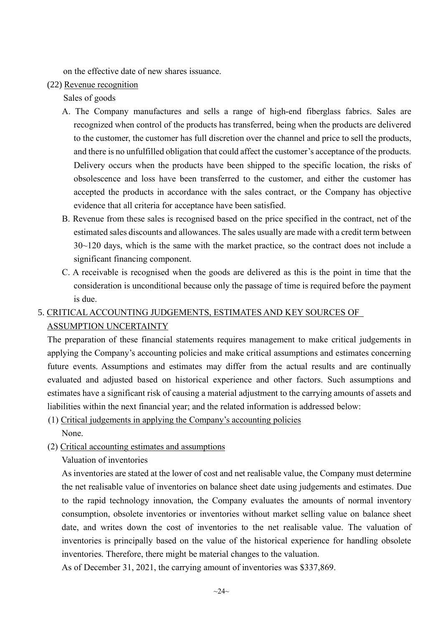on the effective date of new shares issuance.

#### (22) Revenue recognition

#### Sales of goods

- A. The Company manufactures and sells a range of high-end fiberglass fabrics. Sales are recognized when control of the products has transferred, being when the products are delivered to the customer, the customer has full discretion over the channel and price to sell the products, and there is no unfulfilled obligation that could affect the customer's acceptance of the products. Delivery occurs when the products have been shipped to the specific location, the risks of obsolescence and loss have been transferred to the customer, and either the customer has accepted the products in accordance with the sales contract, or the Company has objective evidence that all criteria for acceptance have been satisfied.
- B. Revenue from these sales is recognised based on the price specified in the contract, net of the estimated sales discounts and allowances. The sales usually are made with a credit term between 30~120 days, which is the same with the market practice, so the contract does not include a significant financing component.
- C. A receivable is recognised when the goods are delivered as this is the point in time that the consideration is unconditional because only the passage of time is required before the payment is due.

# 5. CRITICAL ACCOUNTING JUDGEMENTS, ESTIMATES AND KEY SOURCES OF ASSUMPTION UNCERTAINTY

The preparation of these financial statements requires management to make critical judgements in applying the Company's accounting policies and make critical assumptions and estimates concerning future events. Assumptions and estimates may differ from the actual results and are continually evaluated and adjusted based on historical experience and other factors. Such assumptions and estimates have a significant risk of causing a material adjustment to the carrying amounts of assets and liabilities within the next financial year; and the related information is addressed below:

- (1) Critical judgements in applying the Company's accounting policies None.
- (2) Critical accounting estimates and assumptions

### Valuation of inventories

As inventories are stated at the lower of cost and net realisable value, the Company must determine the net realisable value of inventories on balance sheet date using judgements and estimates. Due to the rapid technology innovation, the Company evaluates the amounts of normal inventory consumption, obsolete inventories or inventories without market selling value on balance sheet date, and writes down the cost of inventories to the net realisable value. The valuation of inventories is principally based on the value of the historical experience for handling obsolete inventories. Therefore, there might be material changes to the valuation.

As of December 31, 2021, the carrying amount of inventories was \$337,869.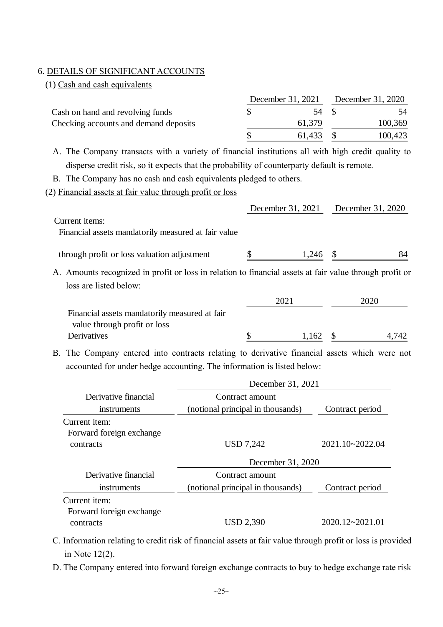#### 6. DETAILS OF SIGNIFICANT ACCOUNTS

| (1) Cash and cash equivalents |  |  |  |
|-------------------------------|--|--|--|
|                               |  |  |  |

|                                       | December 31, 2021 | December 31, 2020 |         |  |
|---------------------------------------|-------------------|-------------------|---------|--|
| Cash on hand and revolving funds      | 54                |                   | 54      |  |
| Checking accounts and demand deposits | 61,379            |                   | 100,369 |  |
|                                       | 61,433            |                   | 100,423 |  |

A. The Company transacts with a variety of financial institutions all with high credit quality to disperse credit risk, so it expects that the probability of counterparty default is remote.

B. The Company has no cash and cash equivalents pledged to others.

(2) Financial assets at fair value through profit or loss

|                                                                                                                                   | December 31, 2021 | December 31, 2020 |
|-----------------------------------------------------------------------------------------------------------------------------------|-------------------|-------------------|
| Current items:                                                                                                                    |                   |                   |
| Financial assets mandatorily measured at fair value                                                                               |                   |                   |
| through profit or loss valuation adjustment                                                                                       | 1,246             | 84                |
| A. Amounts recognized in profit or loss in relation to financial assets at fair value through profit or<br>loss are listed below: |                   |                   |
|                                                                                                                                   | 2021              | 2020              |
| Financial assets mandatorily measured at fair<br>value through profit or loss                                                     |                   |                   |
| Derivatives                                                                                                                       | 1.162             | 4.742             |

B. The Company entered into contracts relating to derivative financial assets which were not accounted for under hedge accounting. The information is listed below:

|                                       | December 31, 2021                 |                          |
|---------------------------------------|-----------------------------------|--------------------------|
| Derivative financial                  | Contract amount                   |                          |
| instruments                           | (notional principal in thousands) | Contract period          |
| Current item:                         |                                   |                          |
| Forward foreign exchange<br>contracts | <b>USD</b> 7,242                  | $2021.10 - 2022.04$      |
|                                       | December 31, 2020                 |                          |
| Derivative financial                  | Contract amount                   |                          |
| instruments                           | (notional principal in thousands) | Contract period          |
| Current item:                         |                                   |                          |
| Forward foreign exchange              |                                   |                          |
|                                       | <b>USD 2,390</b>                  | $2020.12 \times 2021.01$ |

- C. Information relating to credit risk of financial assets at fair value through profit or loss is provided in Note 12(2).
- D. The Company entered into forward foreign exchange contracts to buy to hedge exchange rate risk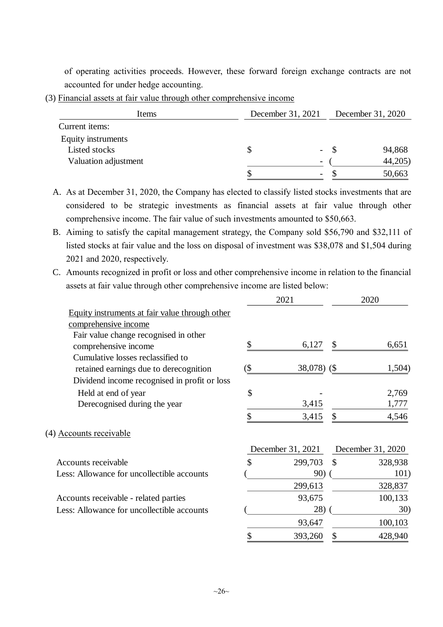of operating activities proceeds. However, these forward foreign exchange contracts are not accounted for under hedge accounting.

(3) Financial assets at fair value through other comprehensive income

| Items                | December 31, 2021 |                          | December 31, 2020 |
|----------------------|-------------------|--------------------------|-------------------|
| Current items:       |                   |                          |                   |
| Equity instruments   |                   |                          |                   |
| Listed stocks        |                   | $\sim$                   | 94,868            |
| Valuation adjustment |                   | $\overline{\phantom{a}}$ | 44,205)           |
|                      |                   | -                        | 50,663            |

A. As at December 31, 2020, the Company has elected to classify listed stocks investments that are considered to be strategic investments as financial assets at fair value through other comprehensive income. The fair value of such investments amounted to \$50,663.

- B. Aiming to satisfy the capital management strategy, the Company sold \$56,790 and \$32,111 of listed stocks at fair value and the loss on disposal of investment was \$38,078 and \$1,504 during 2021 and 2020, respectively.
- C. Amounts recognized in profit or loss and other comprehensive income in relation to the financial assets at fair value through other comprehensive income are listed below:

|                                                |        | 2021              | 2020 |                   |  |
|------------------------------------------------|--------|-------------------|------|-------------------|--|
| Equity instruments at fair value through other |        |                   |      |                   |  |
| comprehensive income                           |        |                   |      |                   |  |
| Fair value change recognised in other          |        |                   |      |                   |  |
| comprehensive income                           |        | 6,127             |      | 6,651             |  |
| Cumulative losses reclassified to              |        |                   |      |                   |  |
| retained earnings due to derecognition         | $($ \$ | $38,078$ (\$)     |      | 1,504)            |  |
| Dividend income recognised in profit or loss   |        |                   |      |                   |  |
| Held at end of year                            | \$     |                   |      | 2,769             |  |
| Derecognised during the year                   |        | 3,415             |      | 1,777             |  |
|                                                | \$     | 3,415             | \$   | 4,546             |  |
| (4) Accounts receivable                        |        |                   |      |                   |  |
|                                                |        | December 31, 2021 |      | December 31, 2020 |  |
| Accounts receivable                            | \$     | 299,703           | \$   | 328,938           |  |
| Less: Allowance for uncollectible accounts     |        | 90)               |      | 101)              |  |
|                                                |        | 299,613           |      | 328,837           |  |
| Accounts receivable - related parties          |        | 93,675            |      | 100,133           |  |
| Less: Allowance for uncollectible accounts     |        | 28)               |      | 30)               |  |
|                                                |        | 93,647            |      | 100,103           |  |
|                                                | \$     | 393,260           | \$   | 428,940           |  |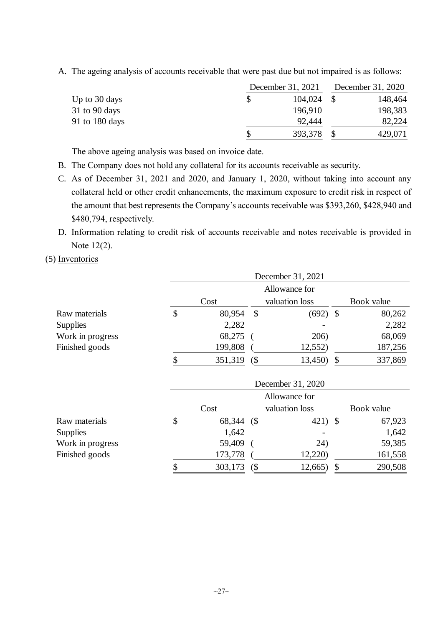A. The ageing analysis of accounts receivable that were past due but not impaired is as follows:

|                | December 31, 2021 |  |         |
|----------------|-------------------|--|---------|
| Up to 30 days  | 104,024           |  | 148,464 |
| 31 to 90 days  | 196,910           |  | 198,383 |
| 91 to 180 days | 92,444            |  | 82,224  |
|                | 393,378           |  | 429,071 |

The above ageing analysis was based on invoice date.

- B. The Company does not hold any collateral for its accounts receivable as security.
- C. As of December 31, 2021 and 2020, and January 1, 2020, without taking into account any collateral held or other credit enhancements, the maximum exposure to credit risk in respect of the amount that best represents the Company's accounts receivable was \$393,260, \$428,940 and \$480,794, respectively.
- D. Information relating to credit risk of accounts receivable and notes receivable is provided in Note 12(2).

(5) Inventories

|                  | December 31, 2021 |                |                           |  |            |  |  |  |  |
|------------------|-------------------|----------------|---------------------------|--|------------|--|--|--|--|
|                  |                   |                |                           |  |            |  |  |  |  |
|                  | Cost              | valuation loss |                           |  | Book value |  |  |  |  |
| Raw materials    | \$<br>80,954      | $\mathcal{S}$  | $(692)$ \$                |  | 80,262     |  |  |  |  |
| <b>Supplies</b>  | 2,282             |                |                           |  | 2,282      |  |  |  |  |
| Work in progress | 68,275            |                | 206)                      |  | 68,069     |  |  |  |  |
| Finished goods   | 199,808           |                | 12,552)                   |  | 187,256    |  |  |  |  |
|                  | 351,319           | (              | 13,450)                   |  | 337,869    |  |  |  |  |
|                  |                   | $\mathbf{r}$   | 21.2020<br>$\blacksquare$ |  |            |  |  |  |  |

|                  | December 31, 2020 |               |                |                 |  |            |  |  |  |  |  |
|------------------|-------------------|---------------|----------------|-----------------|--|------------|--|--|--|--|--|
|                  |                   | Allowance for |                |                 |  |            |  |  |  |  |  |
|                  |                   | Cost          | valuation loss |                 |  | Book value |  |  |  |  |  |
| Raw materials    | \$                | 68,344 (\$    |                | 421) $\sqrt{s}$ |  | 67,923     |  |  |  |  |  |
| <b>Supplies</b>  |                   | 1,642         |                |                 |  | 1,642      |  |  |  |  |  |
| Work in progress |                   | 59,409        |                | 24)             |  | 59,385     |  |  |  |  |  |
| Finished goods   |                   | 173,778       |                | 12,220)         |  | 161,558    |  |  |  |  |  |
|                  | \$                | 303,173       | (              | 12,665)         |  | 290,508    |  |  |  |  |  |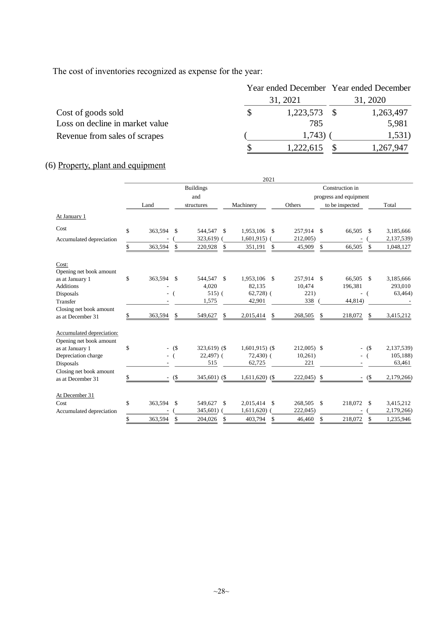The cost of inventories recognized as expense for the year:

|                                 |          |                | Year ended December Year ended December |           |  |
|---------------------------------|----------|----------------|-----------------------------------------|-----------|--|
|                                 | 31, 2021 | 31, 2020       |                                         |           |  |
| Cost of goods sold              |          | $1,223,573$ \$ |                                         | 1,263,497 |  |
| Loss on decline in market value |          | 785            |                                         | 5,981     |  |
| Revenue from sales of scrapes   |          | 1,743)         |                                         | 1,531)    |  |
|                                 |          | 1,222,615      |                                         | 1,267,947 |  |

# (6) Property, plant and equipment

|                                                      |                                |        |                  |               |                  | 2021          |              |               |                          |               |            |  |
|------------------------------------------------------|--------------------------------|--------|------------------|---------------|------------------|---------------|--------------|---------------|--------------------------|---------------|------------|--|
|                                                      |                                |        | <b>Buildings</b> |               |                  |               |              |               | Construction in          |               |            |  |
|                                                      |                                |        | and              |               |                  |               |              |               | progress and equipment   |               |            |  |
|                                                      | Land                           |        | structures       |               | Machinery        |               | Others       |               | to be inspected          |               | Total      |  |
| At January 1                                         |                                |        |                  |               |                  |               |              |               |                          |               |            |  |
| Cost                                                 | \$<br>363,594                  | \$     | 544,547          | \$            | 1,953,106        | S             | 257,914      | \$            | 66,505                   | S             | 3,185,666  |  |
| Accumulated depreciation                             |                                |        | 323,619)         |               | 1,601,915        |               | 212,005)     |               |                          |               | 2,137,539) |  |
|                                                      | \$<br>363,594                  | \$     | 220,928          | $\mathbb{S}$  | 351,191          | \$            | 45,909       | \$            | 66,505                   | <sup>\$</sup> | 1,048,127  |  |
| Cost:                                                |                                |        |                  |               |                  |               |              |               |                          |               |            |  |
| Opening net book amount<br>as at January 1           | \$<br>363,594                  | \$     | 544,547          | <sup>\$</sup> | 1,953,106        | -S            | 257,914      | - \$          | 66,505                   | - \$          | 3,185,666  |  |
| <b>Additions</b>                                     |                                |        | 4.020            |               | 82,135           |               | 10,474       |               | 196,381                  |               | 293,010    |  |
| Disposals                                            | $\overline{\phantom{0}}$       |        | $515)$ (         |               | $62,728$ (       |               | 221)         |               | $\overline{\phantom{0}}$ |               | 63,464)    |  |
| Transfer                                             |                                |        | 1,575            |               | 42,901           |               | 338          |               | 44,814)                  |               |            |  |
| Closing net book amount<br>as at December 31         | \$<br>363,594                  | \$     | 549,627          | \$            | 2,015,414        | <sup>\$</sup> | 268,505      | S             | 218,072                  | S             | 3,415,212  |  |
| Accumulated depreciation:<br>Opening net book amount |                                |        |                  |               |                  |               |              |               |                          |               |            |  |
| as at January 1                                      | \$<br>$\overline{\phantom{a}}$ | (S     | 323,619) (\$     |               | $1,601,915$ (\$) |               | $212,005$ \$ |               |                          | - (\$         | 2,137,539) |  |
| Depreciation charge                                  | $\overline{\phantom{0}}$       |        | $22,497$ ) (     |               | $72,430$ (       |               | 10,261)      |               |                          |               | 105,188)   |  |
| Disposals                                            |                                |        | 515              |               | 62,725           |               | 221          |               |                          |               | 63,461     |  |
| Closing net book amount<br>as at December 31         | \$                             | $($ \$ | 345,601) (\$     |               | $1,611,620$ (\$  |               | 222,045)     | S             |                          | $($ \$        | 2,179,266) |  |
| At December 31                                       |                                |        |                  |               |                  |               |              |               |                          |               |            |  |
| Cost                                                 | \$<br>363,594                  | \$     | 549,627          | \$            | 2,015,414        | S             | 268,505      | <sup>\$</sup> | 218,072                  | S             | 3,415,212  |  |
| Accumulated depreciation                             |                                |        | 345,601)         |               | 1,611,620)       |               | 222,045)     |               |                          |               | 2,179,266) |  |
|                                                      | \$<br>363,594                  | \$     | 204.026          | \$            | 403,794          | <sup>\$</sup> | 46.460       | \$            | 218,072                  | \$            | 1,235,946  |  |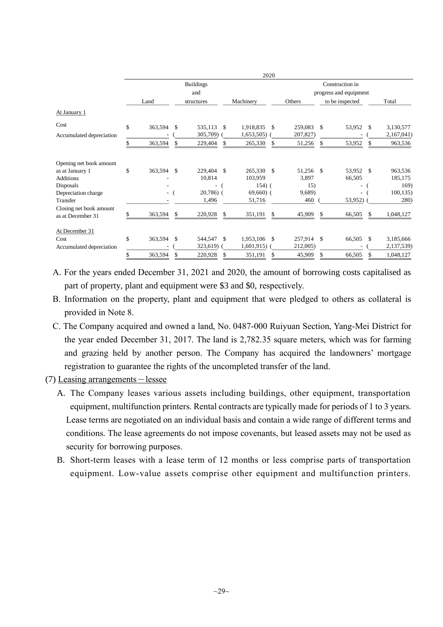|                                              |    |                          |                  |    |              | 2020 |           |               |                        |               |            |
|----------------------------------------------|----|--------------------------|------------------|----|--------------|------|-----------|---------------|------------------------|---------------|------------|
|                                              |    |                          | <b>Buildings</b> |    |              |      |           |               | Construction in        |               |            |
|                                              |    |                          | and              |    |              |      |           |               | progress and equipment |               |            |
|                                              |    | Land                     | structures       |    | Machinery    |      | Others    |               | to be inspected        |               | Total      |
| At January 1                                 |    |                          |                  |    |              |      |           |               |                        |               |            |
| Cost                                         | \$ | 363,594                  | \$<br>535,113    | \$ | 1,918,835    | \$   | 259,083   | <sup>\$</sup> | 53,952                 | -S            | 3,130,577  |
| Accumulated depreciation                     |    |                          | 305,709)         |    | 1,653,505)   |      | 207,827)  |               |                        |               | 2,167,041) |
|                                              | S. | 363,594                  | \$<br>229,404    | \$ | 265,330      | \$   | 51,256    | S             | 53,952                 | \$.           | 963,536    |
| Opening net book amount                      |    |                          |                  |    |              |      |           |               |                        |               |            |
| as at January 1                              | \$ | 363,594                  | \$<br>229,404    | -S | 265,330      | -\$  | 51,256 \$ |               | 53,952 \$              |               | 963,536    |
| <b>Additions</b>                             |    |                          | 10,814           |    | 103,959      |      | 3.897     |               | 66,505                 |               | 185,175    |
| Disposals                                    |    |                          |                  |    | $154)$ (     |      | 15)       |               |                        |               | 169)       |
| Depreciation charge                          |    | $\overline{\phantom{a}}$ | $20,786$ (       |    | $69,660$ ) ( |      | 9,689)    |               |                        |               | 100, 135)  |
| Transfer                                     |    |                          | 1,496            |    | 51,716       |      | 460       |               | 53,952)                |               | 280)       |
| Closing net book amount<br>as at December 31 |    | 363,594                  | \$<br>220,928    | S  | 351,191      | \$   | 45,909    | S             | 66,505                 | S.            | 1,048,127  |
| At December 31                               |    |                          |                  |    |              |      |           |               |                        |               |            |
| Cost                                         | \$ | 363,594                  | \$<br>544,547    | \$ | 1,953,106    | \$   | 257,914   | <sup>\$</sup> | 66,505                 | <sup>\$</sup> | 3,185,666  |
| Accumulated depreciation                     |    |                          | 323,619)         |    | 1,601,915)   |      | 212,005)  |               |                        |               | 2,137,539) |
|                                              | \$ | 363,594                  | \$<br>220,928    | S  | 351,191      | \$   | 45,909    | S             | 66,505                 |               | 1,048,127  |

- A. For the years ended December 31, 2021 and 2020, the amount of borrowing costs capitalised as part of property, plant and equipment were \$3 and \$0, respectively.
- B. Information on the property, plant and equipment that were pledged to others as collateral is provided in Note 8.
- C. The Company acquired and owned a land, No. 0487-000 Ruiyuan Section, Yang-Mei District for the year ended December 31, 2017. The land is 2,782.35 square meters, which was for farming and grazing held by another person. The Company has acquired the landowners' mortgage registration to guarantee the rights of the uncompleted transfer of the land.
- $(7)$  Leasing arrangements  $-$  lessee
	- A. The Company leases various assets including buildings, other equipment, transportation equipment, multifunction printers. Rental contracts are typically made for periods of 1 to 3 years. Lease terms are negotiated on an individual basis and contain a wide range of different terms and conditions. The lease agreements do not impose covenants, but leased assets may not be used as security for borrowing purposes.
	- B. Short-term leases with a lease term of 12 months or less comprise parts of transportation equipment. Low-value assets comprise other equipment and multifunction printers.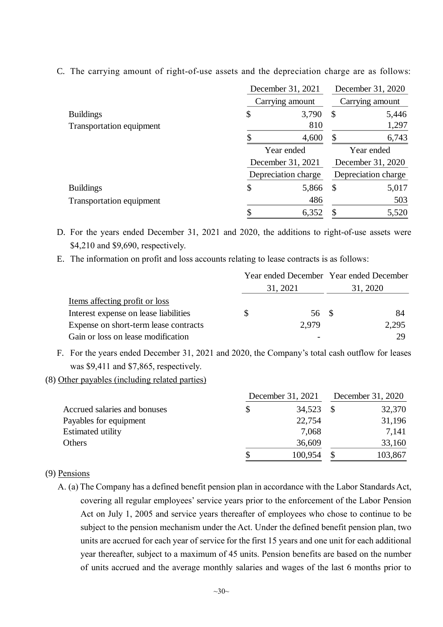C. The carrying amount of right-of-use assets and the depreciation charge are as follows:

|                                 |    | December 31, 2021<br>Carrying amount |            |                   |
|---------------------------------|----|--------------------------------------|------------|-------------------|
|                                 |    |                                      |            |                   |
| <b>Buildings</b>                | \$ | 3,790                                | \$         | 5,446             |
| <b>Transportation equipment</b> |    | 810                                  |            | 1,297             |
|                                 |    | 4,600                                | S.         | 6,743             |
|                                 |    | Year ended                           | Year ended |                   |
|                                 |    | December 31, 2021                    |            | December 31, 2020 |
|                                 |    | Depreciation charge                  |            |                   |
| <b>Buildings</b>                | \$ | 5,866                                | \$         | 5,017             |
| <b>Transportation equipment</b> |    | 486                                  |            | 503               |
|                                 |    | 6,352                                | \$         | 5,520             |
|                                 |    |                                      |            |                   |

D. For the years ended December 31, 2021 and 2020, the additions to right-of-use assets were \$4,210 and \$9,690, respectively.

E. The information on profit and loss accounts relating to lease contracts is as follows:

|                                       |          | Year ended December Year ended December |
|---------------------------------------|----------|-----------------------------------------|
|                                       | 31, 2021 | 31, 2020                                |
| Items affecting profit or loss        |          |                                         |
| Interest expense on lease liabilities | 56 \$    | -84                                     |
| Expense on short-term lease contracts | 2,979    | 2,295                                   |
| Gain or loss on lease modification    |          | 29                                      |

F. For the years ended December 31, 2021 and 2020, the Company's total cash outflow for leases was \$9,411 and \$7,865, respectively.

(8) Other payables (including related parties)

|                              | December 31, 2021 | December 31, 2020 |  |         |
|------------------------------|-------------------|-------------------|--|---------|
| Accrued salaries and bonuses |                   | 34,523            |  | 32,370  |
| Payables for equipment       |                   | 22,754            |  | 31,196  |
| Estimated utility            |                   | 7,068             |  | 7,141   |
| Others                       |                   | 36,609            |  | 33,160  |
|                              |                   | 100,954           |  | 103,867 |

#### (9) Pensions

A. (a) The Company has a defined benefit pension plan in accordance with the Labor Standards Act, covering all regular employees' service years prior to the enforcement of the Labor Pension Act on July 1, 2005 and service years thereafter of employees who chose to continue to be subject to the pension mechanism under the Act. Under the defined benefit pension plan, two units are accrued for each year of service for the first 15 years and one unit for each additional year thereafter, subject to a maximum of 45 units. Pension benefits are based on the number of units accrued and the average monthly salaries and wages of the last 6 months prior to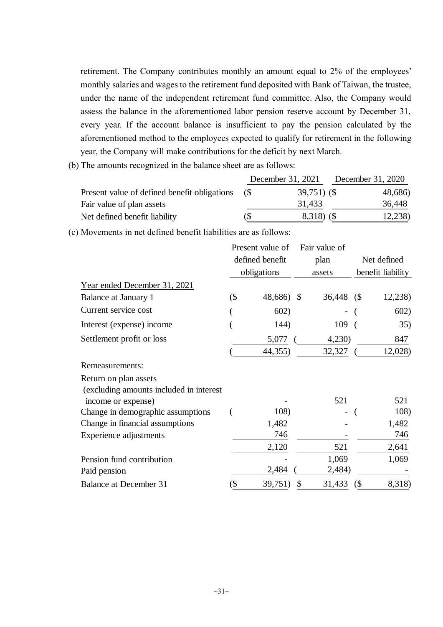retirement. The Company contributes monthly an amount equal to 2% of the employees' monthly salaries and wages to the retirement fund deposited with Bank of Taiwan, the trustee, under the name of the independent retirement fund committee. Also, the Company would assess the balance in the aforementioned labor pension reserve account by December 31, every year. If the account balance is insufficient to pay the pension calculated by the aforementioned method to the employees expected to qualify for retirement in the following year, the Company will make contributions for the deficit by next March.

(b) The amounts recognized in the balance sheet are as follows:

|                                              |     | December 31, 2021 | December 31, 2020 |
|----------------------------------------------|-----|-------------------|-------------------|
| Present value of defined benefit obligations |     | $39,751)$ (\$)    | 48,686)           |
| Fair value of plan assets                    |     | 31,433            | 36,448            |
| Net defined benefit liability                | (\$ | $8,318)$ (\$)     | 12,238)           |

(c) Movements in net defined benefit liabilities are as follows:

|                                         | Present value of         |                 | Fair value of |            |                   |             |  |
|-----------------------------------------|--------------------------|-----------------|---------------|------------|-------------------|-------------|--|
|                                         |                          | defined benefit |               | plan       |                   | Net defined |  |
|                                         |                          | obligations     |               | assets     | benefit liability |             |  |
| Year ended December 31, 2021            |                          |                 |               |            |                   |             |  |
| Balance at January 1                    | $($ \$                   | 48,686) \$      |               | 36,448 (\$ |                   | 12,238)     |  |
| Current service cost                    |                          | 602)            |               |            |                   | 602)        |  |
| Interest (expense) income               |                          | 144)            |               | 109        |                   | 35)         |  |
| Settlement profit or loss               |                          | 5,077           |               | 4,230)     |                   | 847         |  |
|                                         |                          | 44,355)         |               | 32,327     |                   | 12,028)     |  |
| Remeasurements:                         |                          |                 |               |            |                   |             |  |
| Return on plan assets                   |                          |                 |               |            |                   |             |  |
| (excluding amounts included in interest |                          |                 |               |            |                   |             |  |
| income or expense)                      |                          |                 |               | 521        |                   | 521         |  |
| Change in demographic assumptions       |                          | 108)            |               |            |                   | 108)        |  |
| Change in financial assumptions         |                          | 1,482           |               |            |                   | 1,482       |  |
| Experience adjustments                  |                          | 746             |               |            |                   | 746         |  |
|                                         |                          | 2,120           |               | 521        |                   | 2,641       |  |
| Pension fund contribution               |                          |                 |               | 1,069      |                   | 1,069       |  |
| Paid pension                            |                          | 2,484           |               | 2,484)     |                   |             |  |
| Balance at December 31                  | $\overline{\mathcal{S}}$ | 39,751)         | \$            | 31,433     | $($ \$            | 8,318)      |  |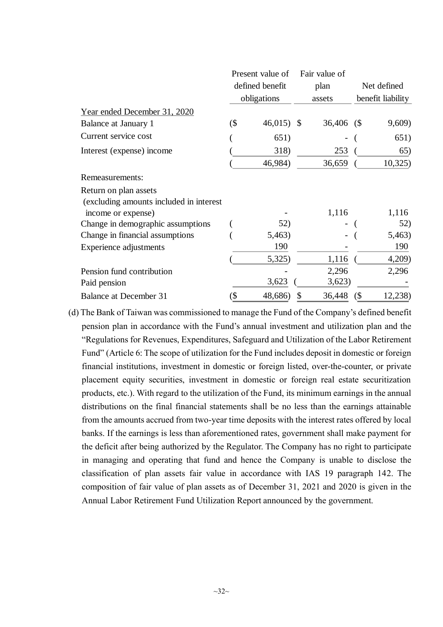|                                          | Present value of |                 | Fair value of |             |                   |
|------------------------------------------|------------------|-----------------|---------------|-------------|-------------------|
|                                          |                  | defined benefit | plan          | Net defined |                   |
|                                          |                  | obligations     | assets        |             | benefit liability |
| Year ended December 31, 2020             |                  |                 |               |             |                   |
| Balance at January 1                     | $($ \$           | $46,015$ \$     | 36,406 (\$    |             | 9,609)            |
| Current service cost                     |                  | 651)            |               |             | 651)              |
| Interest (expense) income                |                  | 318)            | 253           |             | 65)               |
|                                          |                  | 46,984)         | 36,659        |             | 10,325            |
| Remeasurements:                          |                  |                 |               |             |                   |
| Return on plan assets                    |                  |                 |               |             |                   |
| (excluding amounts included in interest) |                  |                 |               |             |                   |
| income or expense)                       |                  |                 | 1,116         |             | 1,116             |
| Change in demographic assumptions        |                  | 52)             |               |             | 52)               |
| Change in financial assumptions          |                  | 5,463)          |               |             | 5,463)            |
| Experience adjustments                   |                  | 190             |               |             | 190               |
|                                          |                  | 5,325           | 1,116         |             | 4,209)            |
| Pension fund contribution                |                  |                 | 2,296         |             | 2,296             |
| Paid pension                             |                  | 3,623           | 3,623)        |             |                   |
| <b>Balance at December 31</b>            | \$               | 48,686)         | \$<br>36,448  | (S          | 12,238)           |

(d) The Bank of Taiwan was commissioned to manage the Fund of the Company's defined benefit pension plan in accordance with the Fund's annual investment and utilization plan and the "Regulations for Revenues, Expenditures, Safeguard and Utilization of the Labor Retirement Fund" (Article 6: The scope of utilization for the Fund includes deposit in domestic or foreign financial institutions, investment in domestic or foreign listed, over-the-counter, or private placement equity securities, investment in domestic or foreign real estate securitization products, etc.). With regard to the utilization of the Fund, its minimum earnings in the annual distributions on the final financial statements shall be no less than the earnings attainable from the amounts accrued from two-year time deposits with the interest rates offered by local banks. If the earnings is less than aforementioned rates, government shall make payment for the deficit after being authorized by the Regulator. The Company has no right to participate in managing and operating that fund and hence the Company is unable to disclose the classification of plan assets fair value in accordance with IAS 19 paragraph 142. The composition of fair value of plan assets as of December 31, 2021 and 2020 is given in the Annual Labor Retirement Fund Utilization Report announced by the government.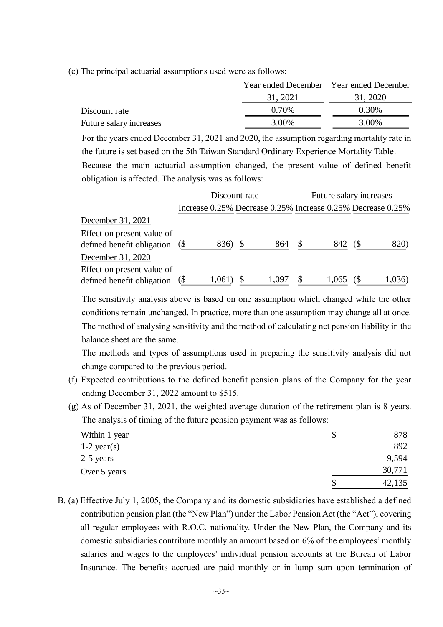(e) The principal actuarial assumptions used were as follows:

|                         | Year ended December Year ended December |          |
|-------------------------|-----------------------------------------|----------|
|                         | 31, 2021                                | 31, 2020 |
| Discount rate           | 0.70%                                   | $0.30\%$ |
| Future salary increases | 3.00%                                   | 3.00%    |

For the years ended December 31, 2021 and 2020, the assumption regarding mortality rate in the future is set based on the 5th Taiwan Standard Ordinary Experience Mortality Table. Because the main actuarial assumption changed, the present value of defined benefit obligation is affected. The analysis was as follows:

|                            | Discount rate |       |  | Future salary increases |              |       |                                                             |        |
|----------------------------|---------------|-------|--|-------------------------|--------------|-------|-------------------------------------------------------------|--------|
|                            |               |       |  |                         |              |       | Increase 0.25% Decrease 0.25% Increase 0.25% Decrease 0.25% |        |
| December 31, 2021          |               |       |  |                         |              |       |                                                             |        |
| Effect on present value of |               |       |  |                         |              |       |                                                             |        |
| defined benefit obligation |               | 836)  |  | 864                     | <sup>8</sup> | 842   |                                                             | 820)   |
| December 31, 2020          |               |       |  |                         |              |       |                                                             |        |
| Effect on present value of |               |       |  |                         |              |       |                                                             |        |
| defined benefit obligation |               | 1,061 |  | 1.097                   |              | 1,065 |                                                             | 1,036) |

The sensitivity analysis above is based on one assumption which changed while the other conditions remain unchanged. In practice, more than one assumption may change all at once. The method of analysing sensitivity and the method of calculating net pension liability in the balance sheet are the same.

The methods and types of assumptions used in preparing the sensitivity analysis did not change compared to the previous period.

- (f) Expected contributions to the defined benefit pension plans of the Company for the year ending December 31, 2022 amount to \$515.
- (g) As of December 31, 2021, the weighted average duration of the retirement plan is 8 years. The analysis of timing of the future pension payment was as follows:

| Within 1 year | S | 878    |
|---------------|---|--------|
| $1-2$ year(s) |   | 892    |
| 2-5 years     |   | 9,594  |
| Over 5 years  |   | 30,771 |
|               |   | 42,135 |

B. (a) Effective July 1, 2005, the Company and its domestic subsidiaries have established a defined contribution pension plan (the "New Plan") under the Labor Pension Act (the "Act"), covering all regular employees with R.O.C. nationality. Under the New Plan, the Company and its domestic subsidiaries contribute monthly an amount based on 6% of the employees' monthly salaries and wages to the employees' individual pension accounts at the Bureau of Labor Insurance. The benefits accrued are paid monthly or in lump sum upon termination of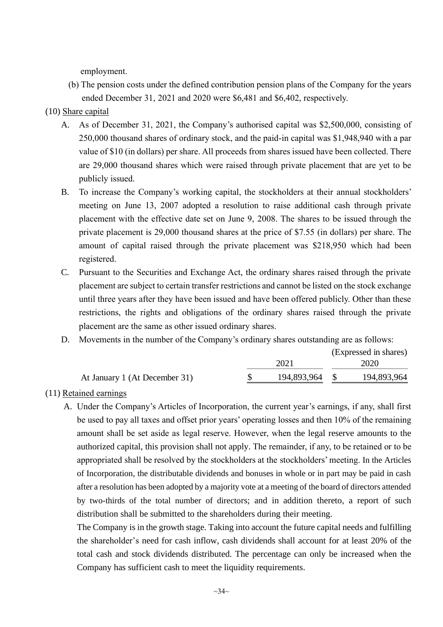employment.

- (b) The pension costs under the defined contribution pension plans of the Company for the years ended December 31, 2021 and 2020 were \$6,481 and \$6,402, respectively.
- (10) Share capital
	- A. As of December 31, 2021, the Company's authorised capital was \$2,500,000, consisting of 250,000 thousand shares of ordinary stock, and the paid-in capital was \$1,948,940 with a par value of \$10 (in dollars) per share. All proceeds from shares issued have been collected. There are 29,000 thousand shares which were raised through private placement that are yet to be publicly issued.
	- B. To increase the Company's working capital, the stockholders at their annual stockholders' meeting on June 13, 2007 adopted a resolution to raise additional cash through private placement with the effective date set on June 9, 2008. The shares to be issued through the private placement is 29,000 thousand shares at the price of \$7.55 (in dollars) per share. The amount of capital raised through the private placement was \$218,950 which had been registered.
	- C. Pursuant to the Securities and Exchange Act, the ordinary shares raised through the private placement are subject to certain transfer restrictions and cannot be listed on the stock exchange until three years after they have been issued and have been offered publicly. Other than these restrictions, the rights and obligations of the ordinary shares raised through the private placement are the same as other issued ordinary shares.
	- D. Movements in the number of the Company's ordinary shares outstanding are as follows:

|                               |                | (Expressed in shares) |
|-------------------------------|----------------|-----------------------|
|                               | 2021           | 2020                  |
| At January 1 (At December 31) | 194,893,964 \$ | 194,893,964           |
|                               |                |                       |

#### (11) Retained earnings

A. Under the Company's Articles of Incorporation, the current year's earnings, if any, shall first be used to pay all taxes and offset prior years' operating losses and then 10% of the remaining amount shall be set aside as legal reserve. However, when the legal reserve amounts to the authorized capital, this provision shall not apply. The remainder, if any, to be retained or to be appropriated shall be resolved by the stockholders at the stockholders' meeting. In the Articles of Incorporation, the distributable dividends and bonuses in whole or in part may be paid in cash after a resolution has been adopted by a majority vote at a meeting of the board of directors attended by two-thirds of the total number of directors; and in addition thereto, a report of such distribution shall be submitted to the shareholders during their meeting.

The Company is in the growth stage. Taking into account the future capital needs and fulfilling the shareholder's need for cash inflow, cash dividends shall account for at least 20% of the total cash and stock dividends distributed. The percentage can only be increased when the Company has sufficient cash to meet the liquidity requirements.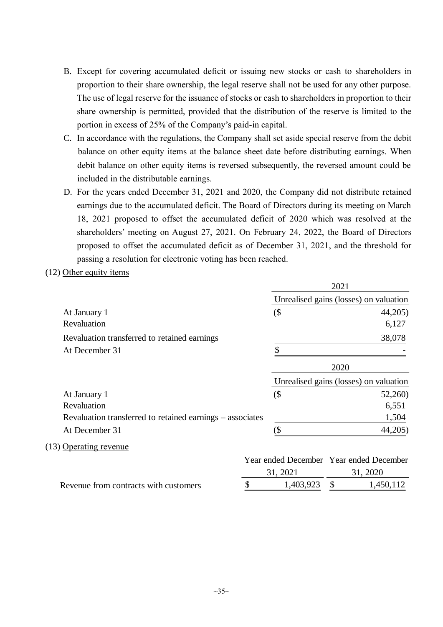- B. Except for covering accumulated deficit or issuing new stocks or cash to shareholders in proportion to their share ownership, the legal reserve shall not be used for any other purpose. The use of legal reserve for the issuance of stocks or cash to shareholders in proportion to their share ownership is permitted, provided that the distribution of the reserve is limited to the portion in excess of 25% of the Company's paid-in capital.
- C. In accordance with the regulations, the Company shall set aside special reserve from the debit balance on other equity items at the balance sheet date before distributing earnings. When debit balance on other equity items is reversed subsequently, the reversed amount could be included in the distributable earnings.
- D. For the years ended December 31, 2021 and 2020, the Company did not distribute retained earnings due to the accumulated deficit. The Board of Directors during its meeting on March 18, 2021 proposed to offset the accumulated deficit of 2020 which was resolved at the shareholders' meeting on August 27, 2021. On February 24, 2022, the Board of Directors proposed to offset the accumulated deficit as of December 31, 2021, and the threshold for passing a resolution for electronic voting has been reached.
- (12) Other equity items

|                                                           |          |           | 2021 |                                         |
|-----------------------------------------------------------|----------|-----------|------|-----------------------------------------|
|                                                           |          |           |      | Unrealised gains (losses) on valuation  |
| At January 1                                              | $($ \$   |           |      | 44,205)                                 |
| Revaluation                                               |          |           |      | 6,127                                   |
| Revaluation transferred to retained earnings              |          |           |      | 38,078                                  |
| At December 31                                            |          |           |      |                                         |
|                                                           |          |           | 2020 |                                         |
|                                                           |          |           |      | Unrealised gains (losses) on valuation  |
| At January 1                                              | $($ \$   |           |      | 52,260)                                 |
| Revaluation                                               |          |           |      | 6,551                                   |
| Revaluation transferred to retained earnings – associates |          |           |      | 1,504                                   |
| At December 31                                            | (\$      |           |      | 44,205)                                 |
| (13) Operating revenue                                    |          |           |      |                                         |
|                                                           |          |           |      | Year ended December Year ended December |
|                                                           | 31, 2021 |           |      | 31, 2020                                |
| Revenue from contracts with customers                     | \$       | 1,403,923 |      | 1,450,112                               |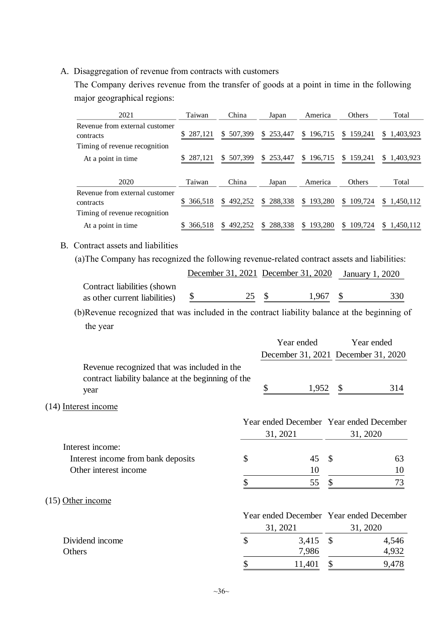# A. Disaggregation of revenue from contracts with customers

The Company derives revenue from the transfer of goods at a point in time in the following major geographical regions:

|           | 2021                                                                                          | Taiwan     | China                               | Japan                     | America                | Others                                  | Total       |
|-----------|-----------------------------------------------------------------------------------------------|------------|-------------------------------------|---------------------------|------------------------|-----------------------------------------|-------------|
|           | Revenue from external customer                                                                |            |                                     |                           |                        |                                         |             |
|           | contracts                                                                                     | \$287,121  | \$507,399                           | \$253,447                 | \$196,715              | \$159,241                               | \$1,403,923 |
|           | Timing of revenue recognition                                                                 |            |                                     |                           |                        |                                         |             |
|           | At a point in time                                                                            | \$287,121  | \$507,399                           | \$253,447                 | \$196,715              | \$159,241                               | \$1,403,923 |
|           |                                                                                               |            |                                     |                           |                        |                                         |             |
|           | 2020                                                                                          | Taiwan     | China                               | Japan                     | America                | Others                                  | Total       |
|           | Revenue from external customer                                                                |            |                                     |                           |                        |                                         |             |
|           | contracts                                                                                     | \$366,518  | \$492,252                           | \$288,338                 | \$193,280              | \$109,724                               | \$1,450,112 |
|           | Timing of revenue recognition                                                                 |            |                                     |                           |                        |                                         |             |
|           | At a point in time                                                                            | \$ 366,518 | \$492,252                           | \$288,338                 | \$193,280              | \$109,724                               | \$1,450,112 |
| <b>B.</b> | Contract assets and liabilities                                                               |            |                                     |                           |                        |                                         |             |
|           | (a) The Company has recognized the following revenue-related contract assets and liabilities: |            |                                     |                           |                        |                                         |             |
|           |                                                                                               |            |                                     |                           |                        |                                         |             |
|           |                                                                                               |            | December 31, 2021 December 31, 2020 |                           |                        | January 1, 2020                         |             |
|           | Contract liabilities (shown)                                                                  |            |                                     |                           |                        |                                         |             |
|           | as other current liabilities)                                                                 | \$         | 25                                  | $\boldsymbol{\mathsf{S}}$ | 1,967                  | \$                                      | 330         |
|           | (b)Revenue recognized that was included in the contract liability balance at the beginning of |            |                                     |                           |                        |                                         |             |
|           | the year                                                                                      |            |                                     |                           |                        |                                         |             |
|           |                                                                                               |            |                                     | Year ended                |                        | Year ended                              |             |
|           |                                                                                               |            |                                     |                           |                        |                                         |             |
|           |                                                                                               |            |                                     |                           |                        | December 31, 2021 December 31, 2020     |             |
|           | Revenue recognized that was included in the                                                   |            |                                     |                           |                        |                                         |             |
|           | contract liability balance at the beginning of the                                            |            |                                     |                           |                        |                                         |             |
|           | year                                                                                          |            |                                     | \$                        | 1,952                  | \$                                      | 314         |
|           | (14) Interest income                                                                          |            |                                     |                           |                        |                                         |             |
|           |                                                                                               |            |                                     |                           |                        | Year ended December Year ended December |             |
|           |                                                                                               |            |                                     | 31, 2021                  |                        | 31, 2020                                |             |
|           | Interest income:                                                                              |            |                                     |                           |                        |                                         |             |
|           |                                                                                               |            |                                     |                           |                        |                                         |             |
|           | Interest income from bank deposits                                                            |            | \$                                  |                           | 45<br>\$               |                                         | 63          |
|           | Other interest income                                                                         |            |                                     |                           | 10                     |                                         | 10          |
|           |                                                                                               |            | \$                                  |                           | \$<br>55               |                                         | 73          |
|           | $(15)$ Other income                                                                           |            |                                     |                           |                        |                                         |             |
|           |                                                                                               |            |                                     |                           |                        | Year ended December Year ended December |             |
|           |                                                                                               |            |                                     | 31, 2021                  |                        | 31, 2020                                |             |
|           | Dividend income                                                                               |            | \$                                  |                           | $\mathcal{S}$<br>3,415 |                                         | 4,546       |
|           | Others                                                                                        |            |                                     |                           | 7,986                  |                                         | 4,932       |
|           |                                                                                               |            | \$                                  |                           | 11,401<br>\$           |                                         | 9,478       |
|           |                                                                                               |            |                                     |                           |                        |                                         |             |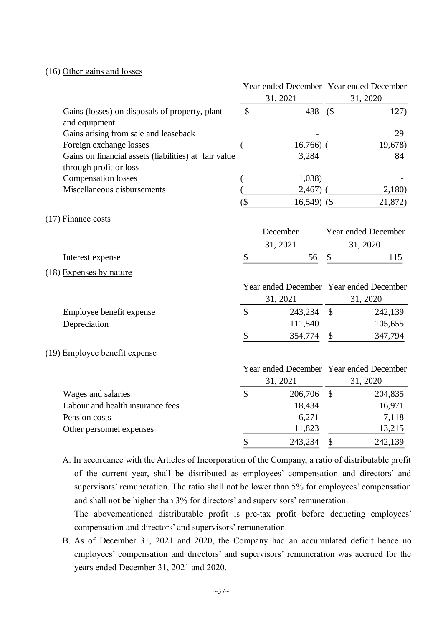#### (16) Other gains and losses

|                                                                 |               |                                         |               | Year ended December Year ended December |
|-----------------------------------------------------------------|---------------|-----------------------------------------|---------------|-----------------------------------------|
|                                                                 |               | 31, 2021                                |               | 31, 2020                                |
| Gains (losses) on disposals of property, plant<br>and equipment | $\mathcal{S}$ | 438 (\$                                 |               | 127)                                    |
| Gains arising from sale and leaseback                           |               |                                         |               | 29                                      |
| Foreign exchange losses                                         |               | $16,766$ ) (                            |               | 19,678)                                 |
| Gains on financial assets (liabilities) at fair value           |               | 3,284                                   |               | 84                                      |
| through profit or loss                                          |               |                                         |               |                                         |
| <b>Compensation losses</b>                                      |               | 1,038)                                  |               |                                         |
| Miscellaneous disbursements                                     |               | $2,467)$ (                              |               | 2,180)                                  |
|                                                                 | $($ \$        | $16,549$ (\$)                           |               | 21,872)                                 |
| $(17)$ Finance costs                                            |               |                                         |               |                                         |
|                                                                 |               | December                                |               | Year ended December                     |
|                                                                 |               | 31, 2021                                |               | 31, 2020                                |
| Interest expense                                                | \$            | 56                                      | \$            | 115                                     |
| (18) Expenses by nature                                         |               |                                         |               |                                         |
|                                                                 |               |                                         |               | Year ended December Year ended December |
|                                                                 |               | 31, 2021                                |               | 31, 2020                                |
| Employee benefit expense                                        | \$            | 243,234                                 | $\mathcal{S}$ | 242,139                                 |
| Depreciation                                                    |               | 111,540                                 |               | 105,655                                 |
|                                                                 | \$            | 354,774                                 | \$            | 347,794                                 |
| (19) Employee benefit expense                                   |               |                                         |               |                                         |
|                                                                 |               | Year ended December Year ended December |               |                                         |
|                                                                 |               | 31, 2021                                |               | 31, 2020                                |
| Wages and salaries                                              | $\mathcal{S}$ | 206,706                                 | \$            | 204,835                                 |
| Labour and health insurance fees                                |               | 18,434                                  |               | 16,971                                  |
| Pension costs                                                   |               | 6,271                                   |               | 7,118                                   |
| Other personnel expenses                                        |               | 11,823                                  |               | 13,215                                  |
|                                                                 | \$            | 243,234                                 | \$            | 242,139                                 |

A. In accordance with the Articles of Incorporation of the Company, a ratio of distributable profit of the current year, shall be distributed as employees' compensation and directors' and supervisors' remuneration. The ratio shall not be lower than 5% for employees' compensation and shall not be higher than 3% for directors' and supervisors' remuneration.

The abovementioned distributable profit is pre-tax profit before deducting employees' compensation and directors' and supervisors' remuneration.

B. As of December 31, 2021 and 2020, the Company had an accumulated deficit hence no employees' compensation and directors' and supervisors' remuneration was accrued for the years ended December 31, 2021 and 2020.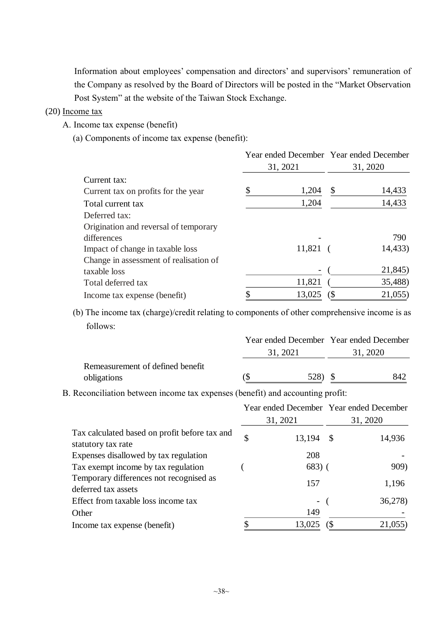Information about employees' compensation and directors' and supervisors' remuneration of the Company as resolved by the Board of Directors will be posted in the "Market Observation Post System" at the website of the Taiwan Stock Exchange.

#### (20) Income tax

A. Income tax expense (benefit)

(a) Components of income tax expense (benefit):

|                                        | Year ended December Year ended December |          |         |
|----------------------------------------|-----------------------------------------|----------|---------|
|                                        | 31, 2021                                | 31, 2020 |         |
| Current tax:                           |                                         |          |         |
| Current tax on profits for the year    | \$<br>1,204                             | \$       | 14,433  |
| Total current tax                      | 1,204                                   |          | 14,433  |
| Deferred tax:                          |                                         |          |         |
| Origination and reversal of temporary  |                                         |          |         |
| differences                            |                                         |          | 790     |
| Impact of change in taxable loss       | 11,821                                  |          | 14,433) |
| Change in assessment of realisation of |                                         |          |         |
| taxable loss                           |                                         |          | 21,845) |
| Total deferred tax                     | 11,821                                  |          | 35,488) |
| Income tax expense (benefit)           | 13,025                                  |          | 21,055) |

(b) The income tax (charge)/credit relating to components of other comprehensive income is as follows:

|                                  |          | Year ended December Year ended December |     |
|----------------------------------|----------|-----------------------------------------|-----|
|                                  | 31, 2021 |                                         |     |
| Remeasurement of defined benefit |          |                                         |     |
| obligations                      | 528)     |                                         | 842 |

B. Reconciliation between income tax expenses (benefit) and accounting profit:

|                                                                     |  |          |               | Year ended December Year ended December |
|---------------------------------------------------------------------|--|----------|---------------|-----------------------------------------|
| Tax calculated based on profit before tax and<br>statutory tax rate |  | 31, 2021 | 31, 2020      |                                         |
|                                                                     |  | 13,194   | <sup>\$</sup> | 14,936                                  |
| Expenses disallowed by tax regulation                               |  | 208      |               |                                         |
| Tax exempt income by tax regulation                                 |  | $683)$ ( |               | 909)                                    |
| Temporary differences not recognised as<br>deferred tax assets      |  | 157      |               | 1,196                                   |
| Effect from taxable loss income tax                                 |  | $-$ (    |               | 36,278)                                 |
| Other                                                               |  | 149      |               |                                         |
| Income tax expense (benefit)                                        |  | 13,025   |               | 21,055)                                 |
|                                                                     |  |          |               |                                         |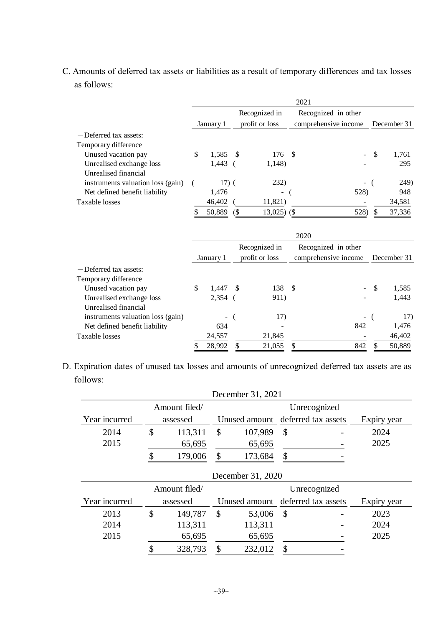# C. Amounts of deferred tax assets or liabilities as a result of temporary differences and tax losses as follows:

|                                   | 2021      |           |               |                |               |                      |               |             |
|-----------------------------------|-----------|-----------|---------------|----------------|---------------|----------------------|---------------|-------------|
|                                   | January 1 |           |               | Recognized in  |               | Recognized in other  |               |             |
|                                   |           |           |               | profit or loss |               | comprehensive income | December 31   |             |
| $-D$ eferred tax assets:          |           |           |               |                |               |                      |               |             |
| Temporary difference              |           |           |               |                |               |                      |               |             |
| Unused vacation pay               | \$        | 1,585     | <sup>\$</sup> | 176            | <sup>\$</sup> |                      | \$            | 1,761       |
| Unrealised exchange loss          |           | 1,443     |               | 1,148)         |               |                      |               | 295         |
| Unrealised financial              |           |           |               |                |               |                      |               |             |
| instruments valuation loss (gain) | €         | $17)$ (   |               | 232)           |               |                      |               | 249)        |
| Net defined benefit liability     |           | 1,476     |               |                |               | 528)                 |               | 948         |
| <b>Taxable losses</b>             |           | 46,402    |               | 11,821)        |               |                      |               | 34,581      |
|                                   | \$        | 50,889    | $($ \$        | $13,025$ (\$)  |               | 528)                 | \$            | 37,336      |
|                                   |           |           |               |                |               |                      |               |             |
|                                   |           |           |               |                | 2020          |                      |               |             |
|                                   |           |           |               | Recognized in  |               | Recognized in other  |               |             |
|                                   |           | January 1 |               | profit or loss |               | comprehensive income |               | December 31 |
| -Deferred tax assets:             |           |           |               |                |               |                      |               |             |
| Temporary difference              |           |           |               |                |               |                      |               |             |
| Unused vacation pay               | \$        | 1,447     | \$            | 138            | <sup>\$</sup> |                      | <sup>\$</sup> | 1,585       |
| Unrealised exchange loss          |           | 2,354     |               | 911)           |               |                      |               | 1,443       |
| Unrealised financial              |           |           |               |                |               |                      |               |             |
| instruments valuation loss (gain) |           | ۰         |               | 17)            |               | -                    |               | 17)         |
| Net defined benefit liability     |           | 634       |               |                |               | 842                  |               | 1,476       |
| <b>Taxable losses</b>             |           | 24,557    |               | 21,845         |               |                      |               | 46,402      |
|                                   | \$        | 28,992    | \$            | 21,055         | \$            | 842                  | \$            | 50,889      |

D. Expiration dates of unused tax losses and amounts of unrecognized deferred tax assets are as follows:

| December 31, 2021 |    |               |               |                                   |                                   |              |             |  |  |  |
|-------------------|----|---------------|---------------|-----------------------------------|-----------------------------------|--------------|-------------|--|--|--|
|                   |    | Amount filed/ |               | Unrecognized                      |                                   |              |             |  |  |  |
| Year incurred     |    | assessed      |               |                                   | Unused amount deferred tax assets |              | Expiry year |  |  |  |
| 2014              | \$ | 113,311       | \$            | 107,989                           | \$                                |              | 2024        |  |  |  |
| 2015              |    | 65,695        |               | 65,695                            |                                   |              | 2025        |  |  |  |
|                   | \$ | 179,006       | \$            | 173,684                           | \$                                |              |             |  |  |  |
|                   |    |               |               | December 31, 2020                 |                                   |              |             |  |  |  |
|                   |    | Amount filed/ |               |                                   |                                   | Unrecognized |             |  |  |  |
| Year incurred     |    | assessed      |               | Unused amount deferred tax assets |                                   |              | Expiry year |  |  |  |
| 2013              | \$ | 149,787       | $\mathcal{S}$ | 53,006                            | - \$                              |              | 2023        |  |  |  |
| 2014              |    | 113,311       |               | 113,311                           |                                   |              | 2024        |  |  |  |
| 2015              |    | 65,695        |               | 65,695                            |                                   |              | 2025        |  |  |  |
|                   | \$ | 328,793       | \$            | 232,012                           | \$                                |              |             |  |  |  |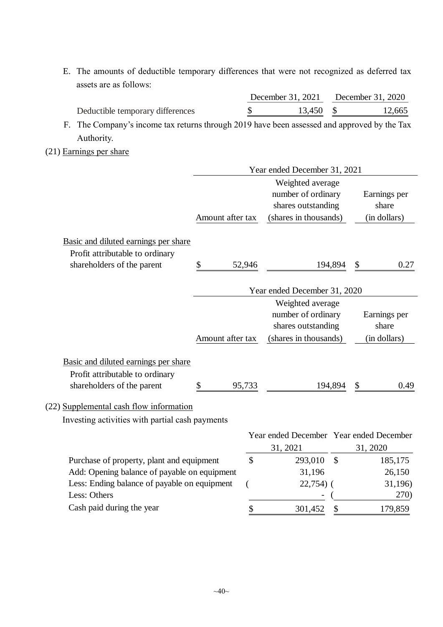E. The amounts of deductible temporary differences that were not recognized as deferred tax assets are as follows:

|                                  | December 31, 2021 | December 31, 2020 |
|----------------------------------|-------------------|-------------------|
| Deductible temporary differences | 13.450 \$         | 12,665            |

F. The Company's income tax returns through 2019 have been assessed and approved by the Tax Authority.

# (21) Earnings per share

|                                                                         | Year ended December 31, 2021 |               |                                                              |               |          |                       |  |
|-------------------------------------------------------------------------|------------------------------|---------------|--------------------------------------------------------------|---------------|----------|-----------------------|--|
|                                                                         |                              |               | Weighted average<br>number of ordinary<br>shares outstanding |               |          | Earnings per<br>share |  |
|                                                                         | Amount after tax             |               | (shares in thousands)                                        |               |          | (in dollars)          |  |
| Basic and diluted earnings per share<br>Profit attributable to ordinary |                              |               |                                                              |               |          |                       |  |
| shareholders of the parent                                              | \$                           | 52,946        |                                                              | 194,894       | \$       | 0.27                  |  |
|                                                                         |                              |               | Year ended December 31, 2020                                 |               |          |                       |  |
|                                                                         |                              |               | Weighted average                                             |               |          |                       |  |
|                                                                         |                              |               | number of ordinary                                           |               |          | Earnings per          |  |
|                                                                         |                              |               | shares outstanding                                           |               |          | share                 |  |
|                                                                         | Amount after tax             |               | (shares in thousands)                                        |               |          | (in dollars)          |  |
| Basic and diluted earnings per share<br>Profit attributable to ordinary |                              |               |                                                              |               |          |                       |  |
| shareholders of the parent                                              | \$                           | 95,733        |                                                              | 194,894       | \$       | 0.49                  |  |
| (22) Supplemental cash flow information                                 |                              |               |                                                              |               |          |                       |  |
| Investing activities with partial cash payments                         |                              |               |                                                              |               |          |                       |  |
|                                                                         |                              |               | Year ended December Year ended December<br>31, 2021          |               | 31, 2020 |                       |  |
| Purchase of property, plant and equipment                               |                              | $\mathcal{S}$ | 293,010                                                      | $\mathcal{S}$ |          | 185,175               |  |
| Add: Opening balance of payable on equipment                            |                              |               | 31,196                                                       |               |          | 26,150                |  |
| Less: Ending balance of payable on equipment                            |                              | (             | $22,754$ ) (                                                 |               |          | 31,196)               |  |
| Less: Others                                                            |                              |               |                                                              |               |          | 270)                  |  |

Cash paid during the year \$ 301,452 \$ 179,859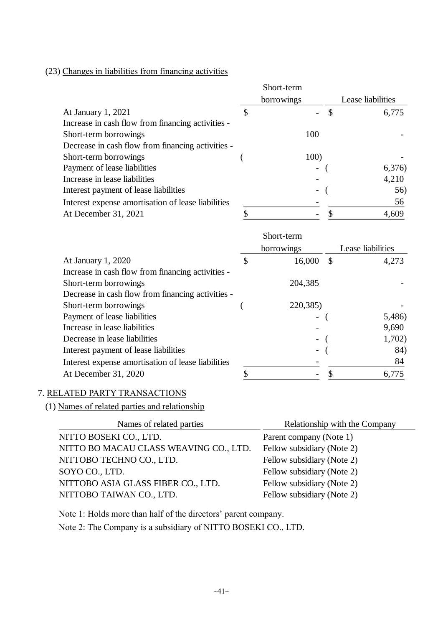|                                                    | Short-term   |               |                   |
|----------------------------------------------------|--------------|---------------|-------------------|
|                                                    | borrowings   |               | Lease liabilities |
| At January 1, 2021                                 | \$           | \$            | 6,775             |
| Increase in cash flow from financing activities -  |              |               |                   |
| Short-term borrowings                              | 100          |               |                   |
| Decrease in cash flow from financing activities -  |              |               |                   |
| Short-term borrowings                              | 100)         |               |                   |
| Payment of lease liabilities                       |              |               | 6,376)            |
| Increase in lease liabilities                      |              |               | 4,210             |
| Interest payment of lease liabilities              |              |               | 56)               |
| Interest expense amortisation of lease liabilities |              |               | 56                |
| At December 31, 2021                               | \$           | \$            | 4,609             |
|                                                    |              |               |                   |
|                                                    | Short-term   |               |                   |
|                                                    | borrowings   |               | Lease liabilities |
| At January 1, 2020                                 | \$<br>16,000 | $\mathcal{S}$ | 4,273             |
| Increase in cash flow from financing activities -  |              |               |                   |
| Short-term borrowings                              | 204,385      |               |                   |
| Decrease in cash flow from financing activities -  |              |               |                   |
| Short-term borrowings                              | 220,385)     |               |                   |
| Payment of lease liabilities                       |              |               | 5,486)            |
| Increase in lease liabilities                      |              |               | 9,690             |
| Decrease in lease liabilities                      |              |               | 1,702)            |
| Interest payment of lease liabilities              |              |               | 84)               |
| Interest expense amortisation of lease liabilities |              |               | 84                |
| At December 31, 2020                               | \$           | \$            | 6,775             |

# (23) Changes in liabilities from financing activities

# 7. RELATED PARTY TRANSACTIONS

(1) Names of related parties and relationship

| Names of related parties               | Relationship with the Company |
|----------------------------------------|-------------------------------|
| NITTO BOSEKI CO., LTD.                 | Parent company (Note 1)       |
| NITTO BO MACAU CLASS WEAVING CO., LTD. | Fellow subsidiary (Note 2)    |
| NITTOBO TECHNO CO., LTD.               | Fellow subsidiary (Note 2)    |
| SOYO CO., LTD.                         | Fellow subsidiary (Note 2)    |
| NITTOBO ASIA GLASS FIBER CO., LTD.     | Fellow subsidiary (Note 2)    |
| NITTOBO TAIWAN CO., LTD.               | Fellow subsidiary (Note 2)    |
|                                        |                               |

Note 1: Holds more than half of the directors' parent company.

Note 2: The Company is a subsidiary of NITTO BOSEKI CO., LTD.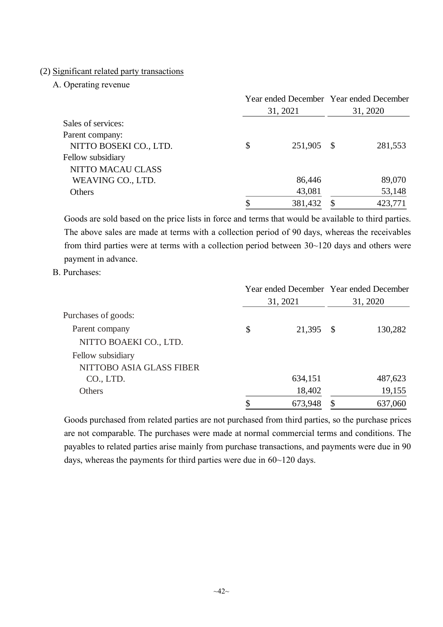#### (2) Significant related party transactions

A. Operating revenue

|                        | Year ended December Year ended December |                           |         |
|------------------------|-----------------------------------------|---------------------------|---------|
|                        | 31, 2021                                | 31, 2020                  |         |
| Sales of services:     |                                         |                           |         |
| Parent company:        |                                         |                           |         |
| NITTO BOSEKI CO., LTD. | \$<br>251,905 \$                        |                           | 281,553 |
| Fellow subsidiary      |                                         |                           |         |
| NITTO MACAU CLASS      |                                         |                           |         |
| WEAVING CO., LTD.      | 86,446                                  |                           | 89,070  |
| <b>Others</b>          | 43,081                                  |                           | 53,148  |
|                        | \$<br>381,432                           | $\boldsymbol{\mathsf{S}}$ | 423,771 |

Goods are sold based on the price lists in force and terms that would be available to third parties. The above sales are made at terms with a collection period of 90 days, whereas the receivables from third parties were at terms with a collection period between 30~120 days and others were payment in advance.

### B. Purchases:

|                          |    | Year ended December Year ended December<br>31, 2021 |    |          |
|--------------------------|----|-----------------------------------------------------|----|----------|
|                          |    |                                                     |    | 31, 2020 |
| Purchases of goods:      |    |                                                     |    |          |
| Parent company           | \$ | 21,395 \$                                           |    | 130,282  |
| NITTO BOAEKI CO., LTD.   |    |                                                     |    |          |
| Fellow subsidiary        |    |                                                     |    |          |
| NITTOBO ASIA GLASS FIBER |    |                                                     |    |          |
| CO., LTD.                |    | 634,151                                             |    | 487,623  |
| <b>Others</b>            |    | 18,402                                              |    | 19,155   |
|                          | \$ | 673,948                                             | \$ | 637,060  |

Goods purchased from related parties are not purchased from third parties, so the purchase prices are not comparable. The purchases were made at normal commercial terms and conditions. The payables to related parties arise mainly from purchase transactions, and payments were due in 90 days, whereas the payments for third parties were due in 60~120 days.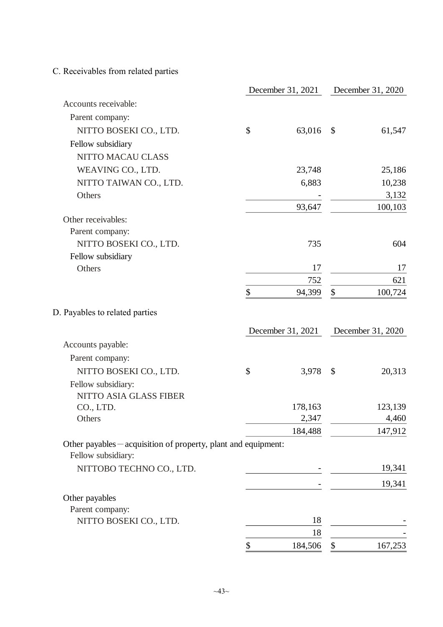C. Receivables from related parties

|                                                                                      | December 31, 2021 |                   | December 31, 2020 |                   |
|--------------------------------------------------------------------------------------|-------------------|-------------------|-------------------|-------------------|
| Accounts receivable:                                                                 |                   |                   |                   |                   |
| Parent company:                                                                      |                   |                   |                   |                   |
| NITTO BOSEKI CO., LTD.                                                               | \$                | 63,016            | \$                | 61,547            |
| Fellow subsidiary                                                                    |                   |                   |                   |                   |
| NITTO MACAU CLASS                                                                    |                   |                   |                   |                   |
| WEAVING CO., LTD.                                                                    |                   | 23,748            |                   | 25,186            |
| NITTO TAIWAN CO., LTD.                                                               |                   | 6,883             |                   | 10,238            |
| Others                                                                               |                   |                   |                   | 3,132             |
|                                                                                      |                   | 93,647            |                   | 100,103           |
| Other receivables:                                                                   |                   |                   |                   |                   |
| Parent company:                                                                      |                   |                   |                   |                   |
| NITTO BOSEKI CO., LTD.                                                               |                   | 735               |                   | 604               |
| Fellow subsidiary                                                                    |                   |                   |                   |                   |
| Others                                                                               |                   | 17                |                   | 17                |
|                                                                                      |                   | 752               |                   | 621               |
|                                                                                      | \$                | 94,399            | \$                | 100,724           |
| D. Payables to related parties                                                       |                   | December 31, 2021 |                   | December 31, 2020 |
| Accounts payable:                                                                    |                   |                   |                   |                   |
|                                                                                      |                   |                   |                   |                   |
| Parent company:                                                                      | \$                |                   |                   |                   |
| NITTO BOSEKI CO., LTD.                                                               |                   | 3,978             | \$                | 20,313            |
| Fellow subsidiary:<br>NITTO ASIA GLASS FIBER                                         |                   |                   |                   |                   |
| CO., LTD.                                                                            |                   | 178,163           |                   | 123,139           |
| Others                                                                               |                   | 2,347             |                   | 4,460             |
|                                                                                      |                   | 184,488           |                   | 147,912           |
| Other payables – acquisition of property, plant and equipment:<br>Fellow subsidiary: |                   |                   |                   |                   |
| NITTOBO TECHNO CO., LTD.                                                             |                   |                   |                   | 19,341            |
|                                                                                      |                   |                   |                   | 19,341            |
| Other payables                                                                       |                   |                   |                   |                   |
| Parent company:                                                                      |                   |                   |                   |                   |
| NITTO BOSEKI CO., LTD.                                                               |                   | 18                |                   |                   |
|                                                                                      |                   | 18                |                   |                   |
|                                                                                      | \$                | 184,506           | $\mathcal{L}$     | 167,253           |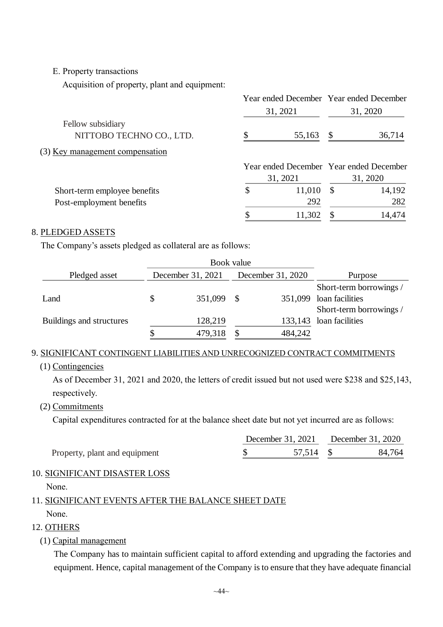#### E. Property transactions

Acquisition of property, plant and equipment:

| 36,714                                  |
|-----------------------------------------|
|                                         |
| Year ended December Year ended December |
| 31, 2020                                |
| 14,192                                  |
| 282                                     |
| 14,474                                  |
|                                         |

### 8. PLEDGED ASSETS

The Company's assets pledged as collateral are as follows:

|                          |                   | Book value |  |         |                         |  |         |  |
|--------------------------|-------------------|------------|--|---------|-------------------------|--|---------|--|
| Pledged asset            | December 31, 2021 |            |  |         | December 31, 2020       |  | Purpose |  |
|                          |                   |            |  |         | Short-term borrowings / |  |         |  |
| Land                     | \$                | 351,099 \$ |  |         | 351,099 loan facilities |  |         |  |
|                          |                   |            |  |         | Short-term borrowings / |  |         |  |
| Buildings and structures |                   | 128,219    |  |         | 133,143 loan facilities |  |         |  |
|                          |                   | 479,318    |  | 484,242 |                         |  |         |  |

# 9. SIGNIFICANT CONTINGENT LIABILITIES AND UNRECOGNIZED CONTRACT COMMITMENTS

(1) Contingencies

As of December 31, 2021 and 2020, the letters of credit issued but not used were \$238 and \$25,143, respectively.

(2) Commitments

Capital expenditures contracted for at the balance sheet date but not yet incurred are as follows:

|                               |  |           |  | December 31, 2021 December 31, 2020 |  |  |
|-------------------------------|--|-----------|--|-------------------------------------|--|--|
| Property, plant and equipment |  | 57,514 \$ |  | 84.764                              |  |  |

# 10. SIGNIFICANT DISASTER LOSS

None.

# 11. SIGNIFICANT EVENTS AFTER THE BALANCE SHEET DATE

None.

- 12. OTHERS
	- (1) Capital management

The Company has to maintain sufficient capital to afford extending and upgrading the factories and equipment. Hence, capital management of the Company is to ensure that they have adequate financial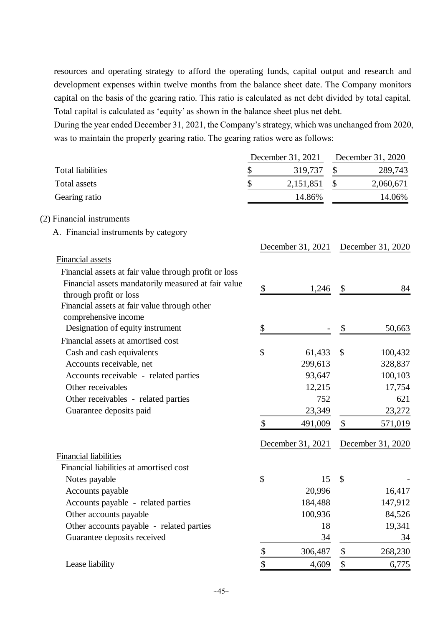resources and operating strategy to afford the operating funds, capital output and research and development expenses within twelve months from the balance sheet date. The Company monitors capital on the basis of the gearing ratio. This ratio is calculated as net debt divided by total capital. Total capital is calculated as 'equity' as shown in the balance sheet plus net debt.

During the year ended December 31, 2021, the Company's strategy, which was unchanged from 2020, was to maintain the properly gearing ratio. The gearing ratios were as follows:

|                                                                        |               | December 31, 2021                    |                            | December 31, 2020 |
|------------------------------------------------------------------------|---------------|--------------------------------------|----------------------------|-------------------|
| <b>Total liabilities</b>                                               | $\frac{1}{2}$ | 319,737                              | $\frac{1}{2}$              | 289,743           |
| <b>Total assets</b>                                                    | \$            | 2,151,851                            | \$                         | 2,060,671         |
| Gearing ratio                                                          |               | 14.86%                               |                            | 14.06%            |
| (2) Financial instruments                                              |               |                                      |                            |                   |
| A. Financial instruments by category                                   |               |                                      |                            |                   |
|                                                                        |               | December 31, 2021                    |                            | December 31, 2020 |
| Financial assets                                                       |               |                                      |                            |                   |
| Financial assets at fair value through profit or loss                  |               |                                      |                            |                   |
| Financial assets mandatorily measured at fair value                    |               | \$<br>1,246                          | \$                         | 84                |
| through profit or loss                                                 |               |                                      |                            |                   |
| Financial assets at fair value through other                           |               |                                      |                            |                   |
| comprehensive income                                                   |               |                                      |                            |                   |
| Designation of equity instrument<br>Financial assets at amortised cost | \$            |                                      | \$                         | 50,663            |
| Cash and cash equivalents                                              | \$            | 61,433                               | $\boldsymbol{\mathsf{S}}$  | 100,432           |
| Accounts receivable, net                                               |               | 299,613                              |                            | 328,837           |
| Accounts receivable - related parties                                  |               | 93,647                               |                            | 100,103           |
| Other receivables                                                      |               | 12,215                               |                            | 17,754            |
| Other receivables - related parties                                    |               | 752                                  |                            | 621               |
| Guarantee deposits paid                                                |               | 23,349                               |                            | 23,272            |
|                                                                        |               | $\mathbb{S}$<br>491,009              | $\boldsymbol{\mathsf{S}}$  | 571,019           |
|                                                                        |               | December 31, 2021                    |                            | December 31, 2020 |
| <b>Financial liabilities</b>                                           |               |                                      |                            |                   |
| Financial liabilities at amortised cost                                |               |                                      |                            |                   |
| Notes payable                                                          | \$            | 15                                   | \$                         |                   |
| Accounts payable                                                       |               | 20,996                               |                            | 16,417            |
| Accounts payable - related parties                                     |               | 184,488                              |                            | 147,912           |
| Other accounts payable                                                 |               | 100,936                              |                            | 84,526            |
| Other accounts payable - related parties                               |               | 18                                   |                            | 19,341            |
| Guarantee deposits received                                            |               | 34                                   |                            | 34                |
|                                                                        |               | $\boldsymbol{\mathsf{S}}$<br>306,487 | $\boldsymbol{\mathsf{\$}}$ | 268,230           |
| Lease liability                                                        |               | \$<br>4,609                          | \$                         | 6,775             |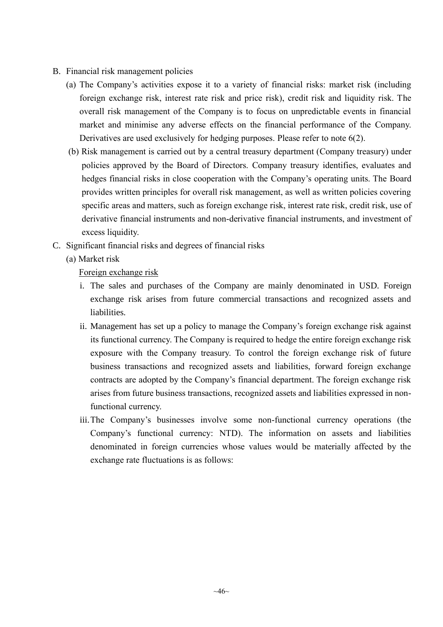- B. Financial risk management policies
	- (a) The Company's activities expose it to a variety of financial risks: market risk (including foreign exchange risk, interest rate risk and price risk), credit risk and liquidity risk. The overall risk management of the Company is to focus on unpredictable events in financial market and minimise any adverse effects on the financial performance of the Company. Derivatives are used exclusively for hedging purposes. Please refer to note 6(2).
	- (b) Risk management is carried out by a central treasury department (Company treasury) under policies approved by the Board of Directors. Company treasury identifies, evaluates and hedges financial risks in close cooperation with the Company's operating units. The Board provides written principles for overall risk management, as well as written policies covering specific areas and matters, such as foreign exchange risk, interest rate risk, credit risk, use of derivative financial instruments and non-derivative financial instruments, and investment of excess liquidity.
- C. Significant financial risks and degrees of financial risks
	- (a) Market risk

Foreign exchange risk

- i. The sales and purchases of the Company are mainly denominated in USD. Foreign exchange risk arises from future commercial transactions and recognized assets and liabilities.
- ii. Management has set up a policy to manage the Company's foreign exchange risk against its functional currency. The Company is required to hedge the entire foreign exchange risk exposure with the Company treasury. To control the foreign exchange risk of future business transactions and recognized assets and liabilities, forward foreign exchange contracts are adopted by the Company's financial department. The foreign exchange risk arises from future business transactions, recognized assets and liabilities expressed in nonfunctional currency.
- iii.The Company's businesses involve some non-functional currency operations (the Company's functional currency: NTD). The information on assets and liabilities denominated in foreign currencies whose values would be materially affected by the exchange rate fluctuations is as follows: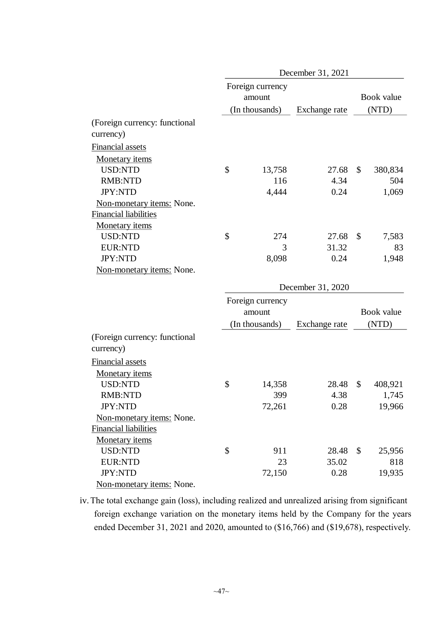|                                            | December 31, 2021 |                  |                   |    |            |  |
|--------------------------------------------|-------------------|------------------|-------------------|----|------------|--|
|                                            |                   | Foreign currency |                   |    |            |  |
|                                            |                   | amount           |                   |    | Book value |  |
|                                            |                   | (In thousands)   | Exchange rate     |    | (NTD)      |  |
| (Foreign currency: functional<br>currency) |                   |                  |                   |    |            |  |
| Financial assets                           |                   |                  |                   |    |            |  |
| <b>Monetary</b> items                      |                   |                  |                   |    |            |  |
| <b>USD:NTD</b>                             | \$                | 13,758           | 27.68             | \$ | 380,834    |  |
| <b>RMB:NTD</b>                             |                   | 116              | 4.34              |    | 504        |  |
| <b>JPY:NTD</b>                             |                   | 4,444            | 0.24              |    | 1,069      |  |
| Non-monetary items: None.                  |                   |                  |                   |    |            |  |
| <b>Financial liabilities</b>               |                   |                  |                   |    |            |  |
| <b>Monetary</b> items                      |                   |                  |                   |    |            |  |
| <b>USD:NTD</b>                             | \$                | 274              | 27.68             | \$ | 7,583      |  |
| <b>EUR:NTD</b>                             |                   | 3                | 31.32             |    | 83         |  |
| <b>JPY:NTD</b>                             |                   | 8,098            | 0.24              |    | 1,948      |  |
| Non-monetary items: None.                  |                   |                  |                   |    |            |  |
|                                            |                   |                  | December 31, 2020 |    |            |  |
|                                            |                   | Foreign currency |                   |    |            |  |
|                                            |                   | amount           |                   |    | Book value |  |
|                                            |                   | (In thousands)   | Exchange rate     |    | (NTD)      |  |
| (Foreign currency: functional              |                   |                  |                   |    |            |  |
| currency)                                  |                   |                  |                   |    |            |  |
| <b>Financial assets</b>                    |                   |                  |                   |    |            |  |
| Monetary items                             |                   |                  |                   |    |            |  |
| <b>USD:NTD</b>                             | \$                | 14,358           | 28.48             | \$ | 408,921    |  |
| <b>RMB:NTD</b>                             |                   | 399              | 4.38              |    | 1,745      |  |
| <b>JPY:NTD</b>                             |                   | 72,261           | 0.28              |    | 19,966     |  |
| Non-monetary items: None.                  |                   |                  |                   |    |            |  |
| <b>Financial liabilities</b>               |                   |                  |                   |    |            |  |
| Monetary items                             |                   |                  |                   |    |            |  |
| <b>USD:NTD</b>                             | \$                | 911              | 28.48             | \$ | 25,956     |  |
| <b>EUR:NTD</b>                             |                   | 23               | 35.02             |    | 818        |  |
| <b>JPY:NTD</b>                             |                   | 72,150           | 0.28              |    | 19,935     |  |
| Non-monetary items: None.                  |                   |                  |                   |    |            |  |

iv.The total exchange gain (loss), including realized and unrealized arising from significant foreign exchange variation on the monetary items held by the Company for the years ended December 31, 2021 and 2020, amounted to (\$16,766) and (\$19,678), respectively.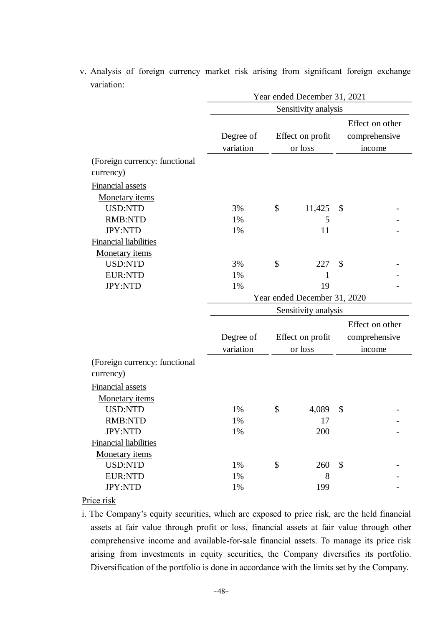|                               | Year ended December 31, 2021  |    |                      |               |                 |  |  |
|-------------------------------|-------------------------------|----|----------------------|---------------|-----------------|--|--|
|                               |                               |    | Sensitivity analysis |               |                 |  |  |
|                               |                               |    |                      |               | Effect on other |  |  |
|                               | Degree of<br>Effect on profit |    |                      | comprehensive |                 |  |  |
|                               | variation                     |    | or loss              |               | income          |  |  |
| (Foreign currency: functional |                               |    |                      |               |                 |  |  |
| currency)                     |                               |    |                      |               |                 |  |  |
| <b>Financial assets</b>       |                               |    |                      |               |                 |  |  |
| Monetary items                |                               |    |                      |               |                 |  |  |
| <b>USD:NTD</b>                | 3%                            | \$ | 11,425               | \$            |                 |  |  |
| <b>RMB:NTD</b>                | 1%                            |    | 5                    |               |                 |  |  |
| <b>JPY:NTD</b>                | 1%                            |    | 11                   |               |                 |  |  |
| <b>Financial liabilities</b>  |                               |    |                      |               |                 |  |  |
| Monetary items                |                               |    |                      |               |                 |  |  |
| <b>USD:NTD</b>                | 3%                            | \$ | 227                  | $\mathcal{S}$ |                 |  |  |
| <b>EUR:NTD</b>                | 1%                            |    | $\mathbf{1}$         |               |                 |  |  |
| <b>JPY:NTD</b>                | 1%                            |    | 19                   |               |                 |  |  |
|                               | Year ended December 31, 2020  |    |                      |               |                 |  |  |
|                               |                               |    | Sensitivity analysis |               |                 |  |  |
|                               |                               |    |                      |               | Effect on other |  |  |
|                               | Degree of                     |    | Effect on profit     |               | comprehensive   |  |  |
|                               | variation                     |    | or loss              | income        |                 |  |  |
| (Foreign currency: functional |                               |    |                      |               |                 |  |  |
| currency)                     |                               |    |                      |               |                 |  |  |
| <b>Financial assets</b>       |                               |    |                      |               |                 |  |  |
| Monetary items                |                               |    |                      |               |                 |  |  |
| <b>USD:NTD</b>                | 1%                            | \$ | 4,089                | \$            |                 |  |  |
| RMB:NTD                       | 1%                            |    | 17                   |               |                 |  |  |
| <b>JPY:NTD</b>                | 1%                            |    | 200                  |               |                 |  |  |
| <b>Financial liabilities</b>  |                               |    |                      |               |                 |  |  |
| Monetary items                |                               |    |                      |               |                 |  |  |
| <b>USD:NTD</b>                | 1%                            | \$ | 260                  | \$            |                 |  |  |
| <b>EUR:NTD</b>                | 1%                            |    | 8                    |               |                 |  |  |
| JPY:NTD                       | 1%                            |    | 199                  |               |                 |  |  |

v. Analysis of foreign currency market risk arising from significant foreign exchange variation:

Price risk

i. The Company's equity securities, which are exposed to price risk, are the held financial assets at fair value through profit or loss, financial assets at fair value through other comprehensive income and available-for-sale financial assets. To manage its price risk arising from investments in equity securities, the Company diversifies its portfolio. Diversification of the portfolio is done in accordance with the limits set by the Company.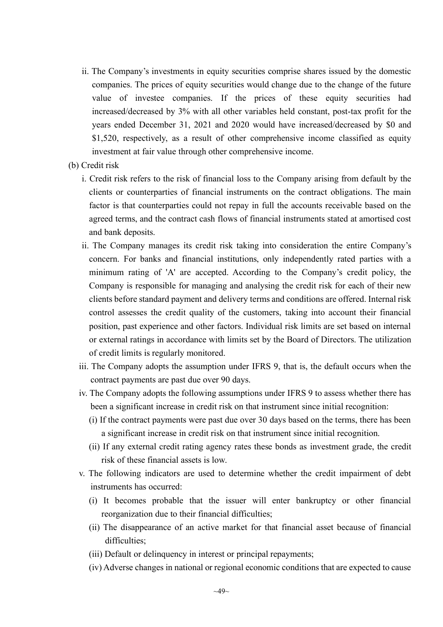- ii. The Company's investments in equity securities comprise shares issued by the domestic companies. The prices of equity securities would change due to the change of the future value of investee companies. If the prices of these equity securities had increased/decreased by 3% with all other variables held constant, post-tax profit for the years ended December 31, 2021 and 2020 would have increased/decreased by \$0 and \$1,520, respectively, as a result of other comprehensive income classified as equity investment at fair value through other comprehensive income.
- (b) Credit risk
	- i. Credit risk refers to the risk of financial loss to the Company arising from default by the clients or counterparties of financial instruments on the contract obligations. The main factor is that counterparties could not repay in full the accounts receivable based on the agreed terms, and the contract cash flows of financial instruments stated at amortised cost and bank deposits.
	- ii. The Company manages its credit risk taking into consideration the entire Company's concern. For banks and financial institutions, only independently rated parties with a minimum rating of 'A' are accepted. According to the Company's credit policy, the Company is responsible for managing and analysing the credit risk for each of their new clients before standard payment and delivery terms and conditions are offered. Internal risk control assesses the credit quality of the customers, taking into account their financial position, past experience and other factors. Individual risk limits are set based on internal or external ratings in accordance with limits set by the Board of Directors. The utilization of credit limits is regularly monitored.
	- iii. The Company adopts the assumption under IFRS 9, that is, the default occurs when the contract payments are past due over 90 days.
	- iv. The Company adopts the following assumptions under IFRS 9 to assess whether there has been a significant increase in credit risk on that instrument since initial recognition:
		- (i) If the contract payments were past due over 30 days based on the terms, there has been a significant increase in credit risk on that instrument since initial recognition.
		- (ii) If any external credit rating agency rates these bonds as investment grade, the credit risk of these financial assets is low.
	- v. The following indicators are used to determine whether the credit impairment of debt instruments has occurred:
		- (i) It becomes probable that the issuer will enter bankruptcy or other financial reorganization due to their financial difficulties;
		- (ii) The disappearance of an active market for that financial asset because of financial difficulties;
		- (iii) Default or delinquency in interest or principal repayments;
		- (iv) Adverse changes in national or regional economic conditions that are expected to cause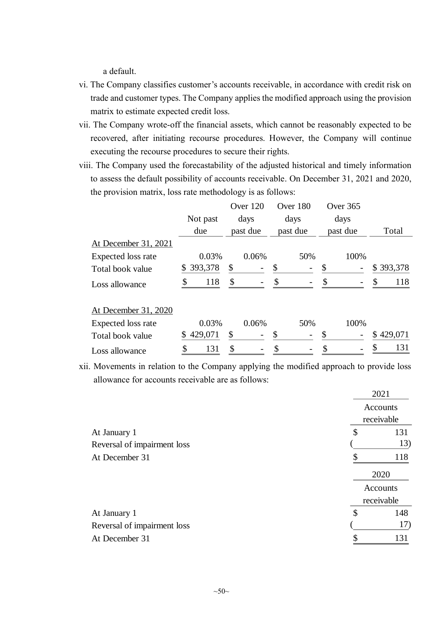a default.

- vi. The Company classifies customer's accounts receivable, in accordance with credit risk on trade and customer types. The Company applies the modified approach using the provision matrix to estimate expected credit loss.
- vii. The Company wrote-off the financial assets, which cannot be reasonably expected to be recovered, after initiating recourse procedures. However, the Company will continue executing the recourse procedures to secure their rights.
- viii. The Company used the forecastability of the adjusted historical and timely information to assess the default possibility of accounts receivable. On December 31, 2021 and 2020, the provision matrix, loss rate methodology is as follows:

|                      |               | Over 120 | Over 180 | Over 365 |           |
|----------------------|---------------|----------|----------|----------|-----------|
|                      | Not past      | days     | days     | days     |           |
|                      | due           | past due | past due | past due | Total     |
| At December 31, 2021 |               |          |          |          |           |
| Expected loss rate   | 0.03%         | 0.06%    | 50%      | 100%     |           |
| Total book value     | 393,378<br>S  | \$       | \$       | \$       | \$393,378 |
| Loss allowance       | \$<br>118     | \$       | S        |          | \$<br>118 |
| At December 31, 2020 |               |          |          |          |           |
| Expected loss rate   | 0.03%         | 0.06%    | 50%      | 100%     |           |
| Total book value     | 429,071<br>\$ | \$       | \$       | \$       | \$429,071 |
| Loss allowance       | \$<br>131     | \$       |          |          | 131       |

xii. Movements in relation to the Company applying the modified approach to provide loss allowance for accounts receivable are as follows:

|                             | 2021       |
|-----------------------------|------------|
|                             | Accounts   |
|                             | receivable |
| At January 1                | \$<br>131  |
| Reversal of impairment loss | 13)        |
| At December 31              | 118        |
|                             | 2020       |
|                             | Accounts   |
|                             | receivable |
| At January 1                | \$<br>148  |
| Reversal of impairment loss | 17)        |
| At December 31              | \$<br>131  |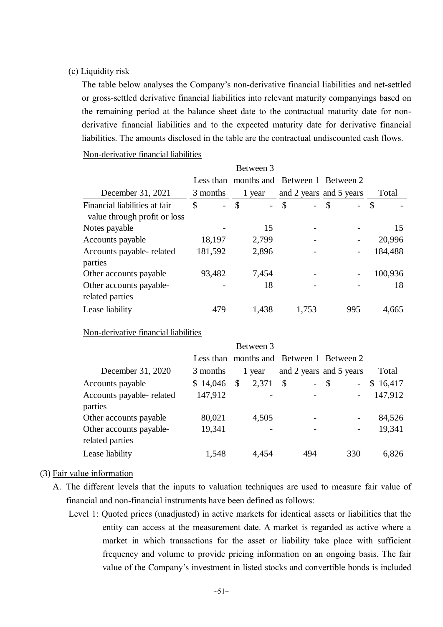#### (c) Liquidity risk

The table below analyses the Company's non-derivative financial liabilities and net-settled or gross-settled derivative financial liabilities into relevant maturity companyings based on the remaining period at the balance sheet date to the contractual maturity date for nonderivative financial liabilities and to the expected maturity date for derivative financial liabilities. The amounts disclosed in the table are the contractual undiscounted cash flows.

Non-derivative financial liabilities

|                                                               |                         | Between 3                                             |                         |     |         |
|---------------------------------------------------------------|-------------------------|-------------------------------------------------------|-------------------------|-----|---------|
|                                                               |                         | Less than months and Between 1 Between 2              |                         |     |         |
| December 31, 2021                                             | 3 months                | 1 year                                                | and 2 years and 5 years |     | Total   |
| Financial liabilities at fair<br>value through profit or loss | $\mathcal{S}$<br>$\sim$ | $\boldsymbol{\mathsf{S}}$<br>$\overline{\phantom{0}}$ | \$                      | \$  | \$      |
| Notes payable                                                 |                         | 15                                                    |                         |     | 15      |
| Accounts payable                                              | 18,197                  | 2,799                                                 |                         |     | 20,996  |
| Accounts payable-related<br>parties                           | 181,592                 | 2,896                                                 |                         |     | 184,488 |
| Other accounts payable                                        | 93,482                  | 7,454                                                 |                         |     | 100,936 |
| Other accounts payable-<br>related parties                    |                         | 18                                                    |                         |     | 18      |
| Lease liability                                               | 479                     | 1,438                                                 | 1,753                   | 995 | 4,665   |

Non-derivative financial liabilities

|                                            |          | Between 3         |                                          |               |        |          |
|--------------------------------------------|----------|-------------------|------------------------------------------|---------------|--------|----------|
|                                            |          |                   | Less than months and Between 1 Between 2 |               |        |          |
| December 31, 2020                          | 3 months | year              | and 2 years and 5 years                  |               |        | Total    |
| Accounts payable                           | \$14,046 | 2,371<br><b>S</b> | S<br>$\sim$ $-$                          | $\mathcal{S}$ | $\sim$ | \$16,417 |
| Accounts payable-related<br>parties        | 147,912  |                   |                                          |               |        | 147,912  |
| Other accounts payable                     | 80,021   | 4,505             |                                          |               |        | 84,526   |
| Other accounts payable-<br>related parties | 19,341   |                   |                                          |               |        | 19,341   |
| Lease liability                            | 1,548    | 4,454             | 494                                      |               | 330    | 6,826    |

#### (3) Fair value information

- A. The different levels that the inputs to valuation techniques are used to measure fair value of financial and non-financial instruments have been defined as follows:
	- Level 1: Quoted prices (unadjusted) in active markets for identical assets or liabilities that the entity can access at the measurement date. A market is regarded as active where a market in which transactions for the asset or liability take place with sufficient frequency and volume to provide pricing information on an ongoing basis. The fair value of the Company's investment in listed stocks and convertible bonds is included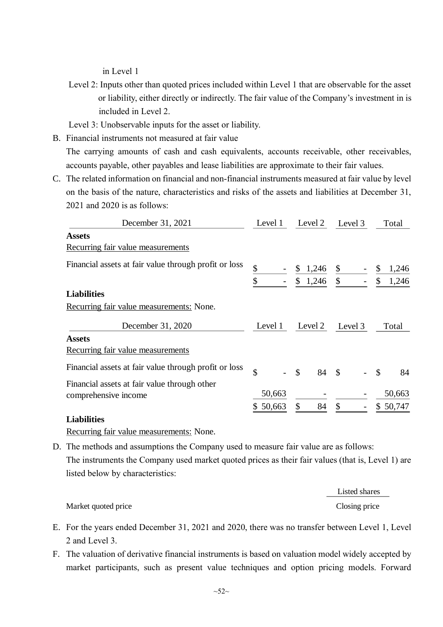in Level 1

Level 2: Inputs other than quoted prices included within Level 1 that are observable for the asset or liability, either directly or indirectly. The fair value of the Company's investment in is included in Level 2.

Level 3: Unobservable inputs for the asset or liability.

- B. Financial instruments not measured at fair value
	- The carrying amounts of cash and cash equivalents, accounts receivable, other receivables, accounts payable, other payables and lease liabilities are approximate to their fair values.
- C. The related information on financial and non-financial instruments measured at fair value by level on the basis of the nature, characteristics and risks of the assets and liabilities at December 31, 2021 and 2020 is as follows:

| December 31, 2021                                     | Level 1  | Level 2                    | Level 3       | Total                  |
|-------------------------------------------------------|----------|----------------------------|---------------|------------------------|
| <b>Assets</b>                                         |          |                            |               |                        |
| Recurring fair value measurements                     |          |                            |               |                        |
| Financial assets at fair value through profit or loss | \$<br>\$ | 1,246<br>\$<br>1,246<br>\$ | \$<br>\$      | 1,246<br>1,246<br>\$   |
| <b>Liabilities</b>                                    |          |                            |               |                        |
| Recurring fair value measurements: None.              |          |                            |               |                        |
| December 31, 2020                                     | Level 1  | Level 2                    | Level 3       | Total                  |
| <b>Assets</b>                                         |          |                            |               |                        |
| Recurring fair value measurements                     |          |                            |               |                        |
| Financial assets at fair value through profit or loss | \$       | $\mathcal{S}$<br>84        | $\mathcal{S}$ | $\mathcal{S}$<br>84    |
| Financial assets at fair value through other          |          |                            |               |                        |
| comprehensive income                                  | 50,663   |                            |               | 50,663                 |
|                                                       | \$50,663 | \$<br>84                   |               | 50,747<br>$\mathbb{S}$ |
| <b>T . 1 .1</b>                                       |          |                            |               |                        |

**Liabilities**

Recurring fair value measurements: None.

D. The methods and assumptions the Company used to measure fair value are as follows: The instruments the Company used market quoted prices as their fair values (that is, Level 1) are listed below by characteristics:

|                     | Listed shares |
|---------------------|---------------|
| Market quoted price | Closing price |

- E. For the years ended December 31, 2021 and 2020, there was no transfer between Level 1, Level 2 and Level 3.
- F. The valuation of derivative financial instruments is based on valuation model widely accepted by market participants, such as present value techniques and option pricing models. Forward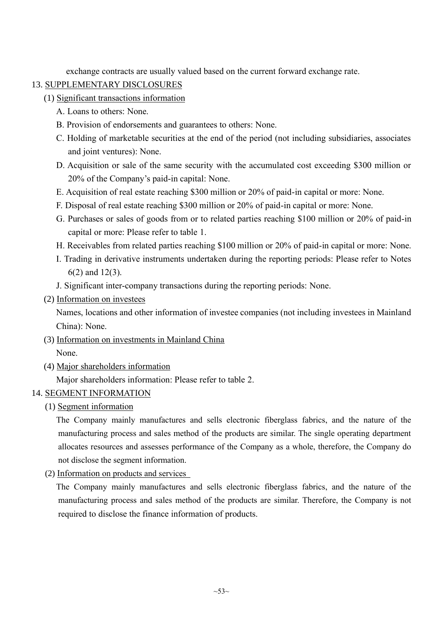exchange contracts are usually valued based on the current forward exchange rate.

### 13. SUPPLEMENTARY DISCLOSURES

- (1) Significant transactions information
	- A. Loans to others: None.
	- B. Provision of endorsements and guarantees to others: None.
	- C. Holding of marketable securities at the end of the period (not including subsidiaries, associates and joint ventures): None.
	- D. Acquisition or sale of the same security with the accumulated cost exceeding \$300 million or 20% of the Company's paid-in capital: None.
	- E. Acquisition of real estate reaching \$300 million or 20% of paid-in capital or more: None.
	- F. Disposal of real estate reaching \$300 million or 20% of paid-in capital or more: None.
	- G. Purchases or sales of goods from or to related parties reaching \$100 million or 20% of paid-in capital or more: Please refer to table 1.
	- H. Receivables from related parties reaching \$100 million or 20% of paid-in capital or more: None.
	- I. Trading in derivative instruments undertaken during the reporting periods: Please refer to Notes 6(2) and 12(3).
	- J. Significant inter-company transactions during the reporting periods: None.
- (2) Information on investees

Names, locations and other information of investee companies (not including investees in Mainland China): None.

- (3) Information on investments in Mainland China
	- None.
- (4) Major shareholders information

Major shareholders information: Please refer to table 2.

### 14. SEGMENT INFORMATION

(1) Segment information

The Company mainly manufactures and sells electronic fiberglass fabrics, and the nature of the manufacturing process and sales method of the products are similar. The single operating department allocates resources and assesses performance of the Company as a whole, therefore, the Company do not disclose the segment information.

(2) Information on products and services

The Company mainly manufactures and sells electronic fiberglass fabrics, and the nature of the manufacturing process and sales method of the products are similar. Therefore, the Company is not required to disclose the finance information of products.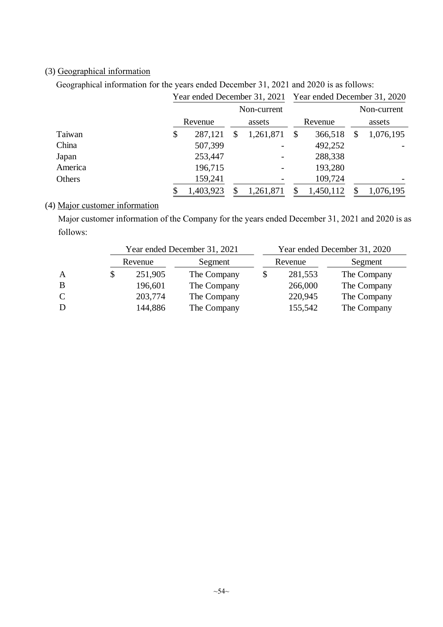# (3) Geographical information

Geographical information for the years ended December 31, 2021 and 2020 is as follows:

|         | Year ended December 31, 2021 |    |           | Year ended December 31, 2020 |           |    |             |
|---------|------------------------------|----|-----------|------------------------------|-----------|----|-------------|
|         | Non-current                  |    |           |                              |           |    | Non-current |
|         | Revenue                      |    | assets    |                              | Revenue   |    | assets      |
| Taiwan  | \$<br>287,121                | \$ | 1,261,871 | \$                           | 366,518   | \$ | 1,076,195   |
| China   | 507,399                      |    |           |                              | 492,252   |    |             |
| Japan   | 253,447                      |    |           |                              | 288,338   |    |             |
| America | 196,715                      |    |           |                              | 193,280   |    |             |
| Others  | 159,241                      |    |           |                              | 109,724   |    |             |
|         | 1,403,923                    | \$ | 1,261,871 | S                            | 1,450,112 |    | 1,076,195   |

# (4) Major customer information

Major customer information of the Company for the years ended December 31, 2021 and 2020 is as follows:

|              |         | Year ended December 31, 2021 |    | Year ended December 31, 2020 |             |  |  |  |  |
|--------------|---------|------------------------------|----|------------------------------|-------------|--|--|--|--|
|              | Revenue | Segment                      |    | Revenue                      | Segment     |  |  |  |  |
| A            | 251,905 | The Company                  | \$ | 281,553                      | The Company |  |  |  |  |
| B            | 196,601 | The Company                  |    | 266,000                      | The Company |  |  |  |  |
| $\mathsf{C}$ | 203,774 | The Company                  |    | 220,945                      | The Company |  |  |  |  |
| D            | 144,886 | The Company                  |    | 155,542                      | The Company |  |  |  |  |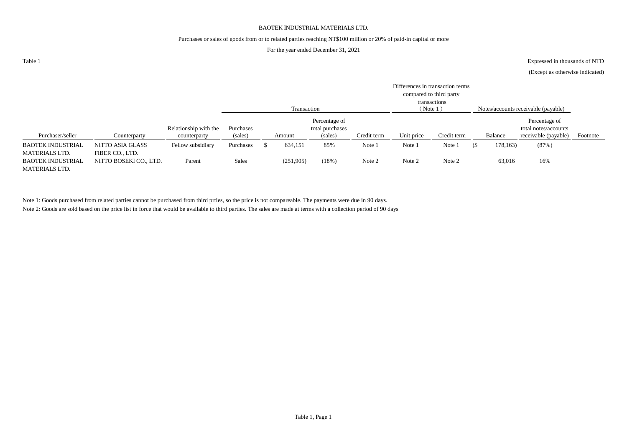#### BAOTEK INDUSTRIAL MATERIALS LTD.

#### Purchases or sales of goods from or to related parties reaching NT\$100 million or 20% of paid-in capital or more

#### For the year ended December 31, 2021

Expressed in thousands of NTD

(Except as otherwise indicated)

|                                                   |                                     |                                       |                      |                                         |           |                                             |             | Differences in transaction terms |                         |     |                                     |                                                               |          |
|---------------------------------------------------|-------------------------------------|---------------------------------------|----------------------|-----------------------------------------|-----------|---------------------------------------------|-------------|----------------------------------|-------------------------|-----|-------------------------------------|---------------------------------------------------------------|----------|
|                                                   |                                     |                                       |                      |                                         |           |                                             |             |                                  | compared to third party |     |                                     |                                                               |          |
|                                                   |                                     |                                       |                      | transactions<br>(Note 1)<br>Transaction |           |                                             |             |                                  |                         |     | Notes/accounts receivable (payable) |                                                               |          |
| Purchaser/seller                                  | Counterparty                        | Relationship with the<br>counterparty | Purchases<br>(sales) |                                         | Amount    | Percentage of<br>total purchases<br>(sales) | Credit term | Unit price                       | Credit term             |     | Balance                             | Percentage of<br>total notes/accounts<br>receivable (payable) | Footnote |
| <b>BAOTEK INDUSTRIAL</b><br><b>MATERIALS LTD.</b> | NITTO ASIA GLASS<br>FIBER CO., LTD. | Fellow subsidiary                     | Purchases            |                                         | 634,151   | 85%                                         | Note 1      | Note 1                           | Note 1                  | (\$ | 178,163)                            | (87%)                                                         |          |
| <b>BAOTEK INDUSTRIAL</b><br><b>MATERIALS LTD.</b> | NITTO BOSEKI CO., LTD.              | Parent                                | Sales                |                                         | (251,905) | (18%)                                       | Note 2      | Note 2                           | Note 2                  |     | 63,016                              | 16%                                                           |          |

Note 1: Goods purchased from related parties cannot be purchased from third prties, so the price is not compareable. The payments were due in 90 days.

Note 2: Goods are sold based on the price list in force that would be available to third parties. The sales are made at terms with a collection period of 90 days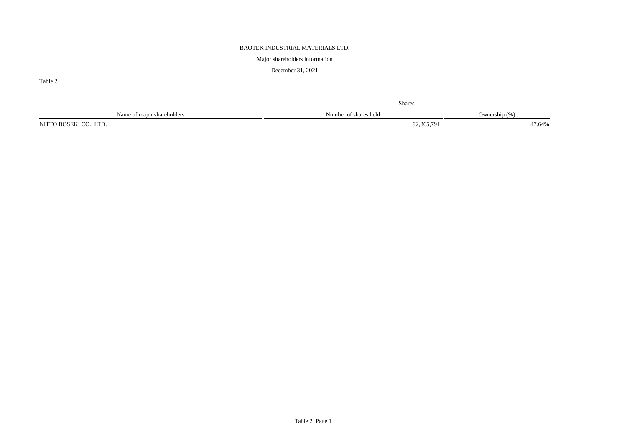#### BAOTEK INDUSTRIAL MATERIALS LTD.

#### Major shareholders information

December 31, 2021

Table 2

|                            | Shares                |              |
|----------------------------|-----------------------|--------------|
| Name of major shareholders | Number of shares held | Ownership (% |
| NITTO BOSEKI CO., LTD.     | 92,865,791            | 47.64%       |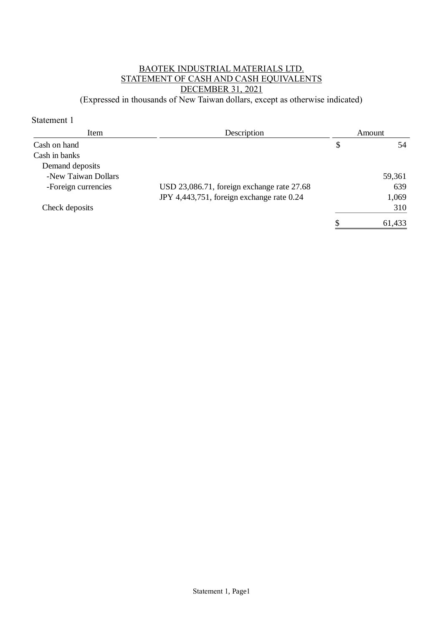# BAOTEK INDUSTRIAL MATERIALS LTD. STATEMENT OF CASH AND CASH EQUIVALENTS DECEMBER 31, 2021

(Expressed in thousands of New Taiwan dollars, except as otherwise indicated)

| Item                | Description                                | Amount |        |  |
|---------------------|--------------------------------------------|--------|--------|--|
| Cash on hand        |                                            | \$     | 54     |  |
| Cash in banks       |                                            |        |        |  |
| Demand deposits     |                                            |        |        |  |
| -New Taiwan Dollars |                                            |        | 59,361 |  |
| -Foreign currencies | USD 23,086.71, foreign exchange rate 27.68 |        | 639    |  |
|                     | JPY 4,443,751, foreign exchange rate 0.24  |        | 1,069  |  |
| Check deposits      |                                            |        | 310    |  |
|                     |                                            | \$     | 61,433 |  |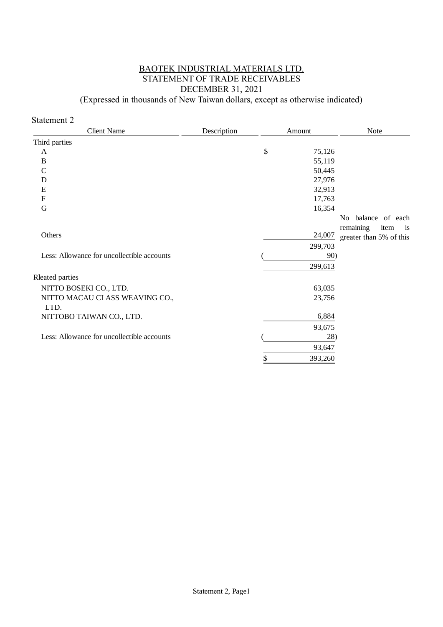# BAOTEK INDUSTRIAL MATERIALS LTD. STATEMENT OF TRADE RECEIVABLES DECEMBER 31, 2021

(Expressed in thousands of New Taiwan dollars, except as otherwise indicated)

| <b>Client Name</b>                         | Description | Amount |         | <b>Note</b>             |  |  |
|--------------------------------------------|-------------|--------|---------|-------------------------|--|--|
| Third parties                              |             |        |         |                         |  |  |
| A                                          |             | \$     | 75,126  |                         |  |  |
| $\bf{B}$                                   |             |        | 55,119  |                         |  |  |
| $\mathcal{C}$                              |             |        | 50,445  |                         |  |  |
| D                                          |             |        | 27,976  |                         |  |  |
| E                                          |             |        | 32,913  |                         |  |  |
| ${\bf F}$                                  |             |        | 17,763  |                         |  |  |
| G                                          |             |        | 16,354  |                         |  |  |
|                                            |             |        |         | No balance of each      |  |  |
|                                            |             |        |         | remaining<br>item<br>is |  |  |
| Others                                     |             |        | 24,007  | greater than 5% of this |  |  |
|                                            |             |        | 299,703 |                         |  |  |
| Less: Allowance for uncollectible accounts |             |        | 90)     |                         |  |  |
|                                            |             |        | 299,613 |                         |  |  |
| <b>Rleated parties</b>                     |             |        |         |                         |  |  |
| NITTO BOSEKI CO., LTD.                     |             |        | 63,035  |                         |  |  |
| NITTO MACAU CLASS WEAVING CO.,             |             |        | 23,756  |                         |  |  |
| LTD.                                       |             |        |         |                         |  |  |
| NITTOBO TAIWAN CO., LTD.                   |             |        | 6,884   |                         |  |  |
|                                            |             |        | 93,675  |                         |  |  |
| Less: Allowance for uncollectible accounts |             |        | 28)     |                         |  |  |
|                                            |             |        | 93,647  |                         |  |  |
|                                            |             | \$     | 393,260 |                         |  |  |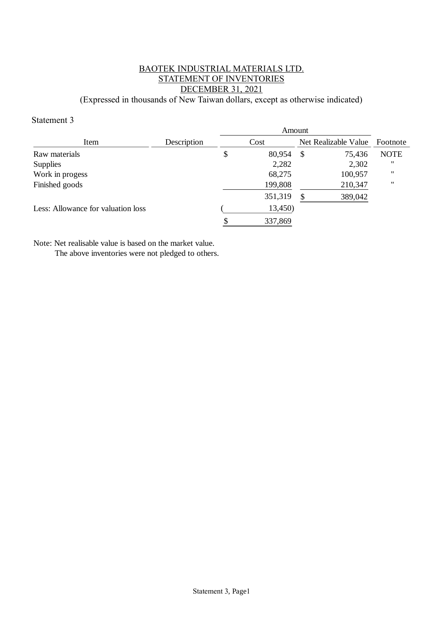# BAOTEK INDUSTRIAL MATERIALS LTD. STATEMENT OF INVENTORIES DECEMBER 31, 2021

(Expressed in thousands of New Taiwan dollars, except as otherwise indicated)

### Statement 3

|                                    |             | Amount        |                      |          |              |  |  |
|------------------------------------|-------------|---------------|----------------------|----------|--------------|--|--|
| Item                               | Description | Cost          | Net Realizable Value | Footnote |              |  |  |
| Raw materials                      |             | \$<br>80,954  | -S                   | 75,436   | <b>NOTE</b>  |  |  |
| <b>Supplies</b>                    |             | 2,282         |                      | 2,302    | "            |  |  |
| Work in progess                    |             | 68,275        |                      | 100,957  | $^{\dagger}$ |  |  |
| Finished goods                     |             | 199,808       |                      | 210,347  | $^{\dagger}$ |  |  |
|                                    |             | 351,319       |                      | 389,042  |              |  |  |
| Less: Allowance for valuation loss |             | 13,450)       |                      |          |              |  |  |
|                                    |             | \$<br>337,869 |                      |          |              |  |  |

Note: Net realisable value is based on the market value.

The above inventories were not pledged to others.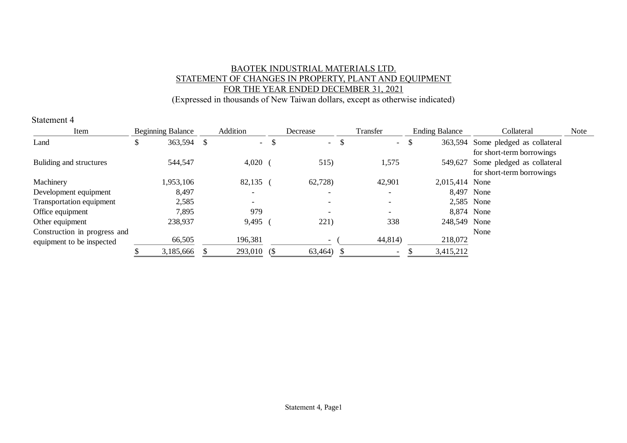# BAOTEK INDUSTRIAL MATERIALS LTD. STATEMENT OF CHANGES IN PROPERTY, PLANT AND EQUIPMENT FOR THE YEAR ENDED DECEMBER 31, 2021

(Expressed in thousands of New Taiwan dollars, except as otherwise indicated)

| Item                         | <b>Beginning Balance</b> |               | Addition    |              | Decrease                 |               | Transfer                 | <b>Ending Balance</b> | Collateral                         | Note |
|------------------------------|--------------------------|---------------|-------------|--------------|--------------------------|---------------|--------------------------|-----------------------|------------------------------------|------|
| Land                         | 363,594                  | <sup>\$</sup> | $\sim$      | $\mathbb{S}$ | $-$                      | <sup>\$</sup> | $\sim$ $-$               | \$                    | 363,594 Some pledged as collateral |      |
|                              |                          |               |             |              |                          |               |                          |                       | for short-term borrowings          |      |
| Buliding and structures      | 544,547                  |               | $4,020$ (   |              | 515)                     |               | 1,575                    | 549.627               | Some pledged as collateral         |      |
|                              |                          |               |             |              |                          |               |                          |                       | for short-term borrowings          |      |
| Machinery                    | ,953,106                 |               | 82,135 (    |              | 62,728)                  |               | 42,901                   | 2,015,414 None        |                                    |      |
| Development equipment        | 8,497                    |               |             |              | $\overline{\phantom{0}}$ |               | $\overline{\phantom{0}}$ | 8,497 None            |                                    |      |
| Transportation equipment     | 2,585                    |               |             |              |                          |               |                          | 2,585 None            |                                    |      |
| Office equipment             | 7,895                    |               | 979         |              | -                        |               | $\overline{\phantom{0}}$ | 8,874 None            |                                    |      |
| Other equipment              | 238,937                  |               | 9,495       |              | 221)                     |               | 338                      | 248,549 None          |                                    |      |
| Construction in progress and |                          |               |             |              |                          |               |                          |                       | None                               |      |
| equipment to be inspected    | 66,505                   |               | 196,381     |              |                          |               | 44,814)                  | 218,072               |                                    |      |
|                              | 3,185,666                |               | 293,010 (\$ |              | 63,464) $\$\$            |               | $\overline{\phantom{a}}$ | 3,415,212             |                                    |      |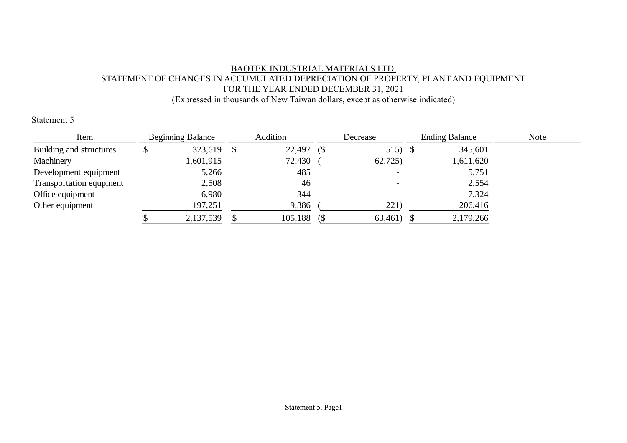# BAOTEK INDUSTRIAL MATERIALS LTD. STATEMENT OF CHANGES IN ACCUMULATED DEPRECIATION OF PROPERTY, PLANT AND EQUIPMENT FOR THE YEAR ENDED DECEMBER 31, 2021

(Expressed in thousands of New Taiwan dollars, except as otherwise indicated)

| Item                    | <b>Beginning Balance</b> | Addition |            | Decrease        | <b>Ending Balance</b> | <b>Note</b> |
|-------------------------|--------------------------|----------|------------|-----------------|-----------------------|-------------|
| Building and structures | 323,619                  |          | 22,497 (\$ | 515) $\sqrt{s}$ | 345,601               |             |
| Machinery               | 1,601,915                |          | 72,430     | 62,725          | 1,611,620             |             |
| Development equipment   | 5,266                    |          | 485        |                 | 5,751                 |             |
| Transportation equpment | 2,508                    |          | 46         |                 | 2,554                 |             |
| Office equipment        | 6,980                    |          | 344        |                 | 7,324                 |             |
| Other equipment         | 197,251                  |          | 9,386      | 221)            | 206,416               |             |
|                         | 2,137,539                |          | 105,188    | 63,461)         | 2,179,266             |             |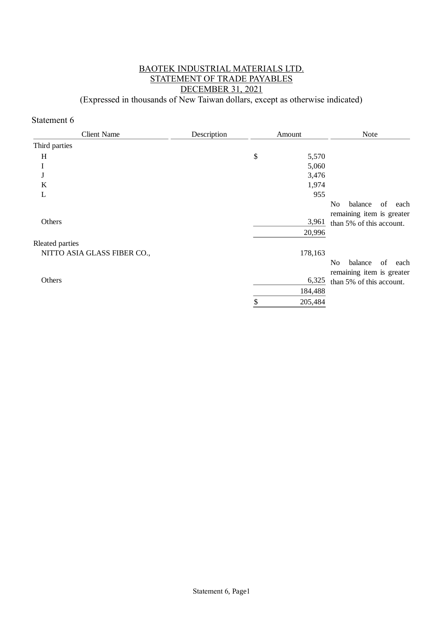# BAOTEK INDUSTRIAL MATERIALS LTD. STATEMENT OF TRADE PAYABLES DECEMBER 31, 2021

(Expressed in thousands of New Taiwan dollars, except as otherwise indicated)

| <b>Client Name</b>          | Description | Amount           | Note                                                     |  |  |  |
|-----------------------------|-------------|------------------|----------------------------------------------------------|--|--|--|
| Third parties               |             |                  |                                                          |  |  |  |
| Η                           |             | \$<br>5,570      |                                                          |  |  |  |
|                             |             | 5,060            |                                                          |  |  |  |
|                             |             | 3,476            |                                                          |  |  |  |
| K                           |             | 1,974            |                                                          |  |  |  |
| L                           |             | 955              |                                                          |  |  |  |
|                             |             |                  | of<br>No<br>balance<br>each<br>remaining item is greater |  |  |  |
| Others                      |             | 3,961<br>20,996  | than 5% of this account.                                 |  |  |  |
| <b>Rleated parties</b>      |             |                  |                                                          |  |  |  |
| NITTO ASIA GLASS FIBER CO., |             | 178,163          |                                                          |  |  |  |
|                             |             |                  | of<br>balance<br>No<br>each<br>remaining item is greater |  |  |  |
| Others                      |             | 6,325<br>184,488 | than 5% of this account.                                 |  |  |  |
|                             |             | \$<br>205,484    |                                                          |  |  |  |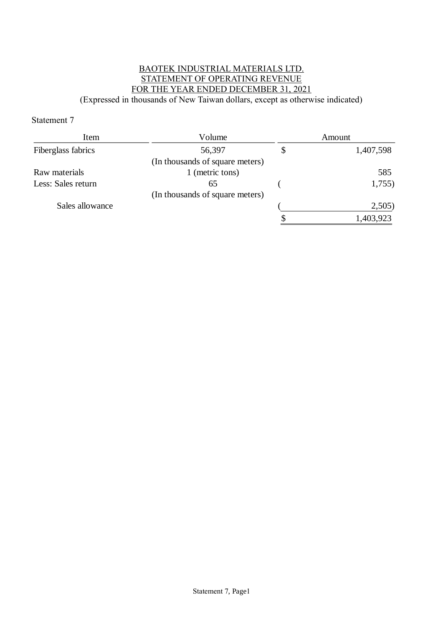## BAOTEK INDUSTRIAL MATERIALS LTD. STATEMENT OF OPERATING REVENUE FOR THE YEAR ENDED DECEMBER 31, 2021 (Expressed in thousands of New Taiwan dollars, except as otherwise indicated)

| Item               | Volume                          | Amount          |
|--------------------|---------------------------------|-----------------|
| Fiberglass fabrics | 56,397                          | \$<br>1,407,598 |
|                    | (In thousands of square meters) |                 |
| Raw materials      | 1 (metric tons)                 | 585             |
| Less: Sales return | 65                              | 1,755)          |
|                    | (In thousands of square meters) |                 |
| Sales allowance    |                                 | 2,505)          |
|                    |                                 | \$<br>1,403,923 |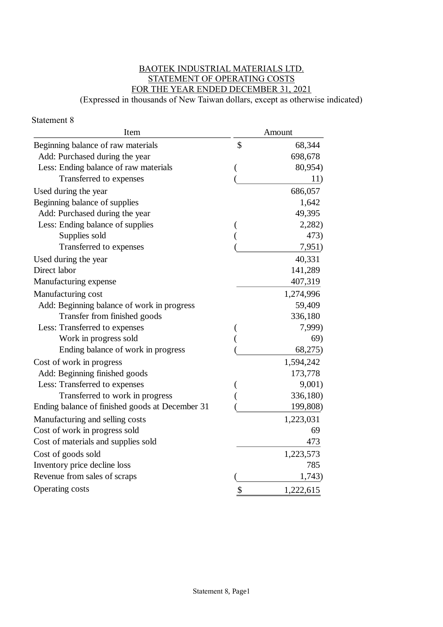## BAOTEK INDUSTRIAL MATERIALS LTD. STATEMENT OF OPERATING COSTS FOR THE YEAR ENDED DECEMBER 31, 2021 (Expressed in thousands of New Taiwan dollars, except as otherwise indicated)

| Item                                            | Amount       |           |  |
|-------------------------------------------------|--------------|-----------|--|
| Beginning balance of raw materials              | \$<br>68,344 |           |  |
| Add: Purchased during the year                  |              | 698,678   |  |
| Less: Ending balance of raw materials           |              | 80,954)   |  |
| Transferred to expenses                         |              | 11)       |  |
| Used during the year                            |              | 686,057   |  |
| Beginning balance of supplies                   |              | 1,642     |  |
| Add: Purchased during the year                  |              | 49,395    |  |
| Less: Ending balance of supplies                |              | 2,282)    |  |
| Supplies sold                                   |              | 473)      |  |
| Transferred to expenses                         |              | 7,951)    |  |
| Used during the year                            |              | 40,331    |  |
| Direct labor                                    |              | 141,289   |  |
| Manufacturing expense                           |              | 407,319   |  |
| Manufacturing cost                              |              | 1,274,996 |  |
| Add: Beginning balance of work in progress      |              | 59,409    |  |
| Transfer from finished goods                    |              | 336,180   |  |
| Less: Transferred to expenses                   |              | 7,999)    |  |
| Work in progress sold                           |              | 69)       |  |
| Ending balance of work in progress              |              | 68,275)   |  |
| Cost of work in progress                        |              | 1,594,242 |  |
| Add: Beginning finished goods                   |              | 173,778   |  |
| Less: Transferred to expenses                   |              | 9,001)    |  |
| Transferred to work in progress                 |              | 336,180)  |  |
| Ending balance of finished goods at December 31 |              | 199,808)  |  |
| Manufacturing and selling costs                 |              | 1,223,031 |  |
| Cost of work in progress sold                   |              | 69        |  |
| Cost of materials and supplies sold             |              | 473       |  |
| Cost of goods sold                              |              | 1,223,573 |  |
| Inventory price decline loss                    |              | 785       |  |
| Revenue from sales of scraps                    |              | 1,743)    |  |
| Operating costs                                 | \$           | 1,222,615 |  |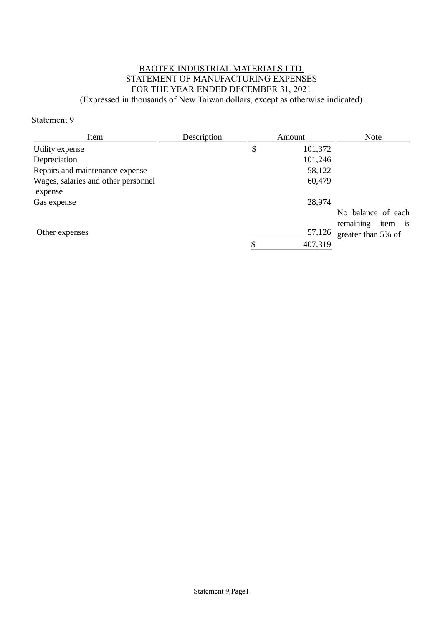## BAOTEK INDUSTRIAL MATERIALS LTD. STATEMENT OF MANUFACTURING EXPENSES FOR THE YEAR ENDED DECEMBER 31, 2021 (Expressed in thousands of New Taiwan dollars, except as otherwise indicated)

| Item                                | Description | Amount |         | <b>Note</b>          |  |
|-------------------------------------|-------------|--------|---------|----------------------|--|
| Utility expense                     |             | \$     | 101,372 |                      |  |
| Depreciation                        |             |        | 101,246 |                      |  |
| Repairs and maintenance expense     |             |        | 58,122  |                      |  |
| Wages, salaries and other personnel |             |        | 60,479  |                      |  |
| expense                             |             |        |         |                      |  |
| Gas expense                         |             |        | 28,974  |                      |  |
|                                     |             |        |         | No balance of each   |  |
|                                     |             |        |         | remaining<br>item is |  |
| Other expenses                      |             |        | 57,126  | greater than 5% of   |  |
|                                     |             |        | 407,319 |                      |  |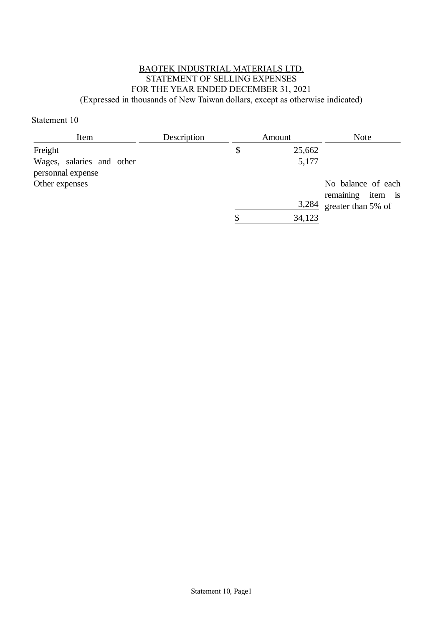## BAOTEK INDUSTRIAL MATERIALS LTD. STATEMENT OF SELLING EXPENSES FOR THE YEAR ENDED DECEMBER 31, 2021 (Expressed in thousands of New Taiwan dollars, except as otherwise indicated)

| Item                                                      | Description<br>Amount |    |                 | <b>Note</b>                                                   |
|-----------------------------------------------------------|-----------------------|----|-----------------|---------------------------------------------------------------|
| Freight<br>Wages, salaries and other<br>personnal expense |                       | \$ | 25,662<br>5,177 |                                                               |
| Other expenses                                            |                       |    | 3,284<br>34,123 | No balance of each<br>remaining item is<br>greater than 5% of |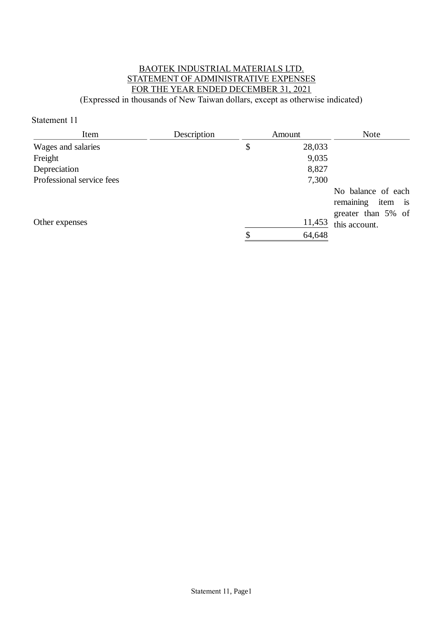## BAOTEK INDUSTRIAL MATERIALS LTD. STATEMENT OF ADMINISTRATIVE EXPENSES FOR THE YEAR ENDED DECEMBER 31, 2021 (Expressed in thousands of New Taiwan dollars, except as otherwise indicated)

| Item                      | Description | Amount |        | <b>Note</b>          |
|---------------------------|-------------|--------|--------|----------------------|
| Wages and salaries        |             | \$     | 28,033 |                      |
| Freight                   |             |        | 9,035  |                      |
| Depreciation              |             |        | 8,827  |                      |
| Professional service fees |             |        | 7,300  |                      |
|                           |             |        |        | No balance of each   |
|                           |             |        |        | remaining<br>item is |
|                           |             |        |        | greater than 5% of   |
| Other expenses            |             |        | 11,453 | this account.        |
|                           |             | \$     | 64,648 |                      |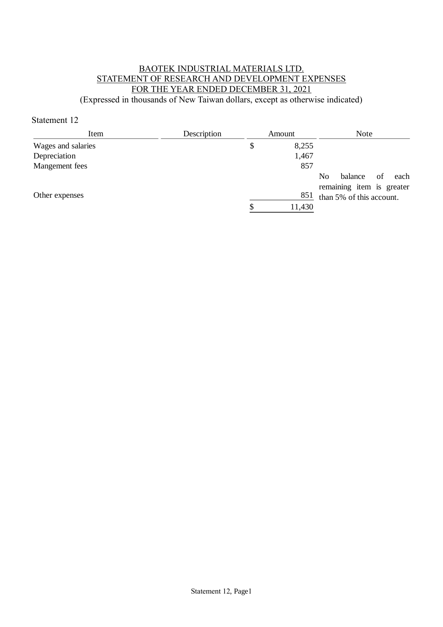### BAOTEK INDUSTRIAL MATERIALS LTD. STATEMENT OF RESEARCH AND DEVELOPMENT EXPENSES FOR THE YEAR ENDED DECEMBER 31, 2021 (Expressed in thousands of New Taiwan dollars, except as otherwise indicated)

| Description<br>Item |  | Amount      |     | <b>Note</b>               |    |      |  |
|---------------------|--|-------------|-----|---------------------------|----|------|--|
| Wages and salaries  |  | \$<br>8,255 |     |                           |    |      |  |
| Depreciation        |  | 1,467       |     |                           |    |      |  |
| Mangement fees      |  | 857         |     |                           |    |      |  |
|                     |  |             | No. | balance                   | of | each |  |
|                     |  |             |     | remaining item is greater |    |      |  |
| Other expenses      |  | 851         |     | than 5% of this account.  |    |      |  |
|                     |  | 11,430      |     |                           |    |      |  |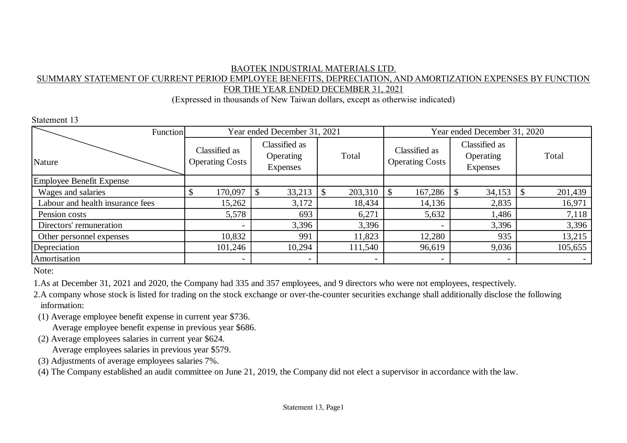# BAOTEK INDUSTRIAL MATERIALS LTD. SUMMARY STATEMENT OF CURRENT PERIOD EMPLOYEE BENEFITS, DEPRECIATION, AND AMORTIZATION EXPENSES BY FUNCTION FOR THE YEAR ENDED DECEMBER 31, 2021

(Expressed in thousands of New Taiwan dollars, except as otherwise indicated)

Statement 13

| Function                         | Year ended December 31, 2021            |                                        |                          | Year ended December 31, 2020            |                                        |                          |  |
|----------------------------------|-----------------------------------------|----------------------------------------|--------------------------|-----------------------------------------|----------------------------------------|--------------------------|--|
| Nature                           | Classified as<br><b>Operating Costs</b> | Classified as<br>Operating<br>Expenses | Total                    | Classified as<br><b>Operating Costs</b> | Classified as<br>Operating<br>Expenses | Total                    |  |
| <b>Employee Benefit Expense</b>  |                                         |                                        |                          |                                         |                                        |                          |  |
| Wages and salaries               | 170,097                                 | 33,213                                 | 203,310                  | 167,286                                 | 34,153                                 | 201,439<br>$\mathcal{S}$ |  |
| Labour and health insurance fees | 15,262                                  | 3,172                                  | 18,434                   | 14,136                                  | 2,835                                  | 16,971                   |  |
| Pension costs                    | 5,578                                   | 693                                    | 6,271                    | 5,632                                   | 1,486                                  | 7,118                    |  |
| Directors' remuneration          | $\overline{\phantom{0}}$                | 3,396                                  | 3,396                    |                                         | 3,396                                  | 3,396                    |  |
| Other personnel expenses         | 10,832                                  | 991                                    | 11,823                   | 12,280                                  | 935                                    | 13,215                   |  |
| Depreciation                     | 101,246                                 | 10,294                                 | 111,540                  | 96,619                                  | 9,036                                  | 105,655                  |  |
| Amortisation                     | $\overline{\phantom{0}}$                |                                        | $\overline{\phantom{0}}$ |                                         |                                        |                          |  |

Note:

1.As at December 31, 2021 and 2020, the Company had 335 and 357 employees, and 9 directors who were not employees, respectively.

2.A company whose stock is listed for trading on the stock exchange or over-the-counter securities exchange shall additionally disclose the following information:

(1) Average employee benefit expense in current year \$736.

Average employee benefit expense in previous year \$686.

(2) Average employees salaries in current year \$624.

Average employees salaries in previous year \$579.

(3) Adjustments of average employees salaries 7%.

(4) The Company established an audit committee on June 21, 2019, the Company did not elect a supervisor in accordance with the law.